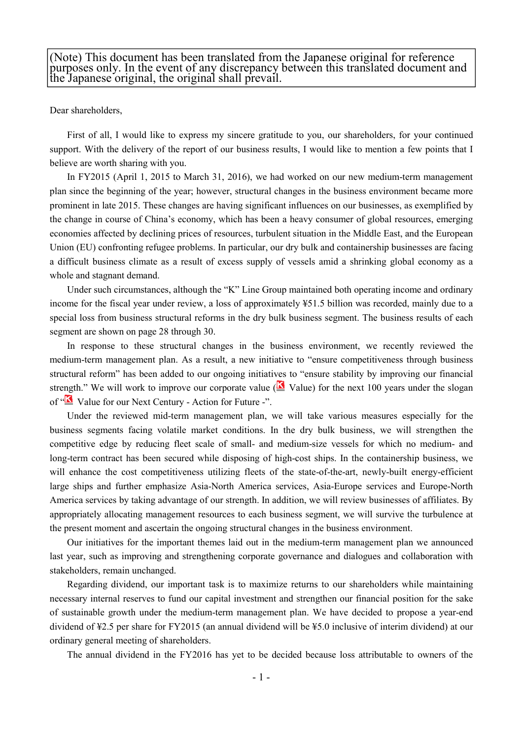(Note) This document has been translated from the Japanese original for reference purposes only. In the event of any discrepancy between this translated document and the Japanese original, the original shall prevail.

### Dear shareholders,

First of all, I would like to express my sincere gratitude to you, our shareholders, for your continued support. With the delivery of the report of our business results, I would like to mention a few points that I believe are worth sharing with you.

In FY2015 (April 1, 2015 to March 31, 2016), we had worked on our new medium-term management plan since the beginning of the year; however, structural changes in the business environment became more prominent in late 2015. These changes are having significant influences on our businesses, as exemplified by the change in course of China's economy, which has been a heavy consumer of global resources, emerging economies affected by declining prices of resources, turbulent situation in the Middle East, and the European Union (EU) confronting refugee problems. In particular, our dry bulk and containership businesses are facing a difficult business climate as a result of excess supply of vessels amid a shrinking global economy as a whole and stagnant demand.

Under such circumstances, although the "K" Line Group maintained both operating income and ordinary income for the fiscal year under review, a loss of approximately ¥51.5 billion was recorded, mainly due to a special loss from business structural reforms in the dry bulk business segment. The business results of each segment are shown on page 28 through 30.

In response to these structural changes in the business environment, we recently reviewed the medium-term management plan. As a result, a new initiative to "ensure competitiveness through business structural reform" has been added to our ongoing initiatives to "ensure stability by improving our financial strength." We will work to improve our corporate value ( $\Delta$  Value) for the next 100 years under the slogan of "<sup>"</sup> Value for our Next Century - Action for Future -".

Under the reviewed mid-term management plan, we will take various measures especially for the business segments facing volatile market conditions. In the dry bulk business, we will strengthen the competitive edge by reducing fleet scale of small- and medium-size vessels for which no medium- and long-term contract has been secured while disposing of high-cost ships. In the containership business, we will enhance the cost competitiveness utilizing fleets of the state-of-the-art, newly-built energy-efficient large ships and further emphasize Asia-North America services, Asia-Europe services and Europe-North America services by taking advantage of our strength. In addition, we will review businesses of affiliates. By appropriately allocating management resources to each business segment, we will survive the turbulence at the present moment and ascertain the ongoing structural changes in the business environment.

Our initiatives for the important themes laid out in the medium-term management plan we announced last year, such as improving and strengthening corporate governance and dialogues and collaboration with stakeholders, remain unchanged.

Regarding dividend, our important task is to maximize returns to our shareholders while maintaining necessary internal reserves to fund our capital investment and strengthen our financial position for the sake of sustainable growth under the medium-term management plan. We have decided to propose a year-end dividend of ¥2.5 per share for FY2015 (an annual dividend will be ¥5.0 inclusive of interim dividend) at our ordinary general meeting of shareholders.

The annual dividend in the FY2016 has yet to be decided because loss attributable to owners of the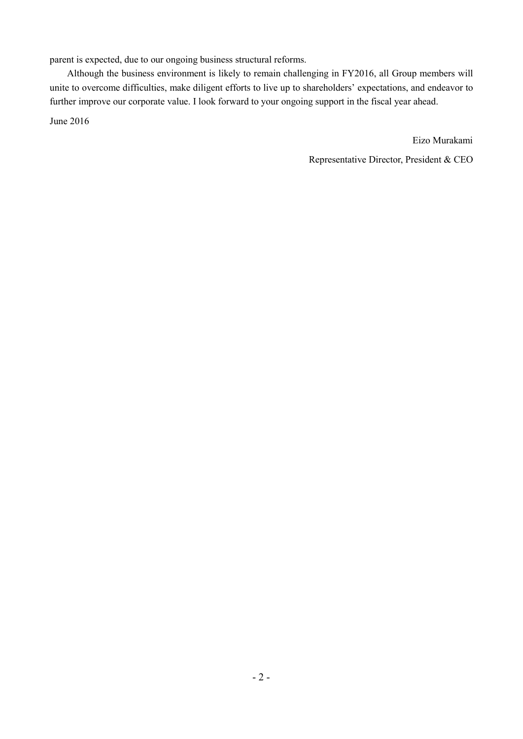parent is expected, due to our ongoing business structural reforms.

Although the business environment is likely to remain challenging in FY2016, all Group members will unite to overcome difficulties, make diligent efforts to live up to shareholders' expectations, and endeavor to further improve our corporate value. I look forward to your ongoing support in the fiscal year ahead.

June 2016

Eizo Murakami

Representative Director, President & CEO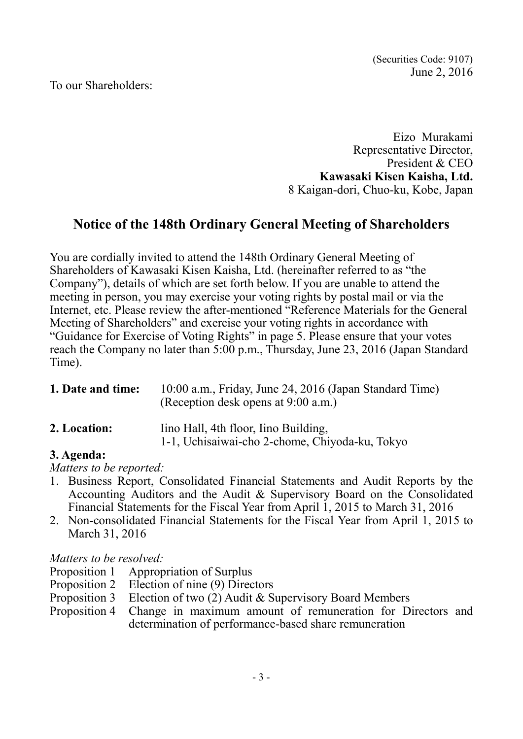To our Shareholders:

Eizo Murakami Representative Director, President & CEO **Kawasaki Kisen Kaisha, Ltd.** 8 Kaigan-dori, Chuo-ku, Kobe, Japan

# **Notice of the 148th Ordinary General Meeting of Shareholders**

You are cordially invited to attend the 148th Ordinary General Meeting of Shareholders of Kawasaki Kisen Kaisha, Ltd. (hereinafter referred to as "the Company"), details of which are set forth below. If you are unable to attend the meeting in person, you may exercise your voting rights by postal mail or via the Internet, etc. Please review the after-mentioned "Reference Materials for the General Meeting of Shareholders" and exercise your voting rights in accordance with "Guidance for Exercise of Voting Rights" in page 5. Please ensure that your votes reach the Company no later than 5:00 p.m., Thursday, June 23, 2016 (Japan Standard Time).

| 1. Date and time: | 10:00 a.m., Friday, June 24, 2016 (Japan Standard Time)<br>(Reception desk opens at 9:00 a.m.) |
|-------------------|------------------------------------------------------------------------------------------------|
| 2. Location:      | lino Hall, 4th floor, Iino Building,                                                           |

## **3. Agenda:**

*Matters to be reported:* 

1. Business Report, Consolidated Financial Statements and Audit Reports by the Accounting Auditors and the Audit & Supervisory Board on the Consolidated Financial Statements for the Fiscal Year from April 1, 2015 to March 31, 2016

1-1, Uchisaiwai-cho 2-chome, Chiyoda-ku, Tokyo

2. Non-consolidated Financial Statements for the Fiscal Year from April 1, 2015 to March 31, 2016

*Matters to be resolved:* 

- Proposition 1 Appropriation of Surplus
- Proposition 2 Election of nine (9) Directors
- Proposition 3 Election of two (2) Audit & Supervisory Board Members
- Proposition 4 Change in maximum amount of remuneration for Directors and determination of performance-based share remuneration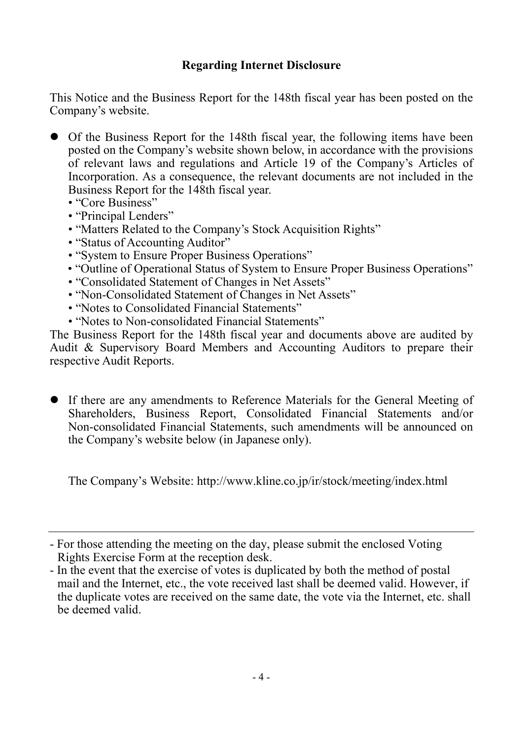## **Regarding Internet Disclosure**

This Notice and the Business Report for the 148th fiscal year has been posted on the Company's website.

- Of the Business Report for the 148th fiscal year, the following items have been posted on the Company's website shown below, in accordance with the provisions of relevant laws and regulations and Article 19 of the Company's Articles of Incorporation. As a consequence, the relevant documents are not included in the Business Report for the 148th fiscal year.
	- "Core Business"
	- "Principal Lenders"
	- "Matters Related to the Company's Stock Acquisition Rights"
	- "Status of Accounting Auditor"
	- "System to Ensure Proper Business Operations"
	- "Outline of Operational Status of System to Ensure Proper Business Operations"
	- "Consolidated Statement of Changes in Net Assets"
	- "Non-Consolidated Statement of Changes in Net Assets"
	- "Notes to Consolidated Financial Statements"
	- "Notes to Non-consolidated Financial Statements"

The Business Report for the 148th fiscal year and documents above are audited by Audit & Supervisory Board Members and Accounting Auditors to prepare their respective Audit Reports.

 If there are any amendments to Reference Materials for the General Meeting of Shareholders, Business Report, Consolidated Financial Statements and/or Non-consolidated Financial Statements, such amendments will be announced on the Company's website below (in Japanese only).

The Company's Website: http://www.kline.co.jp/ir/stock/meeting/index.html

<sup>-</sup> For those attending the meeting on the day, please submit the enclosed Voting Rights Exercise Form at the reception desk.

<sup>-</sup> In the event that the exercise of votes is duplicated by both the method of postal mail and the Internet, etc., the vote received last shall be deemed valid. However, if the duplicate votes are received on the same date, the vote via the Internet, etc. shall be deemed valid.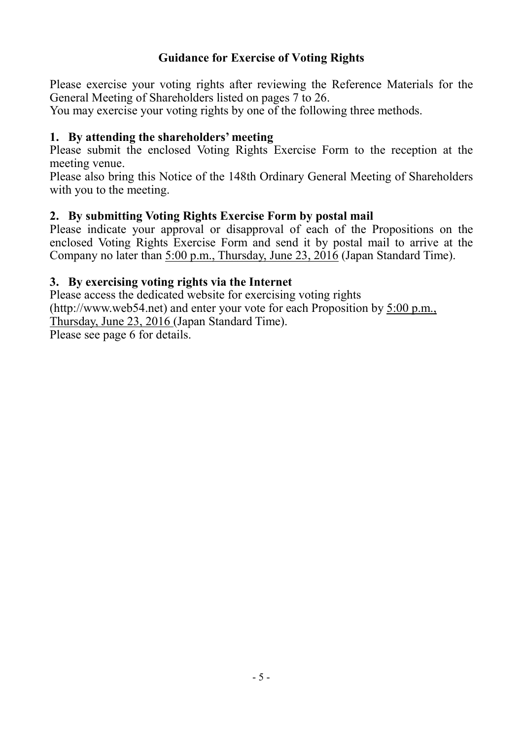## **Guidance for Exercise of Voting Rights**

Please exercise your voting rights after reviewing the Reference Materials for the General Meeting of Shareholders listed on pages 7 to 26.

You may exercise your voting rights by one of the following three methods.

## **1. By attending the shareholders' meeting**

Please submit the enclosed Voting Rights Exercise Form to the reception at the meeting venue.

Please also bring this Notice of the 148th Ordinary General Meeting of Shareholders with you to the meeting.

## **2. By submitting Voting Rights Exercise Form by postal mail**

Please indicate your approval or disapproval of each of the Propositions on the enclosed Voting Rights Exercise Form and send it by postal mail to arrive at the Company no later than 5:00 p.m., Thursday, June 23, 2016 (Japan Standard Time).

## **3. By exercising voting rights via the Internet**

Please access the dedicated website for exercising voting rights (http://www.web54.net) and enter your vote for each Proposition by 5:00 p.m., Thursday, June 23, 2016 (Japan Standard Time). Please see page 6 for details.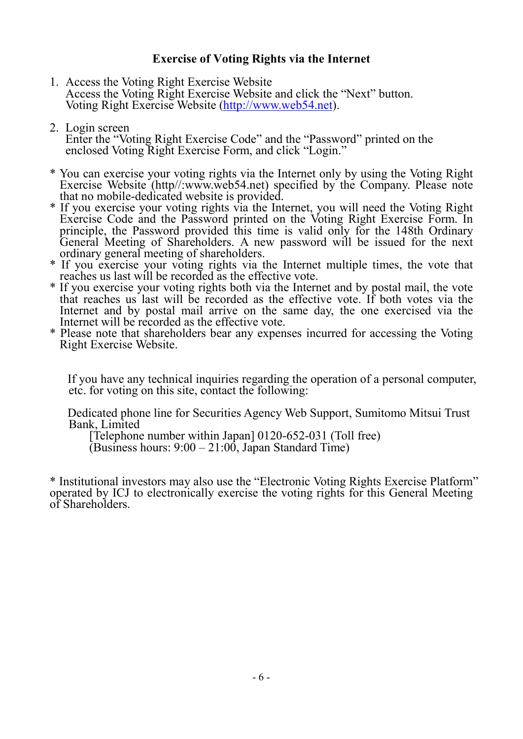## **Exercise of Voting Rights via the Internet**

- 1. Access the Voting Right Exercise Website Access the Voting Right Exercise Website and click the "Next" button. Voting Right Exercise Website (http://www.web54.net).
- 2. Login screen

Enter the "Voting Right Exercise Code" and the "Password" printed on the enclosed Voting Right Exercise Form, and click "Login."

- \* You can exercise your voting rights via the Internet only by using the Voting Right Exercise Website (http//:www.web54.net) specified by the Company. Please note that no mobile-dedicated website is provided.
- \* If you exercise your voting rights via the Internet, you will need the Voting Right Exercise Code and the Password printed on the Voting Right Exercise Form. In principle, the Password provided this time is valid only for the 148th Ordinary General Meeting of Shareholders. A new password will be issued for the next ordinary general meeting of shareholders.
- \* If you exercise your voting rights via the Internet multiple times, the vote that reaches us last will be recorded as the effective vote.
- \* If you exercise your voting rights both via the Internet and by postal mail, the vote that reaches us last will be recorded as the effective vote. If both votes via the Internet and by postal mail arrive on the same day, the one exercised via the Internet will be recorded as the effective vote.
- \* Please note that shareholders bear any expenses incurred for accessing the Voting Right Exercise Website.

If you have any technical inquiries regarding the operation of a personal computer, etc. for voting on this site, contact the following:

Dedicated phone line for Securities Agency Web Support, Sumitomo Mitsui Trust Bank, Limited

[Telephone number within Japan] 0120-652-031 (Toll free) (Business hours: 9:00 – 21:00, Japan Standard Time)

\* Institutional investors may also use the "Electronic Voting Rights Exercise Platform" operated by ICJ to electronically exercise the voting rights for this General Meeting of Shareholders.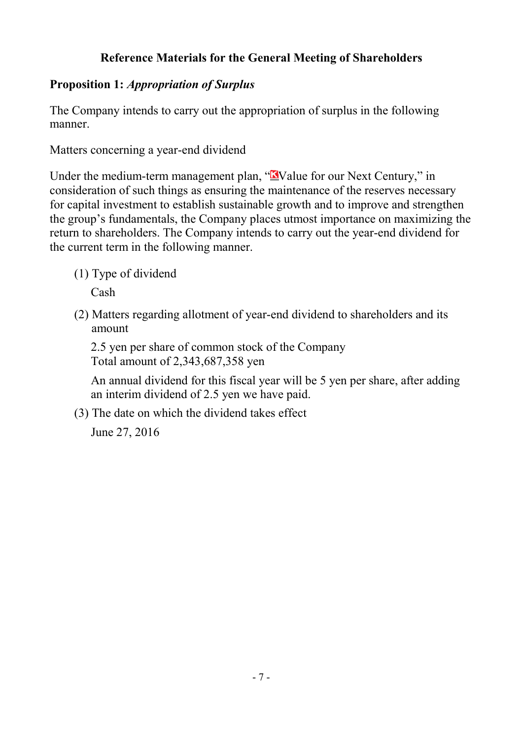# **Reference Materials for the General Meeting of Shareholders**

# **Proposition 1:** *Appropriation of Surplus*

The Company intends to carry out the appropriation of surplus in the following manner.

Matters concerning a year-end dividend

Under the medium-term management plan, " $\Delta$ Value for our Next Century," in consideration of such things as ensuring the maintenance of the reserves necessary for capital investment to establish sustainable growth and to improve and strengthen the group's fundamentals, the Company places utmost importance on maximizing the return to shareholders. The Company intends to carry out the year-end dividend for the current term in the following manner.

(1) Type of dividend

Cash

(2) Matters regarding allotment of year-end dividend to shareholders and its amount

2.5 yen per share of common stock of the Company Total amount of 2,343,687,358 yen

An annual dividend for this fiscal year will be 5 yen per share, after adding an interim dividend of 2.5 yen we have paid.

(3) The date on which the dividend takes effect

June 27, 2016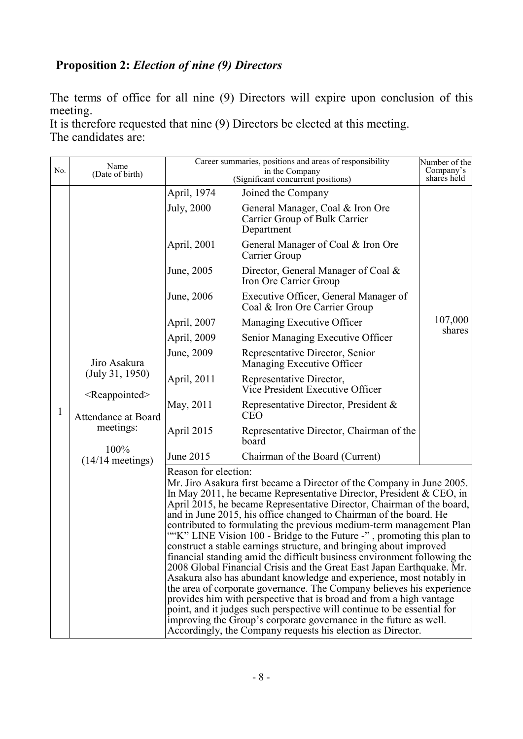# **Proposition 2:** *Election of nine (9) Directors*

The terms of office for all nine (9) Directors will expire upon conclusion of this meeting.

It is therefore requested that nine (9) Directors be elected at this meeting. The candidates are:

| No. | Name<br>(Date of birth)                                                                                       |                                                                                                                                                                         | Career summaries, positions and areas of responsibility<br>in the Company<br>(Significant concurrent positions)                                                                                                                                                                                                                                                                                                                                                                                                                                                                                                                                                                                                                                                                                                                                                                                                                                                                                                                                                                                              | Number of the<br>Company's<br>shares held |
|-----|---------------------------------------------------------------------------------------------------------------|-------------------------------------------------------------------------------------------------------------------------------------------------------------------------|--------------------------------------------------------------------------------------------------------------------------------------------------------------------------------------------------------------------------------------------------------------------------------------------------------------------------------------------------------------------------------------------------------------------------------------------------------------------------------------------------------------------------------------------------------------------------------------------------------------------------------------------------------------------------------------------------------------------------------------------------------------------------------------------------------------------------------------------------------------------------------------------------------------------------------------------------------------------------------------------------------------------------------------------------------------------------------------------------------------|-------------------------------------------|
| 1   | Jiro Asakura<br>(July 31, 1950)<br><reappointed><br/>Attendance at Board<br/>meetings:<br/>100%</reappointed> | April, 1974<br>July, 2000<br>April, 2001<br>June, 2005<br>June, 2006<br>April, 2007<br>April, 2009<br>June, 2009<br>April, 2011<br>May, 2011<br>April 2015<br>June 2015 | Joined the Company<br>General Manager, Coal & Iron Ore<br>Carrier Group of Bulk Carrier<br>Department<br>General Manager of Coal & Iron Ore<br>Carrier Group<br>Director, General Manager of Coal &<br>Iron Ore Carrier Group<br>Executive Officer, General Manager of<br>Coal & Iron Ore Carrier Group<br>Managing Executive Officer<br>Senior Managing Executive Officer<br>Representative Director, Senior<br>Managing Executive Officer<br>Representative Director,<br>Vice President Executive Officer<br>Representative Director, President &<br><b>CEO</b><br>Representative Director, Chairman of the<br>board<br>Chairman of the Board (Current)                                                                                                                                                                                                                                                                                                                                                                                                                                                    | 107,000<br>shares                         |
|     | $(14/14$ meetings)                                                                                            | Reason for election:                                                                                                                                                    | Mr. Jiro Asakura first became a Director of the Company in June 2005.<br>In May 2011, he became Representative Director, President & CEO, in<br>April 2015, he became Representative Director, Chairman of the board,<br>and in June 2015, his office changed to Chairman of the board. He<br>contributed to formulating the previous medium-term management Plan<br>""K" LINE Vision 100 - Bridge to the Future -", promoting this plan to<br>construct a stable earnings structure, and bringing about improved<br>financial standing amid the difficult business environment following the<br>2008 Global Financial Crisis and the Great East Japan Earthquake. Mr.<br>Asakura also has abundant knowledge and experience, most notably in<br>the area of corporate governance. The Company believes his experience<br>provides him with perspective that is broad and from a high vantage<br>point, and it judges such perspective will continue to be essential for<br>improving the Group's corporate governance in the future as well.<br>Accordingly, the Company requests his election as Director. |                                           |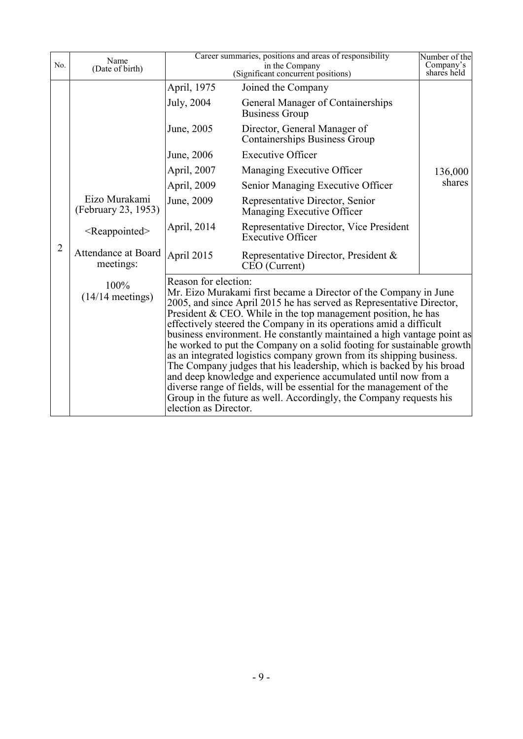| No.            | Name<br>(Date of birth)              |                                                                                                                                                                                                                                                                                                                                                                                                                                                                                                                                                                                                                                                                                                                                                                                                                                                        | Career summaries, positions and areas of responsibility<br>in the Company<br>(Significant concurrent positions) | Number of the<br>Company's<br>shares held |
|----------------|--------------------------------------|--------------------------------------------------------------------------------------------------------------------------------------------------------------------------------------------------------------------------------------------------------------------------------------------------------------------------------------------------------------------------------------------------------------------------------------------------------------------------------------------------------------------------------------------------------------------------------------------------------------------------------------------------------------------------------------------------------------------------------------------------------------------------------------------------------------------------------------------------------|-----------------------------------------------------------------------------------------------------------------|-------------------------------------------|
|                |                                      | April, 1975                                                                                                                                                                                                                                                                                                                                                                                                                                                                                                                                                                                                                                                                                                                                                                                                                                            | Joined the Company                                                                                              |                                           |
|                |                                      | July, 2004                                                                                                                                                                                                                                                                                                                                                                                                                                                                                                                                                                                                                                                                                                                                                                                                                                             | General Manager of Containerships<br><b>Business Group</b>                                                      |                                           |
|                |                                      | June, 2005                                                                                                                                                                                                                                                                                                                                                                                                                                                                                                                                                                                                                                                                                                                                                                                                                                             | Director, General Manager of<br><b>Containerships Business Group</b>                                            |                                           |
|                |                                      | June, 2006                                                                                                                                                                                                                                                                                                                                                                                                                                                                                                                                                                                                                                                                                                                                                                                                                                             | <b>Executive Officer</b>                                                                                        |                                           |
|                |                                      | April, 2007                                                                                                                                                                                                                                                                                                                                                                                                                                                                                                                                                                                                                                                                                                                                                                                                                                            | Managing Executive Officer                                                                                      | 136,000                                   |
|                |                                      | April, 2009                                                                                                                                                                                                                                                                                                                                                                                                                                                                                                                                                                                                                                                                                                                                                                                                                                            | Senior Managing Executive Officer                                                                               | shares                                    |
|                | Eizo Murakami<br>(February 23, 1953) | June, 2009                                                                                                                                                                                                                                                                                                                                                                                                                                                                                                                                                                                                                                                                                                                                                                                                                                             | Representative Director, Senior<br>Managing Executive Officer                                                   |                                           |
|                | $<$ Reappointed $>$                  | April, 2014                                                                                                                                                                                                                                                                                                                                                                                                                                                                                                                                                                                                                                                                                                                                                                                                                                            | Representative Director, Vice President<br><b>Executive Officer</b>                                             |                                           |
| $\overline{2}$ | Attendance at Board<br>meetings:     | April 2015                                                                                                                                                                                                                                                                                                                                                                                                                                                                                                                                                                                                                                                                                                                                                                                                                                             | Representative Director, President &<br>CEO (Current)                                                           |                                           |
|                | 100%<br>$(14/14$ meetings)           | Reason for election:<br>Mr. Eizo Murakami first became a Director of the Company in June<br>2005, and since April 2015 he has served as Representative Director,<br>President $&$ CEO. While in the top management position, he has<br>effectively steered the Company in its operations amid a difficult<br>business environment. He constantly maintained a high vantage point as<br>he worked to put the Company on a solid footing for sustainable growth<br>as an integrated logistics company grown from its shipping business.<br>The Company judges that his leadership, which is backed by his broad<br>and deep knowledge and experience accumulated until now from a<br>diverse range of fields, will be essential for the management of the<br>Group in the future as well. Accordingly, the Company requests his<br>election as Director. |                                                                                                                 |                                           |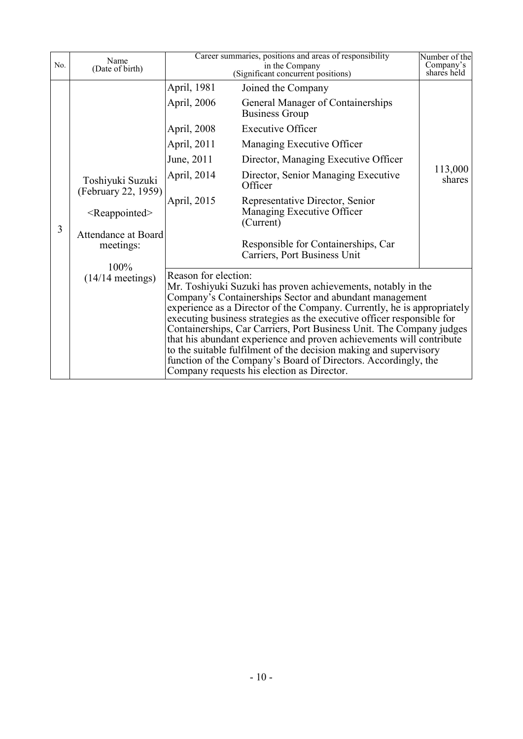| No. | Name<br>(Date of birth)                                                                                          | Career summaries, positions and areas of responsibility<br>(Significant concurrent positions)        | Number of the<br>Company's<br>shares held                                                                                                                                                                                                                                                                                                                                                                                                                                                                                                                                                                         |                   |
|-----|------------------------------------------------------------------------------------------------------------------|------------------------------------------------------------------------------------------------------|-------------------------------------------------------------------------------------------------------------------------------------------------------------------------------------------------------------------------------------------------------------------------------------------------------------------------------------------------------------------------------------------------------------------------------------------------------------------------------------------------------------------------------------------------------------------------------------------------------------------|-------------------|
| 3   | Toshiyuki Suzuki<br>(February 22, 1959)<br>$\leq$ Reappointed $\geq$<br>Attendance at Board<br>meetings:<br>100% | April, 1981<br>April, 2006<br>April, 2008<br>April, 2011<br>June, 2011<br>April, 2014<br>April, 2015 | Joined the Company<br>General Manager of Containerships<br><b>Business Group</b><br><b>Executive Officer</b><br>Managing Executive Officer<br>Director, Managing Executive Officer<br>Director, Senior Managing Executive<br>Officer<br>Representative Director, Senior<br>Managing Executive Officer<br>(Current)<br>Responsible for Containerships, Car<br>Carriers, Port Business Unit                                                                                                                                                                                                                         | 113,000<br>shares |
|     | $(14/14$ meetings)                                                                                               | Reason for election:                                                                                 | Mr. Toshiyuki Suzuki has proven achievements, notably in the<br>Company's Containerships Sector and abundant management<br>experience as a Director of the Company. Currently, he is appropriately<br>executing business strategies as the executive officer responsible for<br>Containerships, Car Carriers, Port Business Unit. The Company judges<br>that his abundant experience and proven achievements will contribute<br>to the suitable fulfilment of the decision making and supervisory<br>function of the Company's Board of Directors. Accordingly, the<br>Company requests his election as Director. |                   |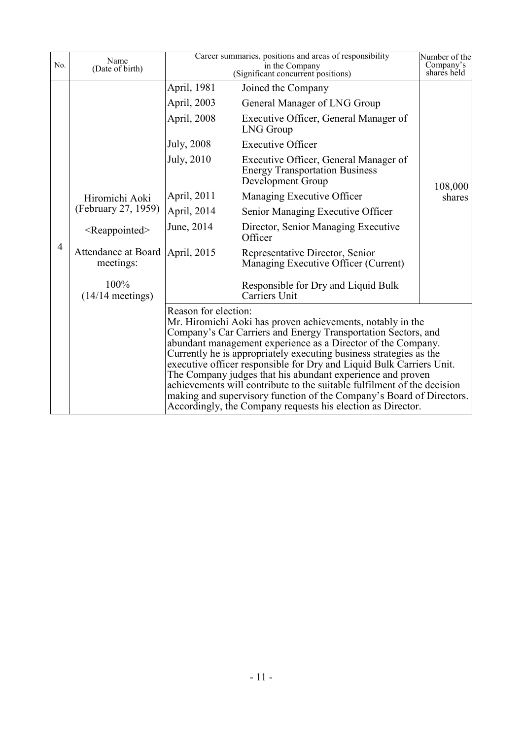| No.            | Name<br>(Date of birth)                                                                                             |                                                                                                                                                                                                                                                                                                                                                                                                                                                                                                                                                                                                                                                                    | Career summaries, positions and areas of responsibility<br>in the Company<br>(Significant concurrent positions)                                                                                                                                                                                                                                                                                                                                                                    |                                  |  |
|----------------|---------------------------------------------------------------------------------------------------------------------|--------------------------------------------------------------------------------------------------------------------------------------------------------------------------------------------------------------------------------------------------------------------------------------------------------------------------------------------------------------------------------------------------------------------------------------------------------------------------------------------------------------------------------------------------------------------------------------------------------------------------------------------------------------------|------------------------------------------------------------------------------------------------------------------------------------------------------------------------------------------------------------------------------------------------------------------------------------------------------------------------------------------------------------------------------------------------------------------------------------------------------------------------------------|----------------------------------|--|
| $\overline{4}$ | Hiromichi Aoki<br>(February 27, 1959)<br><reappointed><br/>Attendance at Board<br/>meetings:<br/>100%</reappointed> | April, 1981<br>April, 2003<br>April, 2008<br>July, 2008<br>July, 2010<br>April, 2011<br>April, 2014<br>June, 2014<br>April, 2015                                                                                                                                                                                                                                                                                                                                                                                                                                                                                                                                   | Joined the Company<br>General Manager of LNG Group<br>Executive Officer, General Manager of<br>LNG Group<br><b>Executive Officer</b><br>Executive Officer, General Manager of<br><b>Energy Transportation Business</b><br>Development Group<br>Managing Executive Officer<br>Senior Managing Executive Officer<br>Director, Senior Managing Executive<br>Officer<br>Representative Director, Senior<br>Managing Executive Officer (Current)<br>Responsible for Dry and Liquid Bulk | shares held<br>108,000<br>shares |  |
|                | $(14/14$ meetings)                                                                                                  | Carriers Unit<br>Reason for election:<br>Mr. Hiromichi Aoki has proven achievements, notably in the<br>Company's Car Carriers and Energy Transportation Sectors, and<br>abundant management experience as a Director of the Company.<br>Currently he is appropriately executing business strategies as the<br>executive officer responsible for Dry and Liquid Bulk Carriers Unit.<br>The Company judges that his abundant experience and proven<br>achievements will contribute to the suitable fulfilment of the decision<br>making and supervisory function of the Company's Board of Directors.<br>Accordingly, the Company requests his election as Director. |                                                                                                                                                                                                                                                                                                                                                                                                                                                                                    |                                  |  |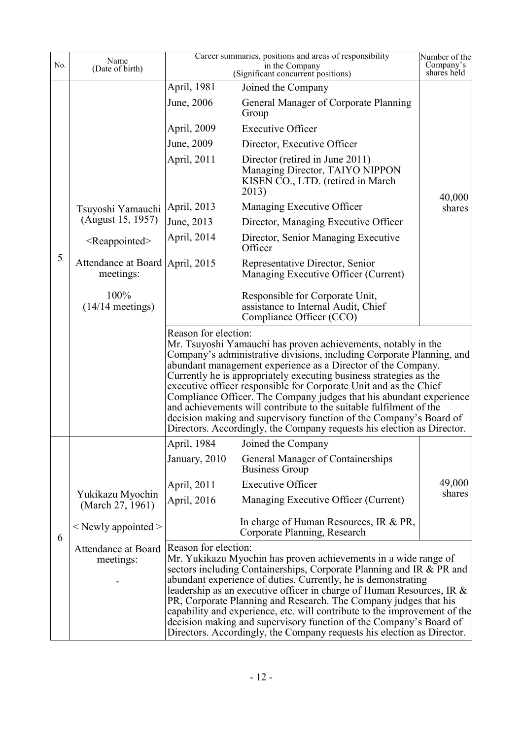| No. | Name<br>(Date of birth)              |                                                                                                                                                                                                                                                                                                                                                                                                                                                                                                                                  | Career summaries, positions and areas of responsibility<br>Number of the<br>Company's<br>in the Company                                                                                                                                                                                                                                                                                                                                                                                                                                                                                                                                                                |        |  |  |
|-----|--------------------------------------|----------------------------------------------------------------------------------------------------------------------------------------------------------------------------------------------------------------------------------------------------------------------------------------------------------------------------------------------------------------------------------------------------------------------------------------------------------------------------------------------------------------------------------|------------------------------------------------------------------------------------------------------------------------------------------------------------------------------------------------------------------------------------------------------------------------------------------------------------------------------------------------------------------------------------------------------------------------------------------------------------------------------------------------------------------------------------------------------------------------------------------------------------------------------------------------------------------------|--------|--|--|
|     |                                      |                                                                                                                                                                                                                                                                                                                                                                                                                                                                                                                                  | (Significant concurrent positions)                                                                                                                                                                                                                                                                                                                                                                                                                                                                                                                                                                                                                                     |        |  |  |
|     |                                      | April, 1981                                                                                                                                                                                                                                                                                                                                                                                                                                                                                                                      | Joined the Company                                                                                                                                                                                                                                                                                                                                                                                                                                                                                                                                                                                                                                                     |        |  |  |
|     |                                      | June, 2006                                                                                                                                                                                                                                                                                                                                                                                                                                                                                                                       | General Manager of Corporate Planning<br>Group                                                                                                                                                                                                                                                                                                                                                                                                                                                                                                                                                                                                                         |        |  |  |
|     |                                      | April, 2009                                                                                                                                                                                                                                                                                                                                                                                                                                                                                                                      | <b>Executive Officer</b>                                                                                                                                                                                                                                                                                                                                                                                                                                                                                                                                                                                                                                               |        |  |  |
|     |                                      | June, 2009                                                                                                                                                                                                                                                                                                                                                                                                                                                                                                                       | Director, Executive Officer                                                                                                                                                                                                                                                                                                                                                                                                                                                                                                                                                                                                                                            |        |  |  |
|     |                                      | April, 2011                                                                                                                                                                                                                                                                                                                                                                                                                                                                                                                      | Director (retired in June 2011)<br>Managing Director, TAIYO NIPPON<br>KISEN CO., LTD. (retired in March<br>2013)                                                                                                                                                                                                                                                                                                                                                                                                                                                                                                                                                       | 40,000 |  |  |
|     | Tsuyoshi Yamauchi                    | April, 2013                                                                                                                                                                                                                                                                                                                                                                                                                                                                                                                      | Managing Executive Officer                                                                                                                                                                                                                                                                                                                                                                                                                                                                                                                                                                                                                                             | shares |  |  |
|     | (August 15, 1957)                    | June, 2013                                                                                                                                                                                                                                                                                                                                                                                                                                                                                                                       | Director, Managing Executive Officer                                                                                                                                                                                                                                                                                                                                                                                                                                                                                                                                                                                                                                   |        |  |  |
|     | $<$ Reappointed $>$                  | April, 2014                                                                                                                                                                                                                                                                                                                                                                                                                                                                                                                      | Director, Senior Managing Executive<br>Officer                                                                                                                                                                                                                                                                                                                                                                                                                                                                                                                                                                                                                         |        |  |  |
| 5   | Attendance at Board<br>meetings:     | April, 2015                                                                                                                                                                                                                                                                                                                                                                                                                                                                                                                      | Representative Director, Senior<br>Managing Executive Officer (Current)                                                                                                                                                                                                                                                                                                                                                                                                                                                                                                                                                                                                |        |  |  |
|     | 100%<br>$(14/14$ meetings)           |                                                                                                                                                                                                                                                                                                                                                                                                                                                                                                                                  | Responsible for Corporate Unit,<br>assistance to Internal Audit, Chief<br>Compliance Officer (CCO)                                                                                                                                                                                                                                                                                                                                                                                                                                                                                                                                                                     |        |  |  |
|     |                                      |                                                                                                                                                                                                                                                                                                                                                                                                                                                                                                                                  | Reason for election:<br>Mr. Tsuyoshi Yamauchi has proven achievements, notably in the<br>Company's administrative divisions, including Corporate Planning, and<br>abundant management experience as a Director of the Company.<br>Currently he is appropriately executing business strategies as the<br>executive officer responsible for Corporate Unit and as the Chief<br>Compliance Officer. The Company judges that his abundant experience<br>and achievements will contribute to the suitable fulfilment of the<br>decision making and supervisory function of the Company's Board of<br>Directors. Accordingly, the Company requests his election as Director. |        |  |  |
|     |                                      |                                                                                                                                                                                                                                                                                                                                                                                                                                                                                                                                  | April, 1984 Joined the Company                                                                                                                                                                                                                                                                                                                                                                                                                                                                                                                                                                                                                                         |        |  |  |
|     |                                      | January, 2010                                                                                                                                                                                                                                                                                                                                                                                                                                                                                                                    | General Manager of Containerships<br><b>Business Group</b>                                                                                                                                                                                                                                                                                                                                                                                                                                                                                                                                                                                                             |        |  |  |
|     |                                      | April, 2011                                                                                                                                                                                                                                                                                                                                                                                                                                                                                                                      | <b>Executive Officer</b>                                                                                                                                                                                                                                                                                                                                                                                                                                                                                                                                                                                                                                               | 49,000 |  |  |
|     | Yukikazu Myochin<br>(March 27, 1961) | April, 2016                                                                                                                                                                                                                                                                                                                                                                                                                                                                                                                      | Managing Executive Officer (Current)                                                                                                                                                                                                                                                                                                                                                                                                                                                                                                                                                                                                                                   | shares |  |  |
| 6   | $\le$ Newly appointed $\ge$          |                                                                                                                                                                                                                                                                                                                                                                                                                                                                                                                                  | In charge of Human Resources, IR & PR,<br>Corporate Planning, Research                                                                                                                                                                                                                                                                                                                                                                                                                                                                                                                                                                                                 |        |  |  |
|     | Attendance at Board<br>meetings:     | Reason for election:<br>Mr. Yukikazu Myochin has proven achievements in a wide range of<br>sectors including Containerships, Corporate Planning and IR & PR and<br>abundant experience of duties. Currently, he is demonstrating<br>leadership as an executive officer in charge of Human Resources, IR &<br>PR, Corporate Planning and Research. The Company judges that his<br>capability and experience, etc. will contribute to the improvement of the<br>decision making and supervisory function of the Company's Board of |                                                                                                                                                                                                                                                                                                                                                                                                                                                                                                                                                                                                                                                                        |        |  |  |
|     |                                      |                                                                                                                                                                                                                                                                                                                                                                                                                                                                                                                                  | Directors. Accordingly, the Company requests his election as Director.                                                                                                                                                                                                                                                                                                                                                                                                                                                                                                                                                                                                 |        |  |  |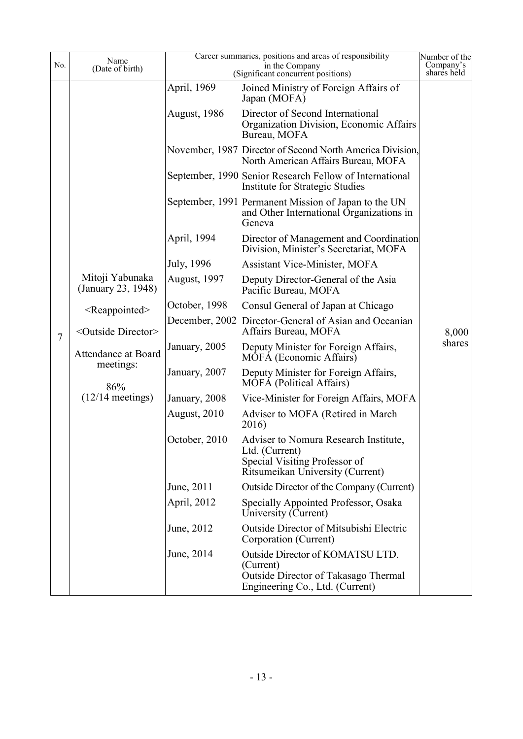| No.            | Name<br>(Date of birth)               |                     | Career summaries, positions and areas of responsibility<br>in the Company                                                    | Number of the<br>Company's |
|----------------|---------------------------------------|---------------------|------------------------------------------------------------------------------------------------------------------------------|----------------------------|
|                |                                       | April, 1969         | (Significant concurrent positions)<br>Joined Ministry of Foreign Affairs of                                                  | shares held                |
|                |                                       |                     | Japan (MOFA)                                                                                                                 |                            |
|                |                                       | <b>August, 1986</b> | Director of Second International<br>Organization Division, Economic Affairs<br>Bureau, MOFA                                  |                            |
|                |                                       |                     | November, 1987 Director of Second North America Division,<br>North American Affairs Bureau, MOFA                             |                            |
|                |                                       |                     | September, 1990 Senior Research Fellow of International<br>Institute for Strategic Studies                                   |                            |
|                |                                       |                     | September, 1991 Permanent Mission of Japan to the UN<br>and Other International Organizations in<br>Geneva                   |                            |
|                |                                       | April, 1994         | Director of Management and Coordination<br>Division, Minister's Secretariat, MOFA                                            |                            |
|                |                                       | July, 1996          | <b>Assistant Vice-Minister, MOFA</b>                                                                                         |                            |
|                | Mitoji Yabunaka<br>(January 23, 1948) | <b>August, 1997</b> | Deputy Director-General of the Asia<br>Pacific Bureau, MOFA                                                                  |                            |
|                | <reappointed></reappointed>           | October, 1998       | Consul General of Japan at Chicago                                                                                           |                            |
| $\overline{7}$ | <outside director=""></outside>       |                     | December, 2002 Director-General of Asian and Oceanian<br>Affairs Bureau, MOFA                                                | 8,000                      |
|                | Attendance at Board<br>meetings:      | January, 2005       | Deputy Minister for Foreign Affairs,<br>MOFA (Economic Affairs)                                                              | shares                     |
|                | 86%                                   | January, 2007       | Deputy Minister for Foreign Affairs,<br><b>MOFA</b> (Political Affairs)                                                      |                            |
|                | $(12/14$ meetings)                    | January, 2008       | Vice-Minister for Foreign Affairs, MOFA                                                                                      |                            |
|                |                                       | <b>August, 2010</b> | Adviser to MOFA (Retired in March<br>2016)                                                                                   |                            |
|                |                                       | October, 2010       | Adviser to Nomura Research Institute.<br>Ltd. (Current)<br>Special Visiting Professor of<br>Ritsumeikan University (Current) |                            |
|                |                                       | June, 2011          | Outside Director of the Company (Current)                                                                                    |                            |
|                |                                       | April, 2012         | Specially Appointed Professor, Osaka<br>University (Current)                                                                 |                            |
|                |                                       | June, 2012          | <b>Outside Director of Mitsubishi Electric</b><br>Corporation (Current)                                                      |                            |
|                |                                       | June, 2014          | Outside Director of KOMATSU LTD.<br>(Current)<br>Outside Director of Takasago Thermal<br>Engineering Co., Ltd. (Current)     |                            |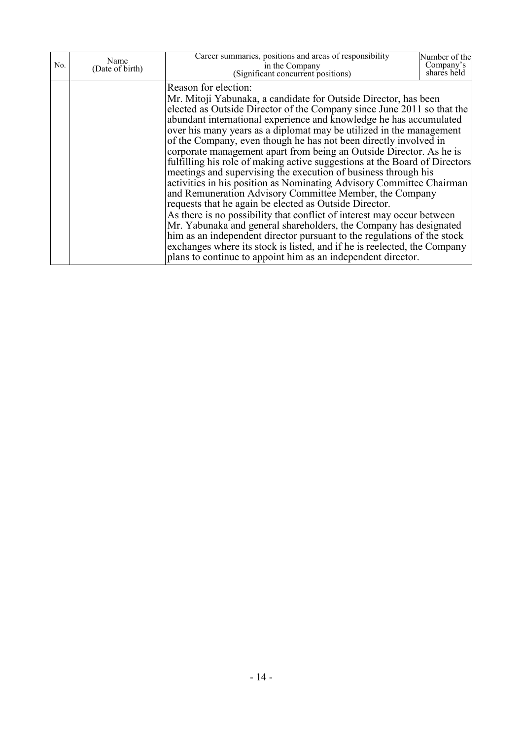| No. | Name<br>(Date of birth) | Career summaries, positions and areas of responsibility<br>in the Company<br>(Significant concurrent positions)                                                                                                                                                                                                                                                                                                                                                                                                                                                                                                                                                                                                                                                                                                                                                                                                                                                                                                                                                                                                                                                              | Number of the<br>Company's<br>shares held |
|-----|-------------------------|------------------------------------------------------------------------------------------------------------------------------------------------------------------------------------------------------------------------------------------------------------------------------------------------------------------------------------------------------------------------------------------------------------------------------------------------------------------------------------------------------------------------------------------------------------------------------------------------------------------------------------------------------------------------------------------------------------------------------------------------------------------------------------------------------------------------------------------------------------------------------------------------------------------------------------------------------------------------------------------------------------------------------------------------------------------------------------------------------------------------------------------------------------------------------|-------------------------------------------|
|     |                         | Reason for election:<br>Mr. Mitoji Yabunaka, a candidate for Outside Director, has been<br>elected as Outside Director of the Company since June 2011 so that the<br>abundant international experience and knowledge he has accumulated<br>over his many years as a diplomat may be utilized in the management<br>of the Company, even though he has not been directly involved in<br>corporate management apart from being an Outside Director. As he is<br>fulfilling his role of making active suggestions at the Board of Directors<br>meetings and supervising the execution of business through his<br>activities in his position as Nominating Advisory Committee Chairman<br>and Remuneration Advisory Committee Member, the Company<br>requests that he again be elected as Outside Director.<br>As there is no possibility that conflict of interest may occur between<br>Mr. Yabunaka and general shareholders, the Company has designated<br>him as an independent director pursuant to the regulations of the stock<br>exchanges where its stock is listed, and if he is reelected, the Company<br>plans to continue to appoint him as an independent director. |                                           |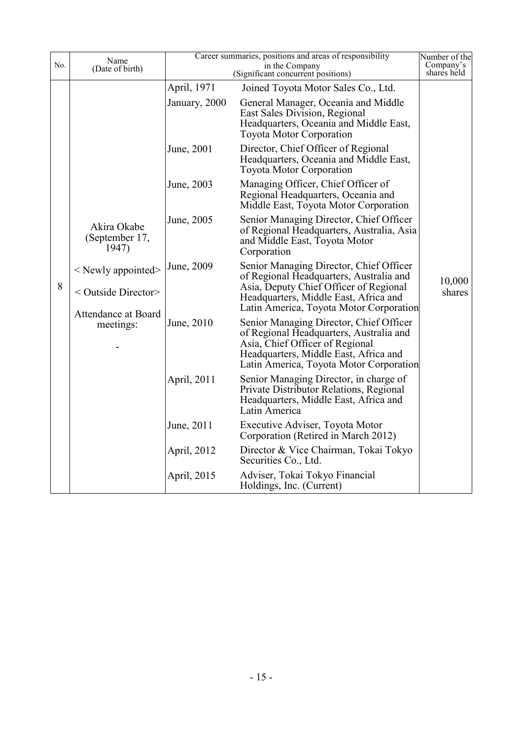| No. | Name<br>(Date of birth)                                                                                                               |                                                                                                                                 | Career summaries, positions and areas of responsibility<br>in the Company                                                                                                                                                                                                                                                                                                                                                                                                                                                                                                                                                                                                                                                                                                                                                                                                                                                                                                                                                                                                                                                                                                                                                                                          | Company's<br>shares held          |
|-----|---------------------------------------------------------------------------------------------------------------------------------------|---------------------------------------------------------------------------------------------------------------------------------|--------------------------------------------------------------------------------------------------------------------------------------------------------------------------------------------------------------------------------------------------------------------------------------------------------------------------------------------------------------------------------------------------------------------------------------------------------------------------------------------------------------------------------------------------------------------------------------------------------------------------------------------------------------------------------------------------------------------------------------------------------------------------------------------------------------------------------------------------------------------------------------------------------------------------------------------------------------------------------------------------------------------------------------------------------------------------------------------------------------------------------------------------------------------------------------------------------------------------------------------------------------------|-----------------------------------|
| 8   | Akira Okabe<br>(September 17,<br>1947)<br>$\le$ Newly appointed $\ge$<br>$\leq$ Outside Director><br>Attendance at Board<br>meetings: | April, 1971<br>January, 2000<br>June, 2001<br>June, 2003<br>June, 2005<br>June, 2009<br>June, 2010<br>April, 2011<br>June, 2011 | (Significant concurrent positions)<br>Joined Toyota Motor Sales Co., Ltd.<br>General Manager, Oceania and Middle<br>East Sales Division, Regional<br>Headquarters, Oceania and Middle East,<br><b>Toyota Motor Corporation</b><br>Director, Chief Officer of Regional<br>Headquarters, Oceania and Middle East,<br>Toyota Motor Corporation<br>Managing Officer, Chief Officer of<br>Regional Headquarters, Oceania and<br>Middle East, Toyota Motor Corporation<br>Senior Managing Director, Chief Officer<br>of Regional Headquarters, Australia, Asia<br>and Middle East, Toyota Motor<br>Corporation<br>Senior Managing Director, Chief Officer<br>of Regional Headquarters, Australia and<br>Asia, Deputy Chief Officer of Regional<br>Headquarters, Middle East, Africa and<br>Latin America, Toyota Motor Corporation<br>Senior Managing Director, Chief Officer<br>of Regional Headquarters, Australia and<br>Asia, Chief Officer of Regional<br>Headquarters, Middle East, Africa and<br>Latin America, Toyota Motor Corporation<br>Senior Managing Director, in charge of<br>Private Distributor Relations, Regional<br>Headquarters, Middle East, Africa and<br>Latin America<br>Executive Adviser, Toyota Motor<br>Corporation (Retired in March 2012) | Number of the<br>10,000<br>shares |
|     |                                                                                                                                       | April, 2012<br>April, 2015                                                                                                      | Director & Vice Chairman, Tokai Tokyo<br>Securities Co., Ltd.<br>Adviser, Tokai Tokyo Financial                                                                                                                                                                                                                                                                                                                                                                                                                                                                                                                                                                                                                                                                                                                                                                                                                                                                                                                                                                                                                                                                                                                                                                    |                                   |
|     |                                                                                                                                       |                                                                                                                                 | Holdings, Inc. (Current)                                                                                                                                                                                                                                                                                                                                                                                                                                                                                                                                                                                                                                                                                                                                                                                                                                                                                                                                                                                                                                                                                                                                                                                                                                           |                                   |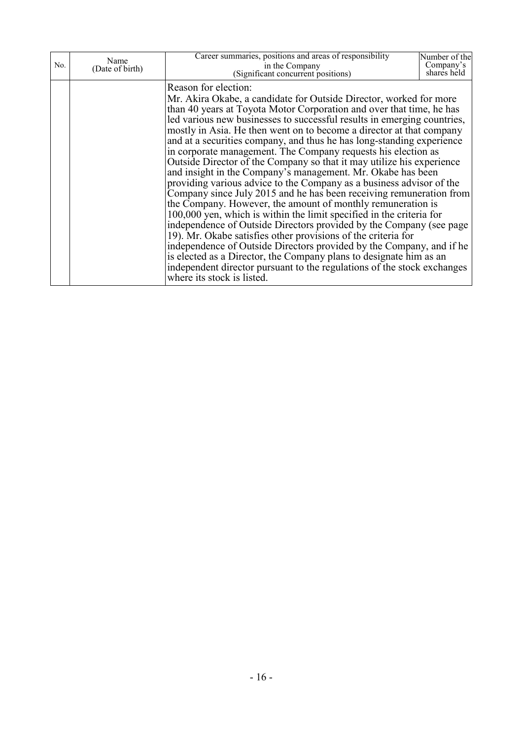| No. | Name            | Career summaries, positions and areas of responsibility                                                                                                                                                                                                                                                                                                                                                                                                                                                                                                                                                                                                                                                                                                                                                                                                                                                                                                                                                                                                                                                                                                                                                                                                                                      | Number of the            |
|-----|-----------------|----------------------------------------------------------------------------------------------------------------------------------------------------------------------------------------------------------------------------------------------------------------------------------------------------------------------------------------------------------------------------------------------------------------------------------------------------------------------------------------------------------------------------------------------------------------------------------------------------------------------------------------------------------------------------------------------------------------------------------------------------------------------------------------------------------------------------------------------------------------------------------------------------------------------------------------------------------------------------------------------------------------------------------------------------------------------------------------------------------------------------------------------------------------------------------------------------------------------------------------------------------------------------------------------|--------------------------|
|     | (Date of birth) | in the Company<br>(Significant concurrent positions)                                                                                                                                                                                                                                                                                                                                                                                                                                                                                                                                                                                                                                                                                                                                                                                                                                                                                                                                                                                                                                                                                                                                                                                                                                         | Company's<br>shares held |
|     |                 | Reason for election:<br>Mr. Akira Okabe, a candidate for Outside Director, worked for more<br>than 40 years at Toyota Motor Corporation and over that time, he has<br>led various new businesses to successful results in emerging countries,<br>mostly in Asia. He then went on to become a director at that company<br>and at a securities company, and thus he has long-standing experience<br>in corporate management. The Company requests his election as<br>Outside Director of the Company so that it may utilize his experience<br>and insight in the Company's management. Mr. Okabe has been<br>providing various advice to the Company as a business advisor of the<br>Company since July 2015 and he has been receiving remuneration from<br>the Company. However, the amount of monthly remuneration is<br>100,000 yen, which is within the limit specified in the criteria for<br>independence of Outside Directors provided by the Company (see page<br>19). Mr. Okabe satisfies other provisions of the criteria for<br>independence of Outside Directors provided by the Company, and if he<br>is elected as a Director, the Company plans to designate him as an<br>independent director pursuant to the regulations of the stock exchanges<br>where its stock is listed. |                          |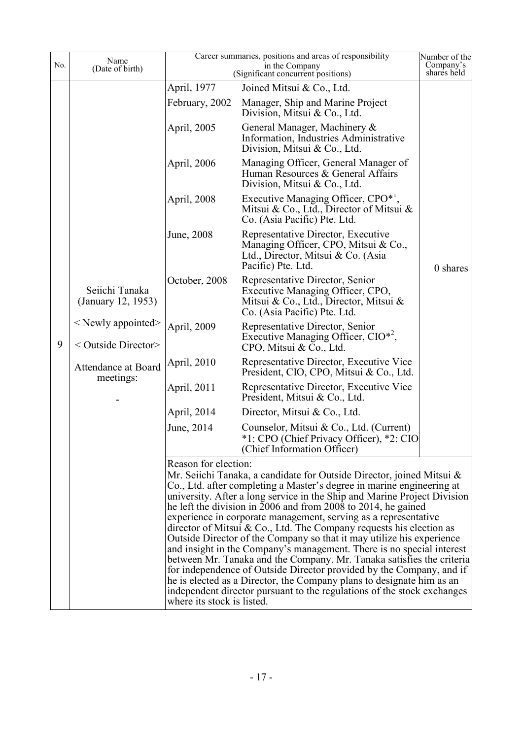| No. | Name                                               |                                                                                                                                                                                                                    | Career summaries, positions and areas of responsibility<br>in the Company                                                                                                                                                                                                                                                | Number of the<br>Company's |  |  |
|-----|----------------------------------------------------|--------------------------------------------------------------------------------------------------------------------------------------------------------------------------------------------------------------------|--------------------------------------------------------------------------------------------------------------------------------------------------------------------------------------------------------------------------------------------------------------------------------------------------------------------------|----------------------------|--|--|
|     | (Date of birth)                                    |                                                                                                                                                                                                                    | (Significant concurrent positions)                                                                                                                                                                                                                                                                                       | shares held                |  |  |
|     |                                                    | April, 1977                                                                                                                                                                                                        | Joined Mitsui & Co., Ltd.                                                                                                                                                                                                                                                                                                |                            |  |  |
|     |                                                    | February, 2002                                                                                                                                                                                                     | Manager, Ship and Marine Project<br>Division, Mitsui & Co., Ltd.                                                                                                                                                                                                                                                         |                            |  |  |
|     |                                                    | April, 2005                                                                                                                                                                                                        | General Manager, Machinery &<br>Information, Industries Administrative<br>Division, Mitsui & Co., Ltd.                                                                                                                                                                                                                   |                            |  |  |
|     |                                                    | April, 2006                                                                                                                                                                                                        | Managing Officer, General Manager of<br>Human Resources & General Affairs<br>Division, Mitsui & Co., Ltd.                                                                                                                                                                                                                |                            |  |  |
|     |                                                    | April, 2008                                                                                                                                                                                                        | Executive Managing Officer, CPO <sup>*1</sup> ,<br>Mitsui & Co., Ltd., Director of Mitsui $\&$<br>Co. (Asia Pacific) Pte. Ltd.                                                                                                                                                                                           |                            |  |  |
|     |                                                    | June, 2008                                                                                                                                                                                                         | Representative Director, Executive<br>Managing Officer, CPO, Mitsui & Co.,<br>Ltd., Director, Mitsui & Co. (Asia<br>Pacific) Pte. Ltd.                                                                                                                                                                                   | 0 shares                   |  |  |
|     | Seiichi Tanaka<br>(January 12, 1953)               | October, 2008                                                                                                                                                                                                      | Representative Director, Senior<br>Executive Managing Officer, CPO,<br>Mitsui & Co., Ltd., Director, Mitsui &<br>Co. (Asia Pacific) Pte. Ltd.                                                                                                                                                                            |                            |  |  |
| 9   | $\le$ Newly appointed $\ge$<br>< Outside Director> | April, 2009                                                                                                                                                                                                        | Representative Director, Senior<br>Executive Managing Officer, $CIO^*^2$ ,<br>CPO, Mitsui & Co., Ltd.                                                                                                                                                                                                                    |                            |  |  |
|     | Attendance at Board<br>meetings:                   | April, 2010                                                                                                                                                                                                        | Representative Director, Executive Vice<br>President, CIO, CPO, Mitsui & Co., Ltd.                                                                                                                                                                                                                                       |                            |  |  |
|     |                                                    | April, 2011                                                                                                                                                                                                        | Representative Director, Executive Vice<br>President, Mitsui & Co., Ltd.                                                                                                                                                                                                                                                 |                            |  |  |
|     |                                                    | April, 2014                                                                                                                                                                                                        | Director, Mitsui & Co., Ltd.                                                                                                                                                                                                                                                                                             |                            |  |  |
|     |                                                    | June, 2014                                                                                                                                                                                                         | Counselor, Mitsui & Co., Ltd. (Current)<br>*1: CPO (Chief Privacy Officer), *2: CIO<br>(Chief Information Officer)                                                                                                                                                                                                       |                            |  |  |
|     |                                                    | Reason for election:                                                                                                                                                                                               |                                                                                                                                                                                                                                                                                                                          |                            |  |  |
|     |                                                    |                                                                                                                                                                                                                    | Mr. Seiichi Tanaka, a candidate for Outside Director, joined Mitsui $\&$<br>Co., Ltd. after completing a Master's degree in marine engineering at<br>university. After a long service in the Ship and Marine Project Division<br>he left the division in $\overline{2006}$ and from $200\overline{8}$ to 2014, he gained |                            |  |  |
|     |                                                    | experience in corporate management, serving as a representative<br>director of Mitsui $\&$ Co., Ltd. The Company requests his election as<br>Outside Director of the Company so that it may utilize his experience |                                                                                                                                                                                                                                                                                                                          |                            |  |  |
|     |                                                    | and insight in the Company's management. There is no special interest<br>between Mr. Tanaka and the Company. Mr. Tanaka satisfies the criteria                                                                     |                                                                                                                                                                                                                                                                                                                          |                            |  |  |
|     |                                                    |                                                                                                                                                                                                                    | for independence of Outside Director provided by the Company, and if<br>he is elected as a Director, the Company plans to designate him as an<br>independent director pursuant to the regulations of the stock exchanges                                                                                                 |                            |  |  |
|     |                                                    | where its stock is listed.                                                                                                                                                                                         |                                                                                                                                                                                                                                                                                                                          |                            |  |  |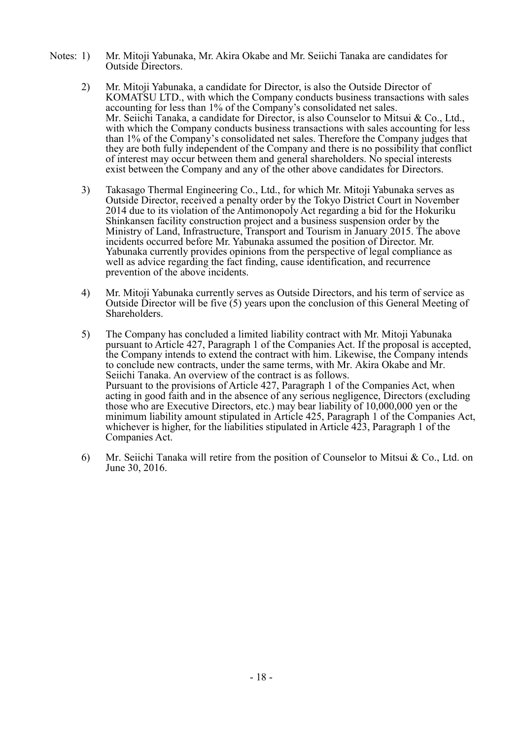- Notes: 1) Mr. Mitoji Yabunaka, Mr. Akira Okabe and Mr. Seiichi Tanaka are candidates for Outside Directors.
	- 2) Mr. Mitoji Yabunaka, a candidate for Director, is also the Outside Director of KOMATSU LTD., with which the Company conducts business transactions with sales accounting for less than 1% of the Company's consolidated net sales. Mr. Seiichi Tanaka, a candidate for Director, is also Counselor to Mitsui & Co., Ltd., with which the Company conducts business transactions with sales accounting for less than 1% of the Company's consolidated net sales. Therefore the Company judges that they are both fully independent of the Company and there is no possibility that conflict of interest may occur between them and general shareholders. No special interests exist between the Company and any of the other above candidates for Directors.
	- 3) Takasago Thermal Engineering Co., Ltd., for which Mr. Mitoji Yabunaka serves as Outside Director, received a penalty order by the Tokyo District Court in November 2014 due to its violation of the Antimonopoly Act regarding a bid for the Hokuriku Shinkansen facility construction project and a business suspension order by the Ministry of Land, Infrastructure, Transport and Tourism in January 2015. The above incidents occurred before Mr. Yabunaka assumed the position of Director. Mr. Yabunaka currently provides opinions from the perspective of legal compliance as well as advice regarding the fact finding, cause identification, and recurrence prevention of the above incidents.
	- 4) Mr. Mitoji Yabunaka currently serves as Outside Directors, and his term of service as Outside Director will be five (5) years upon the conclusion of this General Meeting of Shareholders.
	- 5) The Company has concluded a limited liability contract with Mr. Mitoji Yabunaka pursuant to Article 427, Paragraph 1 of the Companies Act. If the proposal is accepted, the Company intends to extend the contract with him. Likewise, the Company intends to conclude new contracts, under the same terms, with Mr. Akira Okabe and Mr. Seiichi Tanaka. An overview of the contract is as follows. Pursuant to the provisions of Article 427, Paragraph 1 of the Companies Act, when acting in good faith and in the absence of any serious negligence, Directors (excluding those who are Executive Directors, etc.) may bear liability of 10,000,000 yen or the minimum liability amount stipulated in Article 425, Paragraph 1 of the Companies Act, whichever is higher, for the liabilities stipulated in Article 423, Paragraph 1 of the Companies Act.
	- 6) Mr. Seiichi Tanaka will retire from the position of Counselor to Mitsui & Co., Ltd. on June 30, 2016.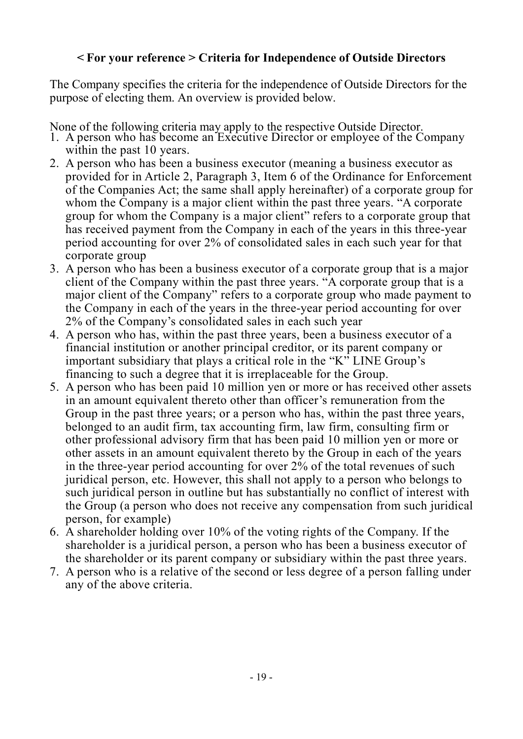## **< For your reference > Criteria for Independence of Outside Directors**

The Company specifies the criteria for the independence of Outside Directors for the purpose of electing them. An overview is provided below.

None of the following criteria may apply to the respective Outside Director.

- 1. A person who has become an Executive Director or employee of the Company within the past 10 years.
- 2. A person who has been a business executor (meaning a business executor as provided for in Article 2, Paragraph 3, Item 6 of the Ordinance for Enforcement of the Companies Act; the same shall apply hereinafter) of a corporate group for whom the Company is a major client within the past three years. "A corporate group for whom the Company is a major client" refers to a corporate group that has received payment from the Company in each of the years in this three-year period accounting for over 2% of consolidated sales in each such year for that corporate group
- 3. A person who has been a business executor of a corporate group that is a major client of the Company within the past three years. "A corporate group that is a major client of the Company" refers to a corporate group who made payment to the Company in each of the years in the three-year period accounting for over 2% of the Company's consolidated sales in each such year
- 4. A person who has, within the past three years, been a business executor of a financial institution or another principal creditor, or its parent company or important subsidiary that plays a critical role in the "K" LINE Group's financing to such a degree that it is irreplaceable for the Group.
- 5. A person who has been paid 10 million yen or more or has received other assets in an amount equivalent thereto other than officer's remuneration from the Group in the past three years; or a person who has, within the past three years, belonged to an audit firm, tax accounting firm, law firm, consulting firm or other professional advisory firm that has been paid 10 million yen or more or other assets in an amount equivalent thereto by the Group in each of the years in the three-year period accounting for over 2% of the total revenues of such juridical person, etc. However, this shall not apply to a person who belongs to such juridical person in outline but has substantially no conflict of interest with the Group (a person who does not receive any compensation from such juridical person, for example)
- 6. A shareholder holding over 10% of the voting rights of the Company. If the shareholder is a juridical person, a person who has been a business executor of the shareholder or its parent company or subsidiary within the past three years.
- 7. A person who is a relative of the second or less degree of a person falling under any of the above criteria.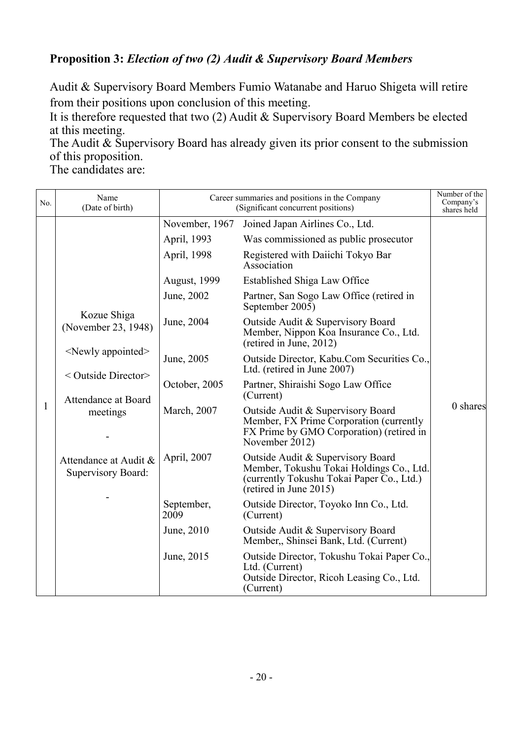## **Proposition 3:** *Election of two (2) Audit & Supervisory Board Members*

Audit & Supervisory Board Members Fumio Watanabe and Haruo Shigeta will retire from their positions upon conclusion of this meeting.

It is therefore requested that two (2) Audit & Supervisory Board Members be elected at this meeting.

The Audit & Supervisory Board has already given its prior consent to the submission of this proposition.

The candidates are:

| No. | Name<br>(Date of birth)                                                          |                     | Career summaries and positions in the Company<br>(Significant concurrent positions)                                                                  | Number of the<br>Company's<br>shares held |
|-----|----------------------------------------------------------------------------------|---------------------|------------------------------------------------------------------------------------------------------------------------------------------------------|-------------------------------------------|
|     |                                                                                  | November, 1967      | Joined Japan Airlines Co., Ltd.                                                                                                                      |                                           |
|     |                                                                                  | April, 1993         | Was commissioned as public prosecutor                                                                                                                |                                           |
|     |                                                                                  | April, 1998         | Registered with Daiichi Tokyo Bar<br>Association                                                                                                     |                                           |
|     |                                                                                  | <b>August, 1999</b> | Established Shiga Law Office                                                                                                                         |                                           |
|     |                                                                                  | June, 2002          | Partner, San Sogo Law Office (retired in<br>September 2005)                                                                                          |                                           |
|     | Kozue Shiga<br>(November 23, 1948)                                               | June, 2004          | Outside Audit & Supervisory Board<br>Member, Nippon Koa Insurance Co., Ltd.<br>(retired in June, 2012)                                               |                                           |
|     | $\le$ Newly appointed $\ge$<br>< Outside Director><br><b>Attendance at Board</b> | June, 2005          | Outside Director, Kabu.Com Securities Co.,<br>Ltd. (retired in June 2007)                                                                            |                                           |
|     |                                                                                  | October, 2005       | Partner, Shiraishi Sogo Law Office<br>(Current)                                                                                                      |                                           |
| 1   | meetings                                                                         | March, 2007         | Outside Audit & Supervisory Board<br>Member, FX Prime Corporation (currently<br>FX Prime by GMO Corporation) (retired in<br>November 2012)           | 0 shares                                  |
|     | Attendance at Audit &<br>Supervisory Board:                                      | April, 2007         | Outside Audit & Supervisory Board<br>Member, Tokushu Tokai Holdings Co., Ltd.<br>(currently Tokushu Tokai Paper Co., Ltd.)<br>(retired in June 2015) |                                           |
|     |                                                                                  | September,<br>2009  | Outside Director, Toyoko Inn Co., Ltd.<br>(Current)                                                                                                  |                                           |
|     |                                                                                  | June, 2010          | Outside Audit & Supervisory Board<br>Member,, Shinsei Bank, Ltd. (Current)                                                                           |                                           |
|     |                                                                                  | June, 2015          | Outside Director, Tokushu Tokai Paper Co.,<br>Ltd. (Current)<br>Outside Director, Ricoh Leasing Co., Ltd.<br>(Current)                               |                                           |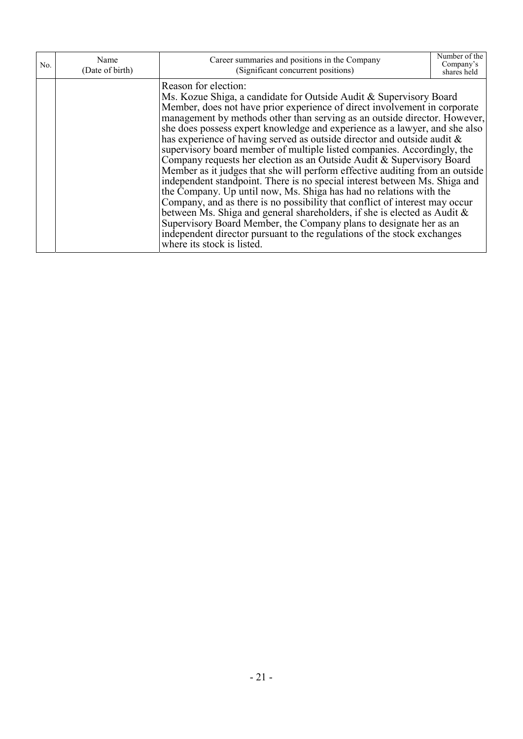| No. | Name<br>(Date of birth) | Career summaries and positions in the Company<br>(Significant concurrent positions)                                                                                                                                                                                                                                                                                                                                                                                                                                                                                                                                                                                                                                                                                                                                                                                                                                                                                                                                                                                                                                                                | Number of the<br>Company's<br>shares held |
|-----|-------------------------|----------------------------------------------------------------------------------------------------------------------------------------------------------------------------------------------------------------------------------------------------------------------------------------------------------------------------------------------------------------------------------------------------------------------------------------------------------------------------------------------------------------------------------------------------------------------------------------------------------------------------------------------------------------------------------------------------------------------------------------------------------------------------------------------------------------------------------------------------------------------------------------------------------------------------------------------------------------------------------------------------------------------------------------------------------------------------------------------------------------------------------------------------|-------------------------------------------|
|     |                         | Reason for election:<br>Ms. Kozue Shiga, a candidate for Outside Audit & Supervisory Board<br>Member, does not have prior experience of direct involvement in corporate<br>management by methods other than serving as an outside director. However,<br>she does possess expert knowledge and experience as a lawyer, and she also<br>has experience of having served as outside director and outside audit $\&$<br>supervisory board member of multiple listed companies. Accordingly, the<br>Company requests her election as an Outside Audit & Supervisory Board<br>Member as it judges that she will perform effective auditing from an outside<br>independent standpoint. There is no special interest between Ms. Shiga and<br>the Company. Up until now, Ms. Shiga has had no relations with the<br>Company, and as there is no possibility that conflict of interest may occur<br>between Ms. Shiga and general shareholders, if she is elected as Audit &<br>Supervisory Board Member, the Company plans to designate her as an<br>independent director pursuant to the regulations of the stock exchanges<br>where its stock is listed. |                                           |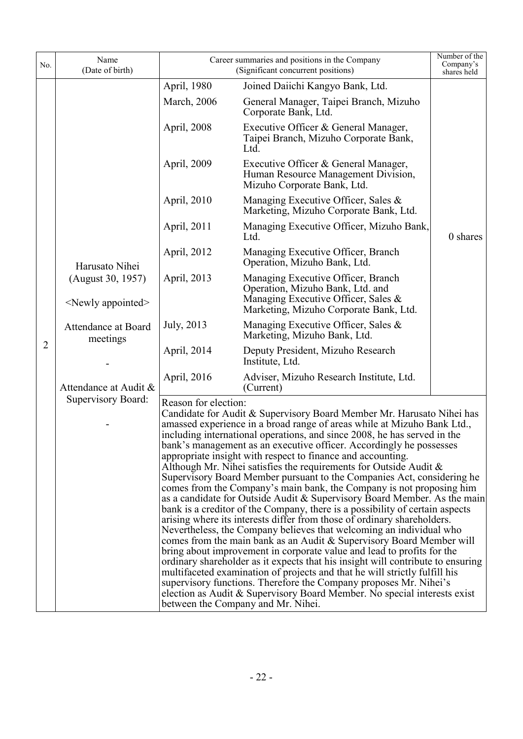| No. | Name<br>(Date of birth)                                  | Career summaries and positions in the Company<br>(Significant concurrent positions)                            |                                                                                                                                                               | Number of the<br>Company's<br>shares held |  |  |
|-----|----------------------------------------------------------|----------------------------------------------------------------------------------------------------------------|---------------------------------------------------------------------------------------------------------------------------------------------------------------|-------------------------------------------|--|--|
|     |                                                          | April, 1980                                                                                                    | Joined Daiichi Kangyo Bank, Ltd.                                                                                                                              |                                           |  |  |
|     |                                                          | March, 2006                                                                                                    | General Manager, Taipei Branch, Mizuho<br>Corporate Bank, Ltd.                                                                                                |                                           |  |  |
|     |                                                          | April, 2008                                                                                                    | Executive Officer & General Manager,<br>Taipei Branch, Mizuho Corporate Bank,<br>Ltd.                                                                         | 0 shares                                  |  |  |
|     |                                                          | April, 2009                                                                                                    | Executive Officer & General Manager,<br>Human Resource Management Division,<br>Mizuho Corporate Bank, Ltd.                                                    |                                           |  |  |
|     |                                                          | April, 2010                                                                                                    | Managing Executive Officer, Sales &<br>Marketing, Mizuho Corporate Bank, Ltd.                                                                                 |                                           |  |  |
|     |                                                          | April, 2011                                                                                                    | Managing Executive Officer, Mizuho Bank,<br>Ltd.                                                                                                              |                                           |  |  |
|     | Harusato Nihei                                           | April, 2012                                                                                                    | Managing Executive Officer, Branch<br>Operation, Mizuho Bank, Ltd.                                                                                            |                                           |  |  |
| 2   | (August 30, 1957)<br>$\le$ Newly appointed $\ge$         | April, 2013                                                                                                    | Managing Executive Officer, Branch<br>Operation, Mizuho Bank, Ltd. and<br>Managing Executive Officer, Sales &<br>Marketing, Mizuho Corporate Bank, Ltd.       |                                           |  |  |
|     | Attendance at Board<br>meetings<br>Attendance at Audit & | July, 2013                                                                                                     | Managing Executive Officer, Sales $\&$<br>Marketing, Mizuho Bank, Ltd.                                                                                        |                                           |  |  |
|     |                                                          | April, 2014                                                                                                    | Deputy President, Mizuho Research<br>Institute, Ltd.                                                                                                          |                                           |  |  |
|     |                                                          | April, 2016                                                                                                    | Adviser, Mizuho Research Institute, Ltd.<br>(Current)                                                                                                         |                                           |  |  |
|     | Supervisory Board:                                       | Reason for election:                                                                                           |                                                                                                                                                               |                                           |  |  |
|     |                                                          |                                                                                                                | Candidate for Audit & Supervisory Board Member Mr. Harusato Nihei has                                                                                         |                                           |  |  |
|     |                                                          |                                                                                                                | amassed experience in a broad range of areas while at Mizuho Bank Ltd.,                                                                                       |                                           |  |  |
|     |                                                          |                                                                                                                | including international operations, and since 2008, he has served in the<br>bank's management as an executive officer. Accordingly he possesses               |                                           |  |  |
|     |                                                          |                                                                                                                | appropriate insight with respect to finance and accounting.                                                                                                   |                                           |  |  |
|     |                                                          |                                                                                                                | Although Mr. Nihei satisfies the requirements for Outside Audit $\&$                                                                                          |                                           |  |  |
|     |                                                          |                                                                                                                | Supervisory Board Member pursuant to the Companies Act, considering he<br>comes from the Company's main bank, the Company is not proposing him                |                                           |  |  |
|     |                                                          |                                                                                                                | as a candidate for Outside Audit & Supervisory Board Member. As the main                                                                                      |                                           |  |  |
|     |                                                          |                                                                                                                | bank is a creditor of the Company, there is a possibility of certain aspects                                                                                  |                                           |  |  |
|     |                                                          |                                                                                                                | arising where its interests differ from those of ordinary shareholders.<br>Nevertheless, the Company believes that welcoming an individual who                |                                           |  |  |
|     |                                                          |                                                                                                                | comes from the main bank as an Audit & Supervisory Board Member will                                                                                          |                                           |  |  |
|     |                                                          | bring about improvement in corporate value and lead to profits for the                                         |                                                                                                                                                               |                                           |  |  |
|     |                                                          |                                                                                                                | ordinary shareholder as it expects that his insight will contribute to ensuring<br>multifaceted examination of projects and that he will strictly fulfill his |                                           |  |  |
|     |                                                          |                                                                                                                | supervisory functions. Therefore the Company proposes Mr. Nihei's                                                                                             |                                           |  |  |
|     |                                                          | election as Audit & Supervisory Board Member. No special interests exist<br>between the Company and Mr. Nihei. |                                                                                                                                                               |                                           |  |  |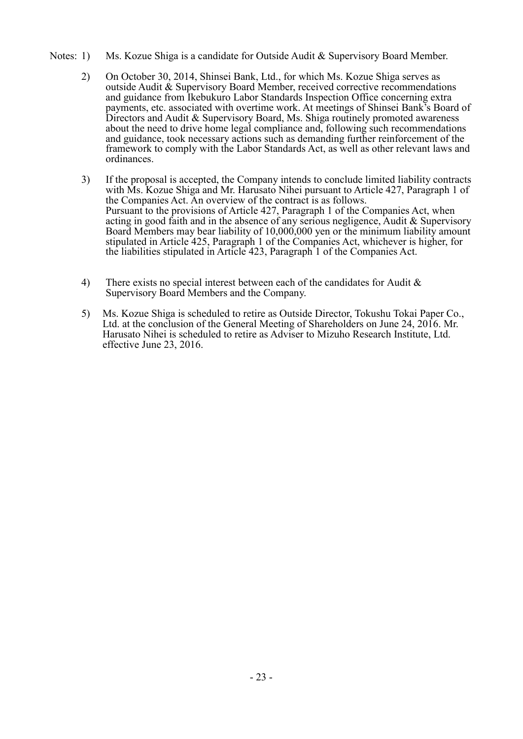- Notes: 1) Ms. Kozue Shiga is a candidate for Outside Audit & Supervisory Board Member.
	- 2) On October 30, 2014, Shinsei Bank, Ltd., for which Ms. Kozue Shiga serves as outside Audit & Supervisory Board Member, received corrective recommendations and guidance from Ikebukuro Labor Standards Inspection Office concerning extra payments, etc. associated with overtime work. At meetings of Shinsei Bank's Board of Directors and Audit & Supervisory Board, Ms. Shiga routinely promoted awareness about the need to drive home legal compliance and, following such recommendations and guidance, took necessary actions such as demanding further reinforcement of the framework to comply with the Labor Standards Act, as well as other relevant laws and ordinances.
	- 3) If the proposal is accepted, the Company intends to conclude limited liability contracts with Ms. Kozue Shiga and Mr. Harusato Nihei pursuant to Article 427, Paragraph 1 of the Companies Act. An overview of the contract is as follows. Pursuant to the provisions of Article 427, Paragraph 1 of the Companies Act, when acting in good faith and in the absence of any serious negligence, Audit & Supervisory Board Members may bear liability of 10,000,000 yen or the minimum liability amount stipulated in Article 425, Paragraph 1 of the Companies Act, whichever is higher, for the liabilities stipulated in Article 423, Paragraph 1 of the Companies Act.
	- 4) There exists no special interest between each of the candidates for Audit & Supervisory Board Members and the Company.
	- 5) Ms. Kozue Shiga is scheduled to retire as Outside Director, Tokushu Tokai Paper Co., Ltd. at the conclusion of the General Meeting of Shareholders on June 24, 2016. Mr. Harusato Nihei is scheduled to retire as Adviser to Mizuho Research Institute, Ltd. effective June 23, 2016.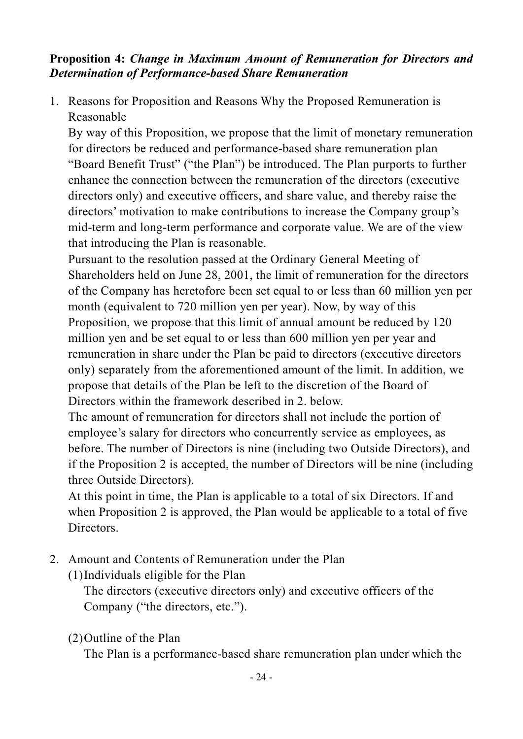## **Proposition 4:** *Change in Maximum Amount of Remuneration for Directors and Determination of Performance-based Share Remuneration*

1. Reasons for Proposition and Reasons Why the Proposed Remuneration is Reasonable

By way of this Proposition, we propose that the limit of monetary remuneration for directors be reduced and performance-based share remuneration plan "Board Benefit Trust" ("the Plan") be introduced. The Plan purports to further enhance the connection between the remuneration of the directors (executive directors only) and executive officers, and share value, and thereby raise the directors' motivation to make contributions to increase the Company group's mid-term and long-term performance and corporate value. We are of the view that introducing the Plan is reasonable.

Pursuant to the resolution passed at the Ordinary General Meeting of Shareholders held on June 28, 2001, the limit of remuneration for the directors of the Company has heretofore been set equal to or less than 60 million yen per month (equivalent to 720 million yen per year). Now, by way of this Proposition, we propose that this limit of annual amount be reduced by 120 million yen and be set equal to or less than 600 million yen per year and remuneration in share under the Plan be paid to directors (executive directors only) separately from the aforementioned amount of the limit. In addition, we propose that details of the Plan be left to the discretion of the Board of Directors within the framework described in 2. below.

The amount of remuneration for directors shall not include the portion of employee's salary for directors who concurrently service as employees, as before. The number of Directors is nine (including two Outside Directors), and if the Proposition 2 is accepted, the number of Directors will be nine (including three Outside Directors).

At this point in time, the Plan is applicable to a total of six Directors. If and when Proposition 2 is approved, the Plan would be applicable to a total of five Directors.

2. Amount and Contents of Remuneration under the Plan

(1)Individuals eligible for the Plan

The directors (executive directors only) and executive officers of the Company ("the directors, etc.").

## (2)Outline of the Plan

The Plan is a performance-based share remuneration plan under which the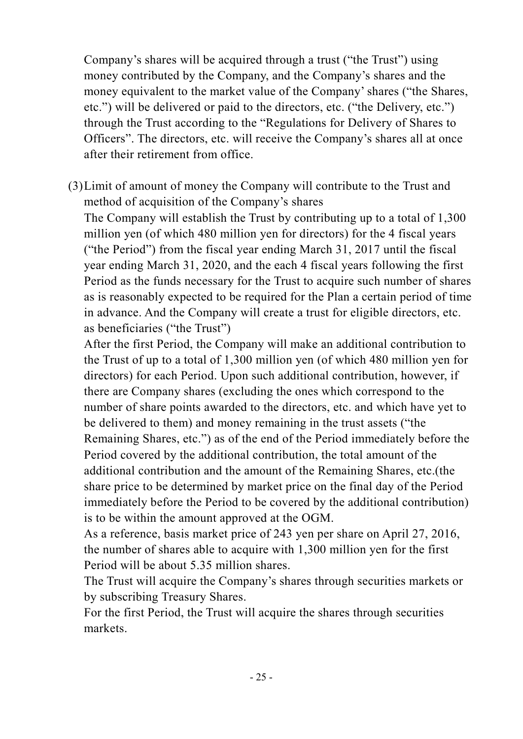Company's shares will be acquired through a trust ("the Trust") using money contributed by the Company, and the Company's shares and the money equivalent to the market value of the Company' shares ("the Shares, etc.") will be delivered or paid to the directors, etc. ("the Delivery, etc.") through the Trust according to the "Regulations for Delivery of Shares to Officers". The directors, etc. will receive the Company's shares all at once after their retirement from office.

(3)Limit of amount of money the Company will contribute to the Trust and method of acquisition of the Company's shares The Company will establish the Trust by contributing up to a total of 1,300 million yen (of which 480 million yen for directors) for the 4 fiscal years ("the Period") from the fiscal year ending March 31, 2017 until the fiscal year ending March 31, 2020, and the each 4 fiscal years following the first Period as the funds necessary for the Trust to acquire such number of shares as is reasonably expected to be required for the Plan a certain period of time in advance. And the Company will create a trust for eligible directors, etc. as beneficiaries ("the Trust")

After the first Period, the Company will make an additional contribution to the Trust of up to a total of 1,300 million yen (of which 480 million yen for directors) for each Period. Upon such additional contribution, however, if there are Company shares (excluding the ones which correspond to the number of share points awarded to the directors, etc. and which have yet to be delivered to them) and money remaining in the trust assets ("the Remaining Shares, etc.") as of the end of the Period immediately before the Period covered by the additional contribution, the total amount of the additional contribution and the amount of the Remaining Shares, etc.(the share price to be determined by market price on the final day of the Period immediately before the Period to be covered by the additional contribution) is to be within the amount approved at the OGM.

As a reference, basis market price of 243 yen per share on April 27, 2016, the number of shares able to acquire with 1,300 million yen for the first Period will be about 5.35 million shares.

The Trust will acquire the Company's shares through securities markets or by subscribing Treasury Shares.

For the first Period, the Trust will acquire the shares through securities markets.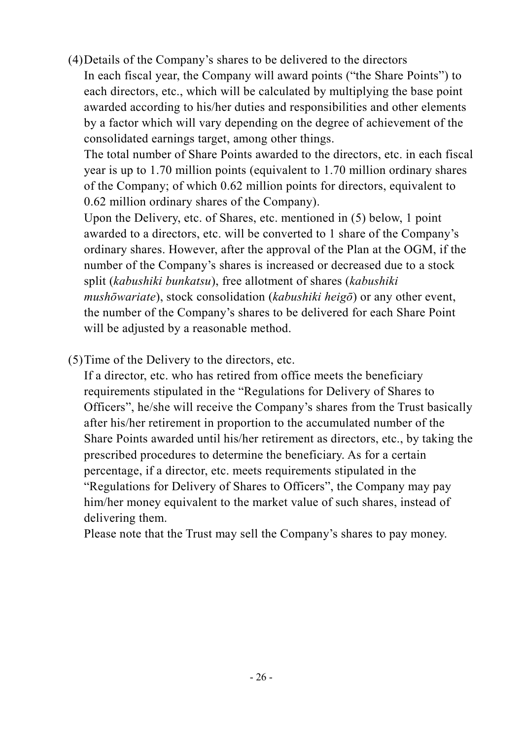(4)Details of the Company's shares to be delivered to the directors In each fiscal year, the Company will award points ("the Share Points") to each directors, etc., which will be calculated by multiplying the base point awarded according to his/her duties and responsibilities and other elements by a factor which will vary depending on the degree of achievement of the consolidated earnings target, among other things.

The total number of Share Points awarded to the directors, etc. in each fiscal year is up to 1.70 million points (equivalent to 1.70 million ordinary shares of the Company; of which 0.62 million points for directors, equivalent to 0.62 million ordinary shares of the Company).

Upon the Delivery, etc. of Shares, etc. mentioned in (5) below, 1 point awarded to a directors, etc. will be converted to 1 share of the Company's ordinary shares. However, after the approval of the Plan at the OGM, if the number of the Company's shares is increased or decreased due to a stock split (*kabushiki bunkatsu*), free allotment of shares (*kabushiki mushōwariate*), stock consolidation (*kabushiki heigō*) or any other event, the number of the Company's shares to be delivered for each Share Point will be adjusted by a reasonable method.

(5)Time of the Delivery to the directors, etc.

If a director, etc. who has retired from office meets the beneficiary requirements stipulated in the "Regulations for Delivery of Shares to Officers", he/she will receive the Company's shares from the Trust basically after his/her retirement in proportion to the accumulated number of the Share Points awarded until his/her retirement as directors, etc., by taking the prescribed procedures to determine the beneficiary. As for a certain percentage, if a director, etc. meets requirements stipulated in the "Regulations for Delivery of Shares to Officers", the Company may pay him/her money equivalent to the market value of such shares, instead of delivering them.

Please note that the Trust may sell the Company's shares to pay money.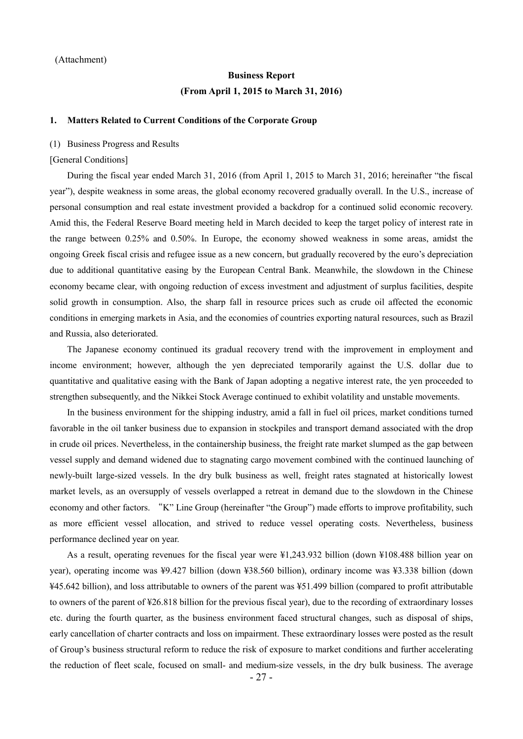### **Business Report (From April 1, 2015 to March 31, 2016)**

### **1. Matters Related to Current Conditions of the Corporate Group**

(1) Business Progress and Results

#### [General Conditions]

During the fiscal year ended March 31, 2016 (from April 1, 2015 to March 31, 2016; hereinafter "the fiscal year"), despite weakness in some areas, the global economy recovered gradually overall. In the U.S., increase of personal consumption and real estate investment provided a backdrop for a continued solid economic recovery. Amid this, the Federal Reserve Board meeting held in March decided to keep the target policy of interest rate in the range between 0.25% and 0.50%. In Europe, the economy showed weakness in some areas, amidst the ongoing Greek fiscal crisis and refugee issue as a new concern, but gradually recovered by the euro's depreciation due to additional quantitative easing by the European Central Bank. Meanwhile, the slowdown in the Chinese economy became clear, with ongoing reduction of excess investment and adjustment of surplus facilities, despite solid growth in consumption. Also, the sharp fall in resource prices such as crude oil affected the economic conditions in emerging markets in Asia, and the economies of countries exporting natural resources, such as Brazil and Russia, also deteriorated.

The Japanese economy continued its gradual recovery trend with the improvement in employment and income environment; however, although the yen depreciated temporarily against the U.S. dollar due to quantitative and qualitative easing with the Bank of Japan adopting a negative interest rate, the yen proceeded to strengthen subsequently, and the Nikkei Stock Average continued to exhibit volatility and unstable movements.

In the business environment for the shipping industry, amid a fall in fuel oil prices, market conditions turned favorable in the oil tanker business due to expansion in stockpiles and transport demand associated with the drop in crude oil prices. Nevertheless, in the containership business, the freight rate market slumped as the gap between vessel supply and demand widened due to stagnating cargo movement combined with the continued launching of newly-built large-sized vessels. In the dry bulk business as well, freight rates stagnated at historically lowest market levels, as an oversupply of vessels overlapped a retreat in demand due to the slowdown in the Chinese economy and other factors. "K" Line Group (hereinafter "the Group") made efforts to improve profitability, such as more efficient vessel allocation, and strived to reduce vessel operating costs. Nevertheless, business performance declined year on year.

As a result, operating revenues for the fiscal year were ¥1,243.932 billion (down ¥108.488 billion year on year), operating income was ¥9.427 billion (down ¥38.560 billion), ordinary income was ¥3.338 billion (down ¥45.642 billion), and loss attributable to owners of the parent was ¥51.499 billion (compared to profit attributable to owners of the parent of ¥26.818 billion for the previous fiscal year), due to the recording of extraordinary losses etc. during the fourth quarter, as the business environment faced structural changes, such as disposal of ships, early cancellation of charter contracts and loss on impairment. These extraordinary losses were posted as the result of Group's business structural reform to reduce the risk of exposure to market conditions and further accelerating the reduction of fleet scale, focused on small- and medium-size vessels, in the dry bulk business. The average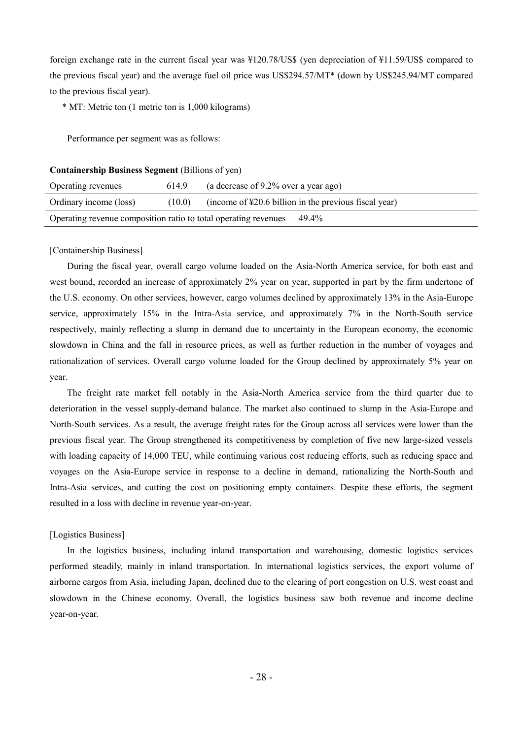foreign exchange rate in the current fiscal year was ¥120.78/US\$ (yen depreciation of ¥11.59/US\$ compared to the previous fiscal year) and the average fuel oil price was US\$294.57/MT\* (down by US\$245.94/MT compared to the previous fiscal year).

\* MT: Metric ton (1 metric ton is 1,000 kilograms)

Performance per segment was as follows:

### **Containership Business Segment** (Billions of yen)

| Operating revenues                                                       | 614.9  | (a decrease of $9.2\%$ over a year ago)                         |  |
|--------------------------------------------------------------------------|--------|-----------------------------------------------------------------|--|
| Ordinary income (loss)                                                   | (10.0) | (income of $\text{\#20.6}$ billion in the previous fiscal year) |  |
| Operating revenue composition ratio to total operating revenues<br>49.4% |        |                                                                 |  |

#### [Containership Business]

During the fiscal year, overall cargo volume loaded on the Asia-North America service, for both east and west bound, recorded an increase of approximately 2% year on year, supported in part by the firm undertone of the U.S. economy. On other services, however, cargo volumes declined by approximately 13% in the Asia-Europe service, approximately 15% in the Intra-Asia service, and approximately 7% in the North-South service respectively, mainly reflecting a slump in demand due to uncertainty in the European economy, the economic slowdown in China and the fall in resource prices, as well as further reduction in the number of voyages and rationalization of services. Overall cargo volume loaded for the Group declined by approximately 5% year on year.

The freight rate market fell notably in the Asia-North America service from the third quarter due to deterioration in the vessel supply-demand balance. The market also continued to slump in the Asia-Europe and North-South services. As a result, the average freight rates for the Group across all services were lower than the previous fiscal year. The Group strengthened its competitiveness by completion of five new large-sized vessels with loading capacity of 14,000 TEU, while continuing various cost reducing efforts, such as reducing space and voyages on the Asia-Europe service in response to a decline in demand, rationalizing the North-South and Intra-Asia services, and cutting the cost on positioning empty containers. Despite these efforts, the segment resulted in a loss with decline in revenue year-on-year.

### [Logistics Business]

In the logistics business, including inland transportation and warehousing, domestic logistics services performed steadily, mainly in inland transportation. In international logistics services, the export volume of airborne cargos from Asia, including Japan, declined due to the clearing of port congestion on U.S. west coast and slowdown in the Chinese economy. Overall, the logistics business saw both revenue and income decline year-on-year.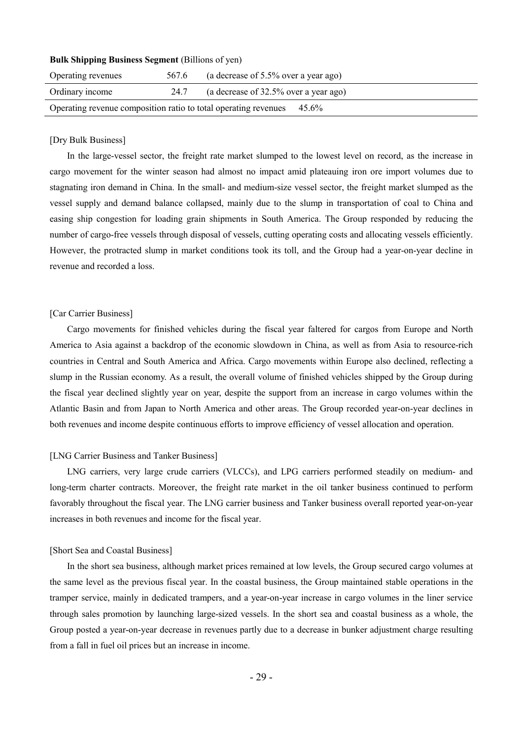### **Bulk Shipping Business Segment (Billions of yen)**

| Operating revenues                                                          | 567.6 | (a decrease of 5.5% over a year ago)  |  |
|-----------------------------------------------------------------------------|-------|---------------------------------------|--|
| Ordinary income                                                             | 24.7  | (a decrease of 32.5% over a year ago) |  |
| Operating revenue composition ratio to total operating revenues<br>$45.6\%$ |       |                                       |  |

### [Dry Bulk Business]

In the large-vessel sector, the freight rate market slumped to the lowest level on record, as the increase in cargo movement for the winter season had almost no impact amid plateauing iron ore import volumes due to stagnating iron demand in China. In the small- and medium-size vessel sector, the freight market slumped as the vessel supply and demand balance collapsed, mainly due to the slump in transportation of coal to China and easing ship congestion for loading grain shipments in South America. The Group responded by reducing the number of cargo-free vessels through disposal of vessels, cutting operating costs and allocating vessels efficiently. However, the protracted slump in market conditions took its toll, and the Group had a year-on-year decline in revenue and recorded a loss.

### [Car Carrier Business]

Cargo movements for finished vehicles during the fiscal year faltered for cargos from Europe and North America to Asia against a backdrop of the economic slowdown in China, as well as from Asia to resource-rich countries in Central and South America and Africa. Cargo movements within Europe also declined, reflecting a slump in the Russian economy. As a result, the overall volume of finished vehicles shipped by the Group during the fiscal year declined slightly year on year, despite the support from an increase in cargo volumes within the Atlantic Basin and from Japan to North America and other areas. The Group recorded year-on-year declines in both revenues and income despite continuous efforts to improve efficiency of vessel allocation and operation.

### [LNG Carrier Business and Tanker Business]

LNG carriers, very large crude carriers (VLCCs), and LPG carriers performed steadily on medium- and long-term charter contracts. Moreover, the freight rate market in the oil tanker business continued to perform favorably throughout the fiscal year. The LNG carrier business and Tanker business overall reported year-on-year increases in both revenues and income for the fiscal year.

#### [Short Sea and Coastal Business]

In the short sea business, although market prices remained at low levels, the Group secured cargo volumes at the same level as the previous fiscal year. In the coastal business, the Group maintained stable operations in the tramper service, mainly in dedicated trampers, and a year-on-year increase in cargo volumes in the liner service through sales promotion by launching large-sized vessels. In the short sea and coastal business as a whole, the Group posted a year-on-year decrease in revenues partly due to a decrease in bunker adjustment charge resulting from a fall in fuel oil prices but an increase in income.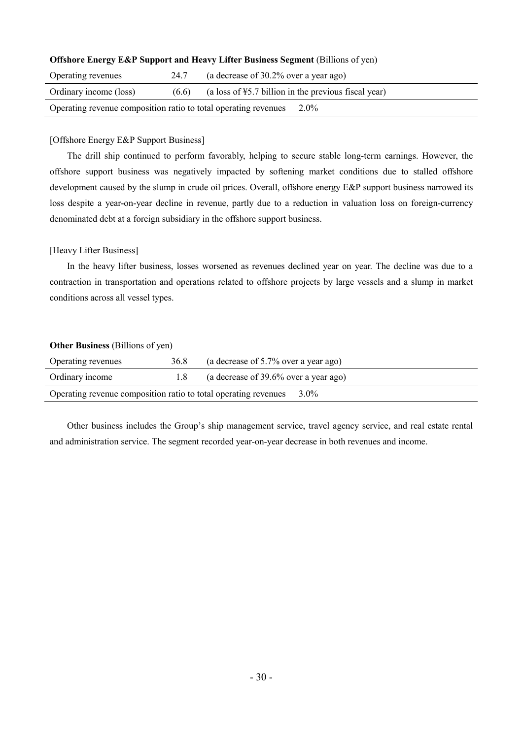### **Offshore Energy E&P Support and Heavy Lifter Business Segment (Billions of yen)**

| Operating revenues                                              | 24.7  | (a decrease of $30.2\%$ over a year ago)               |
|-----------------------------------------------------------------|-------|--------------------------------------------------------|
| Ordinary income (loss)                                          | (6.6) | (a loss of $45.7$ billion in the previous fiscal year) |
| Operating revenue composition ratio to total operating revenues |       | $2.0\%$                                                |

### [Offshore Energy E&P Support Business]

The drill ship continued to perform favorably, helping to secure stable long-term earnings. However, the offshore support business was negatively impacted by softening market conditions due to stalled offshore development caused by the slump in crude oil prices. Overall, offshore energy E&P support business narrowed its loss despite a year-on-year decline in revenue, partly due to a reduction in valuation loss on foreign-currency denominated debt at a foreign subsidiary in the offshore support business.

### [Heavy Lifter Business]

In the heavy lifter business, losses worsened as revenues declined year on year. The decline was due to a contraction in transportation and operations related to offshore projects by large vessels and a slump in market conditions across all vessel types.

| <b>Other Business</b> (Billions of yen)                                 |      |                                      |  |  |
|-------------------------------------------------------------------------|------|--------------------------------------|--|--|
| Operating revenues                                                      | 36.8 | (a decrease of 5.7% over a year ago) |  |  |
| Ordinary income<br>(a decrease of 39.6% over a year ago)<br>1.8         |      |                                      |  |  |
| Operating revenue composition ratio to total operating revenues<br>3.0% |      |                                      |  |  |

Other business includes the Group's ship management service, travel agency service, and real estate rental and administration service. The segment recorded year-on-year decrease in both revenues and income.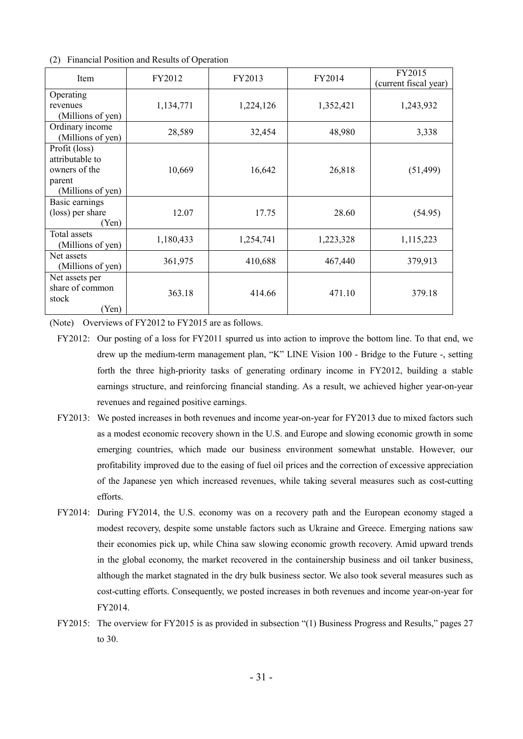(2) Financial Position and Results of Operation

| Item                                                                             | FY2012    | FY2013    | FY2014    | FY2015<br>(current fiscal year) |
|----------------------------------------------------------------------------------|-----------|-----------|-----------|---------------------------------|
| Operating<br>revenues<br>(Millions of yen)                                       | 1,134,771 | 1,224,126 | 1,352,421 | 1,243,932                       |
| Ordinary income<br>(Millions of yen)                                             | 28,589    | 32,454    | 48,980    | 3,338                           |
| Profit (loss)<br>attributable to<br>owners of the<br>parent<br>(Millions of yen) | 10,669    | 16,642    | 26,818    | (51, 499)                       |
| Basic earnings<br>(loss) per share<br>(Yen)                                      | 12.07     | 17.75     | 28.60     | (54.95)                         |
| Total assets<br>(Millions of yen)                                                | 1,180,433 | 1,254,741 | 1,223,328 | 1,115,223                       |
| Net assets<br>(Millions of yen)                                                  | 361,975   | 410,688   | 467,440   | 379,913                         |
| Net assets per<br>share of common<br>stock<br>(Yen)                              | 363.18    | 414.66    | 471.10    | 379.18                          |

(Note) Overviews of FY2012 to FY2015 are as follows.

- FY2012: Our posting of a loss for FY2011 spurred us into action to improve the bottom line. To that end, we drew up the medium-term management plan, "K" LINE Vision 100 - Bridge to the Future -, setting forth the three high-priority tasks of generating ordinary income in FY2012, building a stable earnings structure, and reinforcing financial standing. As a result, we achieved higher year-on-year revenues and regained positive earnings.
- FY2013: We posted increases in both revenues and income year-on-year for FY2013 due to mixed factors such as a modest economic recovery shown in the U.S. and Europe and slowing economic growth in some emerging countries, which made our business environment somewhat unstable. However, our profitability improved due to the easing of fuel oil prices and the correction of excessive appreciation of the Japanese yen which increased revenues, while taking several measures such as cost-cutting efforts.
- FY2014: During FY2014, the U.S. economy was on a recovery path and the European economy staged a modest recovery, despite some unstable factors such as Ukraine and Greece. Emerging nations saw their economies pick up, while China saw slowing economic growth recovery. Amid upward trends in the global economy, the market recovered in the containership business and oil tanker business, although the market stagnated in the dry bulk business sector. We also took several measures such as cost-cutting efforts. Consequently, we posted increases in both revenues and income year-on-year for FY2014.
- FY2015: The overview for FY2015 is as provided in subsection "(1) Business Progress and Results," pages 27 to 30.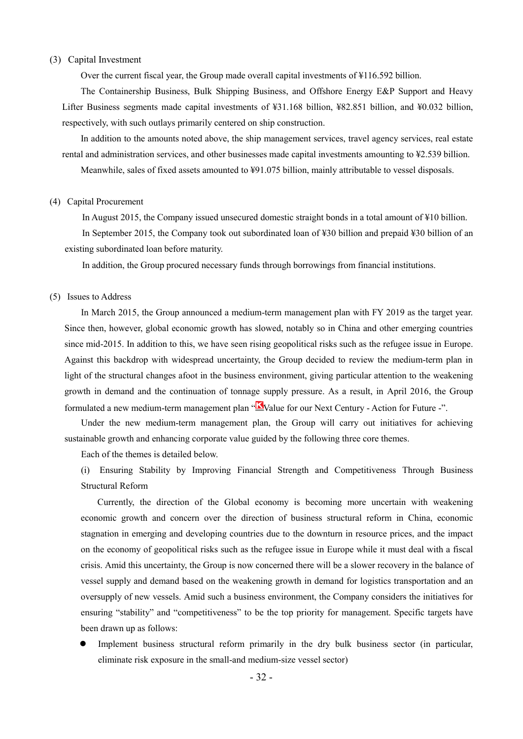#### (3) Capital Investment

Over the current fiscal year, the Group made overall capital investments of ¥116.592 billion.

The Containership Business, Bulk Shipping Business, and Offshore Energy E&P Support and Heavy Lifter Business segments made capital investments of ¥31.168 billion, ¥82.851 billion, and ¥0.032 billion, respectively, with such outlays primarily centered on ship construction.

In addition to the amounts noted above, the ship management services, travel agency services, real estate rental and administration services, and other businesses made capital investments amounting to ¥2.539 billion. Meanwhile, sales of fixed assets amounted to ¥91.075 billion, mainly attributable to vessel disposals.

#### (4) Capital Procurement

In August 2015, the Company issued unsecured domestic straight bonds in a total amount of ¥10 billion.

In September 2015, the Company took out subordinated loan of ¥30 billion and prepaid ¥30 billion of an existing subordinated loan before maturity.

In addition, the Group procured necessary funds through borrowings from financial institutions.

### (5) Issues to Address

In March 2015, the Group announced a medium-term management plan with FY 2019 as the target year. Since then, however, global economic growth has slowed, notably so in China and other emerging countries since mid-2015. In addition to this, we have seen rising geopolitical risks such as the refugee issue in Europe. Against this backdrop with widespread uncertainty, the Group decided to review the medium-term plan in light of the structural changes afoot in the business environment, giving particular attention to the weakening growth in demand and the continuation of tonnage supply pressure. As a result, in April 2016, the Group formulated a new medium-term management plan "Next Century - Action for Future -".

Under the new medium-term management plan, the Group will carry out initiatives for achieving sustainable growth and enhancing corporate value guided by the following three core themes.

Each of the themes is detailed below.

(i) Ensuring Stability by Improving Financial Strength and Competitiveness Through Business Structural Reform

Currently, the direction of the Global economy is becoming more uncertain with weakening economic growth and concern over the direction of business structural reform in China, economic stagnation in emerging and developing countries due to the downturn in resource prices, and the impact on the economy of geopolitical risks such as the refugee issue in Europe while it must deal with a fiscal crisis. Amid this uncertainty, the Group is now concerned there will be a slower recovery in the balance of vessel supply and demand based on the weakening growth in demand for logistics transportation and an oversupply of new vessels. Amid such a business environment, the Company considers the initiatives for ensuring "stability" and "competitiveness" to be the top priority for management. Specific targets have been drawn up as follows:

 Implement business structural reform primarily in the dry bulk business sector (in particular, eliminate risk exposure in the small-and medium-size vessel sector)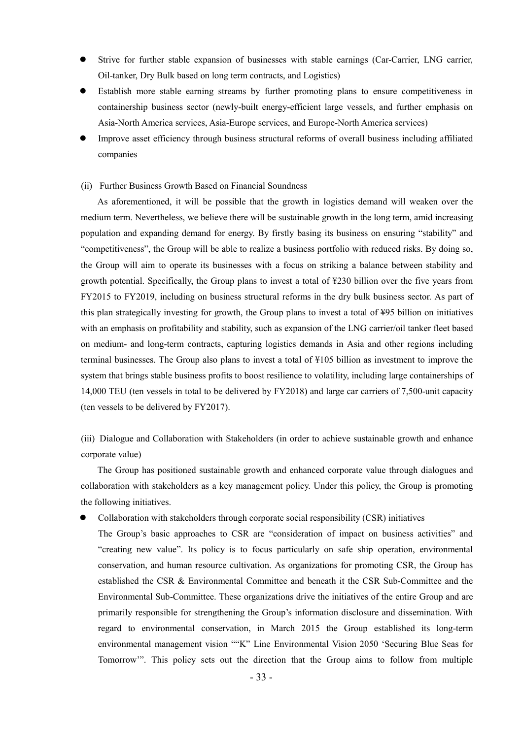- Strive for further stable expansion of businesses with stable earnings (Car-Carrier, LNG carrier, Oil-tanker, Dry Bulk based on long term contracts, and Logistics)
- Establish more stable earning streams by further promoting plans to ensure competitiveness in containership business sector (newly-built energy-efficient large vessels, and further emphasis on Asia-North America services, Asia-Europe services, and Europe-North America services)
- Improve asset efficiency through business structural reforms of overall business including affiliated companies

### (ii) Further Business Growth Based on Financial Soundness

As aforementioned, it will be possible that the growth in logistics demand will weaken over the medium term. Nevertheless, we believe there will be sustainable growth in the long term, amid increasing population and expanding demand for energy. By firstly basing its business on ensuring "stability" and "competitiveness", the Group will be able to realize a business portfolio with reduced risks. By doing so, the Group will aim to operate its businesses with a focus on striking a balance between stability and growth potential. Specifically, the Group plans to invest a total of ¥230 billion over the five years from FY2015 to FY2019, including on business structural reforms in the dry bulk business sector. As part of this plan strategically investing for growth, the Group plans to invest a total of ¥95 billion on initiatives with an emphasis on profitability and stability, such as expansion of the LNG carrier/oil tanker fleet based on medium- and long-term contracts, capturing logistics demands in Asia and other regions including terminal businesses. The Group also plans to invest a total of ¥105 billion as investment to improve the system that brings stable business profits to boost resilience to volatility, including large containerships of 14,000 TEU (ten vessels in total to be delivered by FY2018) and large car carriers of 7,500-unit capacity (ten vessels to be delivered by FY2017).

(iii) Dialogue and Collaboration with Stakeholders (in order to achieve sustainable growth and enhance corporate value)

The Group has positioned sustainable growth and enhanced corporate value through dialogues and collaboration with stakeholders as a key management policy. Under this policy, the Group is promoting the following initiatives.

Collaboration with stakeholders through corporate social responsibility (CSR) initiatives

The Group's basic approaches to CSR are "consideration of impact on business activities" and "creating new value". Its policy is to focus particularly on safe ship operation, environmental conservation, and human resource cultivation. As organizations for promoting CSR, the Group has established the CSR & Environmental Committee and beneath it the CSR Sub-Committee and the Environmental Sub-Committee. These organizations drive the initiatives of the entire Group and are primarily responsible for strengthening the Group's information disclosure and dissemination. With regard to environmental conservation, in March 2015 the Group established its long-term environmental management vision ""K" Line Environmental Vision 2050 'Securing Blue Seas for Tomorrow'". This policy sets out the direction that the Group aims to follow from multiple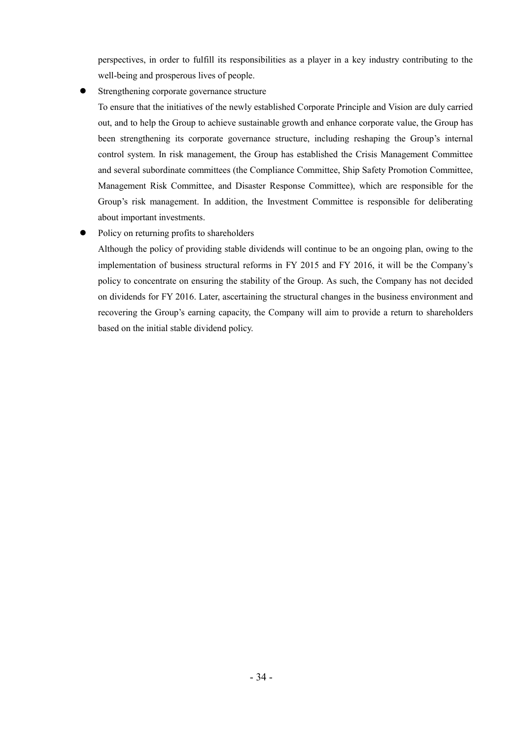perspectives, in order to fulfill its responsibilities as a player in a key industry contributing to the well-being and prosperous lives of people.

Strengthening corporate governance structure

To ensure that the initiatives of the newly established Corporate Principle and Vision are duly carried out, and to help the Group to achieve sustainable growth and enhance corporate value, the Group has been strengthening its corporate governance structure, including reshaping the Group's internal control system. In risk management, the Group has established the Crisis Management Committee and several subordinate committees (the Compliance Committee, Ship Safety Promotion Committee, Management Risk Committee, and Disaster Response Committee), which are responsible for the Group's risk management. In addition, the Investment Committee is responsible for deliberating about important investments.

• Policy on returning profits to shareholders

Although the policy of providing stable dividends will continue to be an ongoing plan, owing to the implementation of business structural reforms in FY 2015 and FY 2016, it will be the Company's policy to concentrate on ensuring the stability of the Group. As such, the Company has not decided on dividends for FY 2016. Later, ascertaining the structural changes in the business environment and recovering the Group's earning capacity, the Company will aim to provide a return to shareholders based on the initial stable dividend policy.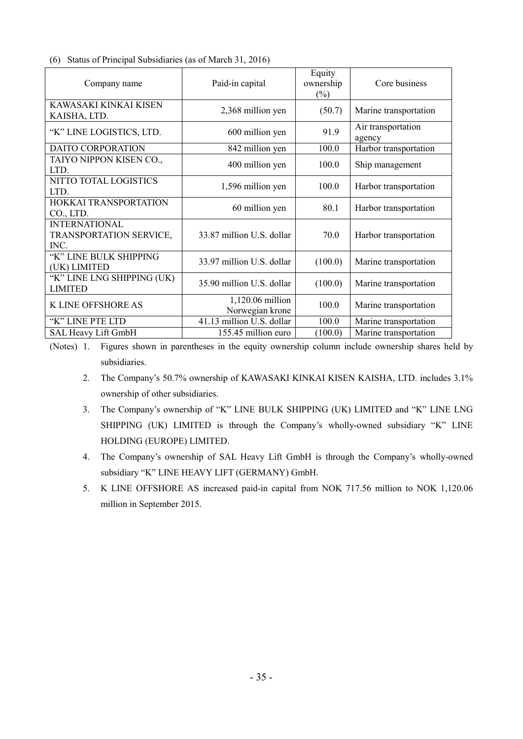|  | (6) Status of Principal Subsidiaries (as of March 31, 2016) |  |
|--|-------------------------------------------------------------|--|
|--|-------------------------------------------------------------|--|

| Company name                                            | Paid-in capital                       | Equity<br>ownership<br>$(\%)$ | Core business                |  |
|---------------------------------------------------------|---------------------------------------|-------------------------------|------------------------------|--|
| KAWASAKI KINKAI KISEN<br>KAISHA, LTD.                   | 2,368 million yen                     | (50.7)                        | Marine transportation        |  |
| "K" LINE LOGISTICS, LTD.                                | 600 million yen                       | 91.9                          | Air transportation<br>agency |  |
| DAITO CORPORATION                                       | 842 million yen                       | 100.0                         | Harbor transportation        |  |
| TAIYO NIPPON KISEN CO.,<br>LTD.                         | 400 million yen                       | 100.0                         | Ship management              |  |
| NITTO TOTAL LOGISTICS<br>LTD.                           | 1,596 million yen                     | 100.0                         | Harbor transportation        |  |
| HOKKAI TRANSPORTATION<br>CO., LTD.                      | 60 million yen                        | 80.1                          | Harbor transportation        |  |
| <b>INTERNATIONAL</b><br>TRANSPORTATION SERVICE,<br>INC. | 33.87 million U.S. dollar             | 70.0                          | Harbor transportation        |  |
| "K" LINE BULK SHIPPING<br>(UK) LIMITED                  | 33.97 million U.S. dollar             | (100.0)                       | Marine transportation        |  |
| "K" LINE LNG SHIPPING (UK)<br><b>LIMITED</b>            | 35.90 million U.S. dollar             | (100.0)                       | Marine transportation        |  |
| K LINE OFFSHORE AS                                      | $1,120.06$ million<br>Norwegian krone | 100.0                         | Marine transportation        |  |
| "K" LINE PTE LTD                                        | 41.13 million U.S. dollar             | 100.0                         | Marine transportation        |  |
| SAL Heavy Lift GmbH                                     | 155.45 million euro                   | (100.0)                       | Marine transportation        |  |

(Notes) 1. Figures shown in parentheses in the equity ownership column include ownership shares held by subsidiaries.

- 2. The Company's 50.7% ownership of KAWASAKI KINKAI KISEN KAISHA, LTD. includes 3.1% ownership of other subsidiaries.
- 3. The Company's ownership of "K" LINE BULK SHIPPING (UK) LIMITED and "K" LINE LNG SHIPPING (UK) LIMITED is through the Company's wholly-owned subsidiary "K" LINE HOLDING (EUROPE) LIMITED.
- 4. The Company's ownership of SAL Heavy Lift GmbH is through the Company's wholly-owned subsidiary "K" LINE HEAVY LIFT (GERMANY) GmbH.
- 5. K LINE OFFSHORE AS increased paid-in capital from NOK 717.56 million to NOK 1,120.06 million in September 2015.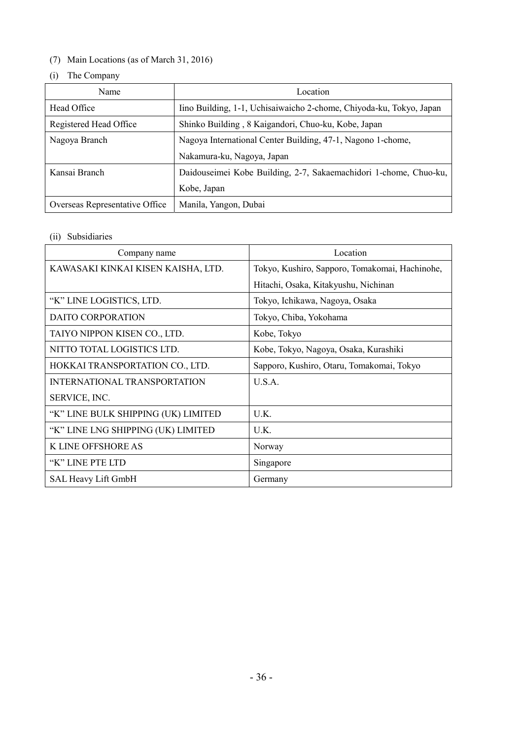### (7) Main Locations (as of March 31, 2016)

### (i) The Company

| Name                                                                         | Location                                                            |
|------------------------------------------------------------------------------|---------------------------------------------------------------------|
| Head Office                                                                  | Iino Building, 1-1, Uchisaiwaicho 2-chome, Chiyoda-ku, Tokyo, Japan |
| Registered Head Office                                                       | Shinko Building, 8 Kaigandori, Chuo-ku, Kobe, Japan                 |
| Nagoya International Center Building, 47-1, Nagono 1-chome,<br>Nagoya Branch |                                                                     |
|                                                                              | Nakamura-ku, Nagoya, Japan                                          |
| Kansai Branch                                                                | Daidouseimei Kobe Building, 2-7, Sakaemachidori 1-chome, Chuo-ku,   |
|                                                                              | Kobe, Japan                                                         |
| Overseas Representative Office                                               | Manila, Yangon, Dubai                                               |

### (ii) Subsidiaries

| Company name                        | Location                                       |
|-------------------------------------|------------------------------------------------|
| KAWASAKI KINKAI KISEN KAISHA, LTD.  | Tokyo, Kushiro, Sapporo, Tomakomai, Hachinohe, |
|                                     | Hitachi, Osaka, Kitakyushu, Nichinan           |
| "K" LINE LOGISTICS, LTD.            | Tokyo, Ichikawa, Nagoya, Osaka                 |
| <b>DAITO CORPORATION</b>            | Tokyo, Chiba, Yokohama                         |
| TAIYO NIPPON KISEN CO., LTD.        | Kobe, Tokyo                                    |
| NITTO TOTAL LOGISTICS LTD.          | Kobe, Tokyo, Nagoya, Osaka, Kurashiki          |
| HOKKAI TRANSPORTATION CO., LTD.     | Sapporo, Kushiro, Otaru, Tomakomai, Tokyo      |
| INTERNATIONAL TRANSPORTATION        | U.S.A.                                         |
| SERVICE, INC.                       |                                                |
| "K" LINE BULK SHIPPING (UK) LIMITED | U.K.                                           |
| "K" LINE LNG SHIPPING (UK) LIMITED  | U.K.                                           |
| K LINE OFFSHORE AS                  | Norway                                         |
| "K" LINE PTE LTD                    | Singapore                                      |
| SAL Heavy Lift GmbH                 | Germany                                        |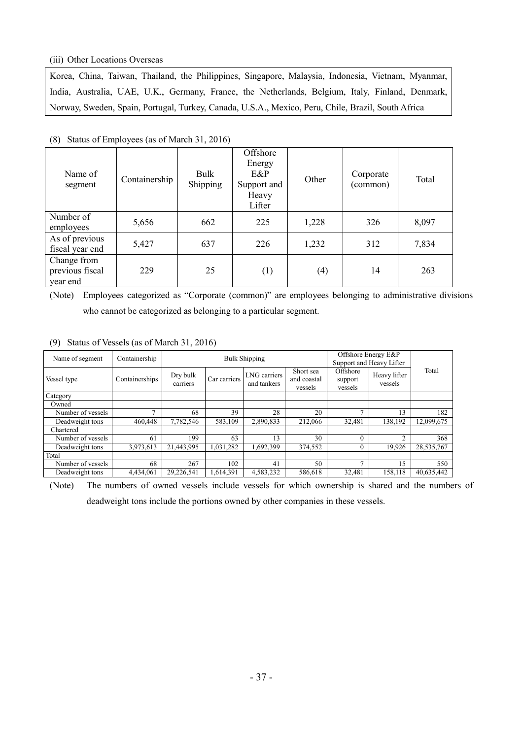## (iii) Other Locations Overseas

Korea, China, Taiwan, Thailand, the Philippines, Singapore, Malaysia, Indonesia, Vietnam, Myanmar, India, Australia, UAE, U.K., Germany, France, the Netherlands, Belgium, Italy, Finland, Denmark, Norway, Sweden, Spain, Portugal, Turkey, Canada, U.S.A., Mexico, Peru, Chile, Brazil, South Africa

| Name of<br>segment                         | Containership | Bulk<br>Shipping | Offshore<br>Energy<br>E&P<br>Support and<br>Heavy<br>Lifter | Other | Corporate<br>(common) | Total |
|--------------------------------------------|---------------|------------------|-------------------------------------------------------------|-------|-----------------------|-------|
| Number of<br>employees                     | 5,656         | 662              | 225                                                         | 1,228 | 326                   | 8,097 |
| As of previous<br>fiscal year end          | 5,427         | 637              | 226                                                         | 1,232 | 312                   | 7,834 |
| Change from<br>previous fiscal<br>year end | 229           | 25               | (1)                                                         | (4)   | 14                    | 263   |

## (8) Status of Employees (as of March 31, 2016)

(Note) Employees categorized as "Corporate (common)" are employees belonging to administrative divisions who cannot be categorized as belonging to a particular segment.

## (9) Status of Vessels (as of March 31, 2016)

| Name of segment   | Containership  | <b>Bulk Shipping</b> |              |                             |                                     | Offshore Energy E&P<br>Support and Heavy Lifter |                         |            |
|-------------------|----------------|----------------------|--------------|-----------------------------|-------------------------------------|-------------------------------------------------|-------------------------|------------|
| Vessel type       | Containerships | Dry bulk<br>carriers | Car carriers | LNG carriers<br>and tankers | Short sea<br>and coastal<br>vessels | Offshore<br>support<br>vessels                  | Heavy lifter<br>vessels | Total      |
| Category          |                |                      |              |                             |                                     |                                                 |                         |            |
| Owned             |                |                      |              |                             |                                     |                                                 |                         |            |
| Number of vessels | 7              | 68                   | 39           | 28                          | 20                                  | $\mathcal{L}$                                   | 13                      | 182        |
| Deadweight tons   | 460.448        | 7.782.546            | 583,109      | 2,890,833                   | 212,066                             | 32,481                                          | 138,192                 | 12,099,675 |
| Chartered         |                |                      |              |                             |                                     |                                                 |                         |            |
| Number of vessels | 61             | 199                  | 63           | 13                          | 30                                  | $\theta$                                        | C                       | 368        |
| Deadweight tons   | 3,973,613      | 21,443,995           | 1,031,282    | .692,399                    | 374,552                             | $\mathbf{0}$                                    | 19,926                  | 28,535,767 |
| Total             |                |                      |              |                             |                                     |                                                 |                         |            |
| Number of vessels | 68             | 267                  | 102          | 41                          | 50                                  | $\mathcal{L}$                                   | 15                      | 550        |
| Deadweight tons   | 4,434,061      | 29,226,541           | 1,614,391    | 4,583,232                   | 586,618                             | 32,481                                          | 158,118                 | 40,635,442 |

(Note) The numbers of owned vessels include vessels for which ownership is shared and the numbers of deadweight tons include the portions owned by other companies in these vessels.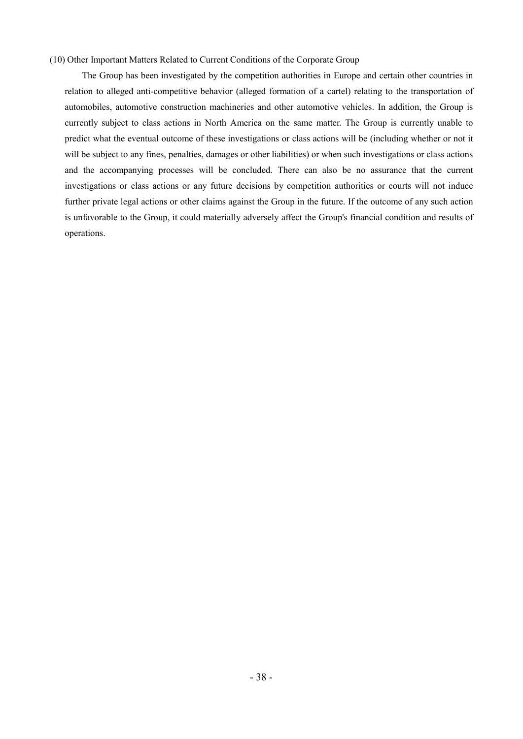(10) Other Important Matters Related to Current Conditions of the Corporate Group

The Group has been investigated by the competition authorities in Europe and certain other countries in relation to alleged anti-competitive behavior (alleged formation of a cartel) relating to the transportation of automobiles, automotive construction machineries and other automotive vehicles. In addition, the Group is currently subject to class actions in North America on the same matter. The Group is currently unable to predict what the eventual outcome of these investigations or class actions will be (including whether or not it will be subject to any fines, penalties, damages or other liabilities) or when such investigations or class actions and the accompanying processes will be concluded. There can also be no assurance that the current investigations or class actions or any future decisions by competition authorities or courts will not induce further private legal actions or other claims against the Group in the future. If the outcome of any such action is unfavorable to the Group, it could materially adversely affect the Group's financial condition and results of operations.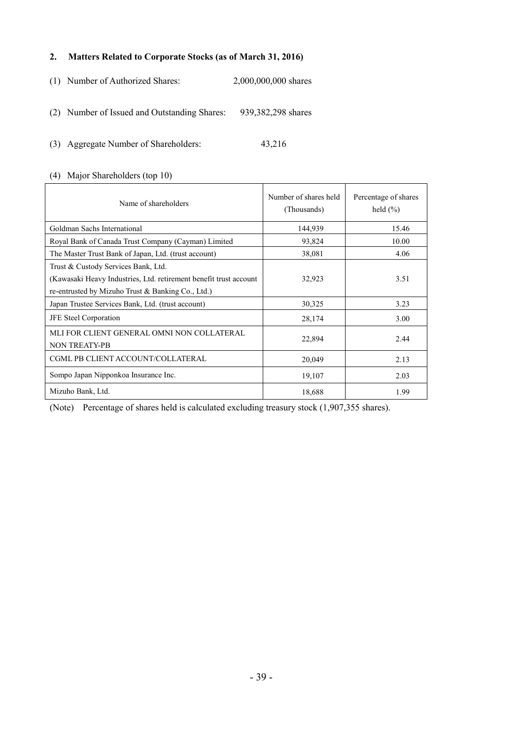## **2. Matters Related to Corporate Stocks (as of March 31, 2016)**

(1) Number of Authorized Shares: 2,000,000,000 shares

(2) Number of Issued and Outstanding Shares: 939,382,298 shares

(3) Aggregate Number of Shareholders: 43,216

## (4) Major Shareholders (top 10)

| Name of shareholders                                                                                                                                            | Number of shares held<br>(Thousands) | Percentage of shares<br>held $(\% )$ |
|-----------------------------------------------------------------------------------------------------------------------------------------------------------------|--------------------------------------|--------------------------------------|
| Goldman Sachs International                                                                                                                                     | 144,939                              | 15.46                                |
| Royal Bank of Canada Trust Company (Cayman) Limited                                                                                                             | 93,824                               | 10.00                                |
| The Master Trust Bank of Japan, Ltd. (trust account)                                                                                                            | 38,081                               | 4.06                                 |
| Trust & Custody Services Bank, Ltd.<br>(Kawasaki Heavy Industries, Ltd. retirement benefit trust account<br>re-entrusted by Mizuho Trust $&$ Banking Co., Ltd.) | 32,923                               | 3.51                                 |
| Japan Trustee Services Bank, Ltd. (trust account)                                                                                                               | 30,325                               | 3.23                                 |
| <b>JFE</b> Steel Corporation                                                                                                                                    | 28,174                               | 3.00                                 |
| MLI FOR CLIENT GENERAL OMNI NON COLLATERAL<br><b>NON TREATY-PB</b>                                                                                              | 22,894                               | 2.44                                 |
| CGML PB CLIENT ACCOUNT/COLLATERAL                                                                                                                               | 20,049                               | 2.13                                 |
| Sompo Japan Nipponkoa Insurance Inc.                                                                                                                            | 19,107                               | 2.03                                 |
| Mizuho Bank, Ltd.                                                                                                                                               | 18,688                               | 1.99                                 |

(Note) Percentage of shares held is calculated excluding treasury stock (1,907,355 shares).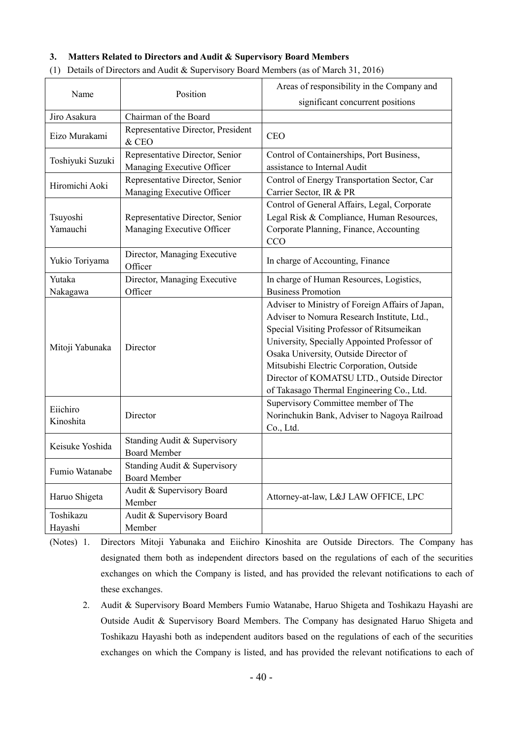## **3. Matters Related to Directors and Audit & Supervisory Board Members**

(1) Details of Directors and Audit & Supervisory Board Members (as of March 31, 2016)

| Name                  | Position                                                      | Areas of responsibility in the Company and                                                                                                                                                                                                                                                                                                                                   |  |
|-----------------------|---------------------------------------------------------------|------------------------------------------------------------------------------------------------------------------------------------------------------------------------------------------------------------------------------------------------------------------------------------------------------------------------------------------------------------------------------|--|
|                       |                                                               | significant concurrent positions                                                                                                                                                                                                                                                                                                                                             |  |
| Jiro Asakura          | Chairman of the Board                                         |                                                                                                                                                                                                                                                                                                                                                                              |  |
| Eizo Murakami         | Representative Director, President<br>& CEO                   | <b>CEO</b>                                                                                                                                                                                                                                                                                                                                                                   |  |
| Toshiyuki Suzuki      | Representative Director, Senior<br>Managing Executive Officer | Control of Containerships, Port Business,<br>assistance to Internal Audit                                                                                                                                                                                                                                                                                                    |  |
| Hiromichi Aoki        | Representative Director, Senior<br>Managing Executive Officer | Control of Energy Transportation Sector, Car<br>Carrier Sector, IR & PR                                                                                                                                                                                                                                                                                                      |  |
| Tsuyoshi<br>Yamauchi  | Representative Director, Senior<br>Managing Executive Officer | Control of General Affairs, Legal, Corporate<br>Legal Risk & Compliance, Human Resources,<br>Corporate Planning, Finance, Accounting<br>CCO                                                                                                                                                                                                                                  |  |
| Yukio Toriyama        | Director, Managing Executive<br>Officer                       | In charge of Accounting, Finance                                                                                                                                                                                                                                                                                                                                             |  |
| Yutaka                | Director, Managing Executive                                  | In charge of Human Resources, Logistics,                                                                                                                                                                                                                                                                                                                                     |  |
| Nakagawa              | Officer                                                       | <b>Business Promotion</b>                                                                                                                                                                                                                                                                                                                                                    |  |
| Mitoji Yabunaka       | Director                                                      | Adviser to Ministry of Foreign Affairs of Japan,<br>Adviser to Nomura Research Institute, Ltd.,<br>Special Visiting Professor of Ritsumeikan<br>University, Specially Appointed Professor of<br>Osaka University, Outside Director of<br>Mitsubishi Electric Corporation, Outside<br>Director of KOMATSU LTD., Outside Director<br>of Takasago Thermal Engineering Co., Ltd. |  |
| Eiichiro<br>Kinoshita | Director                                                      | Supervisory Committee member of The<br>Norinchukin Bank, Adviser to Nagoya Railroad<br>Co., Ltd.                                                                                                                                                                                                                                                                             |  |
| Keisuke Yoshida       | Standing Audit & Supervisory<br><b>Board Member</b>           |                                                                                                                                                                                                                                                                                                                                                                              |  |
| Fumio Watanabe        | Standing Audit & Supervisory<br><b>Board Member</b>           |                                                                                                                                                                                                                                                                                                                                                                              |  |
| Haruo Shigeta         | Audit & Supervisory Board<br>Member                           | Attorney-at-law, L&J LAW OFFICE, LPC                                                                                                                                                                                                                                                                                                                                         |  |
| Toshikazu<br>Hayashi  | Audit & Supervisory Board<br>Member                           |                                                                                                                                                                                                                                                                                                                                                                              |  |

(Notes) 1. Directors Mitoji Yabunaka and Eiichiro Kinoshita are Outside Directors. The Company has designated them both as independent directors based on the regulations of each of the securities exchanges on which the Company is listed, and has provided the relevant notifications to each of these exchanges.

2. Audit & Supervisory Board Members Fumio Watanabe, Haruo Shigeta and Toshikazu Hayashi are Outside Audit & Supervisory Board Members. The Company has designated Haruo Shigeta and Toshikazu Hayashi both as independent auditors based on the regulations of each of the securities exchanges on which the Company is listed, and has provided the relevant notifications to each of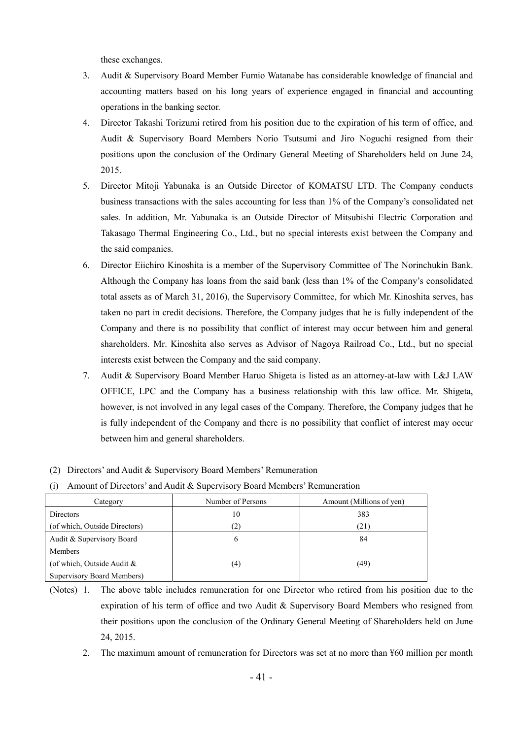these exchanges.

- 3. Audit & Supervisory Board Member Fumio Watanabe has considerable knowledge of financial and accounting matters based on his long years of experience engaged in financial and accounting operations in the banking sector.
- 4. Director Takashi Torizumi retired from his position due to the expiration of his term of office, and Audit & Supervisory Board Members Norio Tsutsumi and Jiro Noguchi resigned from their positions upon the conclusion of the Ordinary General Meeting of Shareholders held on June 24, 2015.
- 5. Director Mitoji Yabunaka is an Outside Director of KOMATSU LTD. The Company conducts business transactions with the sales accounting for less than 1% of the Company's consolidated net sales. In addition, Mr. Yabunaka is an Outside Director of Mitsubishi Electric Corporation and Takasago Thermal Engineering Co., Ltd., but no special interests exist between the Company and the said companies.
- 6. Director Eiichiro Kinoshita is a member of the Supervisory Committee of The Norinchukin Bank. Although the Company has loans from the said bank (less than 1% of the Company's consolidated total assets as of March 31, 2016), the Supervisory Committee, for which Mr. Kinoshita serves, has taken no part in credit decisions. Therefore, the Company judges that he is fully independent of the Company and there is no possibility that conflict of interest may occur between him and general shareholders. Mr. Kinoshita also serves as Advisor of Nagoya Railroad Co., Ltd., but no special interests exist between the Company and the said company.
- 7. Audit & Supervisory Board Member Haruo Shigeta is listed as an attorney-at-law with L&J LAW OFFICE, LPC and the Company has a business relationship with this law office. Mr. Shigeta, however, is not involved in any legal cases of the Company. Therefore, the Company judges that he is fully independent of the Company and there is no possibility that conflict of interest may occur between him and general shareholders.
- (2) Directors' and Audit & Supervisory Board Members' Remuneration
- (i) Amount of Directors' and Audit & Supervisory Board Members' Remuneration

| Category                      | Number of Persons | Amount (Millions of yen) |
|-------------------------------|-------------------|--------------------------|
| Directors                     | 10                | 383                      |
| (of which, Outside Directors) | 2)                | (21)                     |
| Audit & Supervisory Board     | O                 | 84                       |
| Members                       |                   |                          |
| (of which, Outside Audit $\&$ | (4)               | (49)                     |
| Supervisory Board Members)    |                   |                          |

<sup>(</sup>Notes) 1. The above table includes remuneration for one Director who retired from his position due to the expiration of his term of office and two Audit & Supervisory Board Members who resigned from their positions upon the conclusion of the Ordinary General Meeting of Shareholders held on June 24, 2015.

2. The maximum amount of remuneration for Directors was set at no more than ¥60 million per month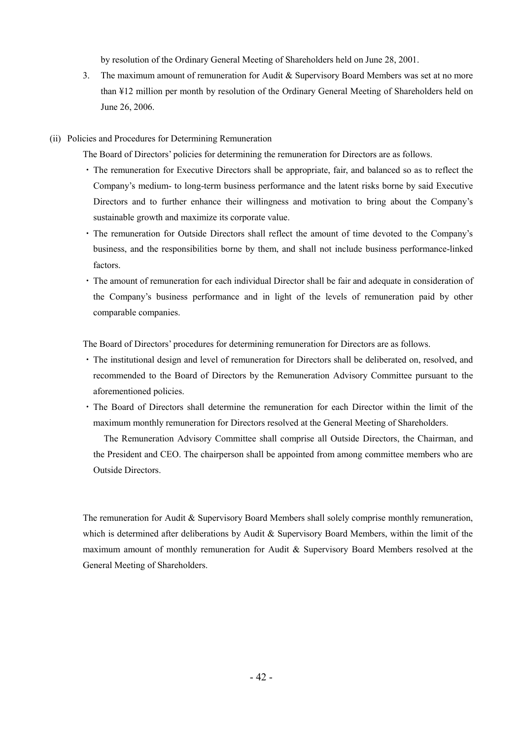by resolution of the Ordinary General Meeting of Shareholders held on June 28, 2001.

- 3. The maximum amount of remuneration for Audit  $&$  Supervisory Board Members was set at no more than ¥12 million per month by resolution of the Ordinary General Meeting of Shareholders held on June 26, 2006.
- (ii) Policies and Procedures for Determining Remuneration

The Board of Directors' policies for determining the remuneration for Directors are as follows.

- ・ The remuneration for Executive Directors shall be appropriate, fair, and balanced so as to reflect the Company's medium- to long-term business performance and the latent risks borne by said Executive Directors and to further enhance their willingness and motivation to bring about the Company's sustainable growth and maximize its corporate value.
- ・ The remuneration for Outside Directors shall reflect the amount of time devoted to the Company's business, and the responsibilities borne by them, and shall not include business performance-linked factors.
- ・ The amount of remuneration for each individual Director shall be fair and adequate in consideration of the Company's business performance and in light of the levels of remuneration paid by other comparable companies.

The Board of Directors' procedures for determining remuneration for Directors are as follows.

- ・ The institutional design and level of remuneration for Directors shall be deliberated on, resolved, and recommended to the Board of Directors by the Remuneration Advisory Committee pursuant to the aforementioned policies.
- ・ The Board of Directors shall determine the remuneration for each Director within the limit of the maximum monthly remuneration for Directors resolved at the General Meeting of Shareholders.

The Remuneration Advisory Committee shall comprise all Outside Directors, the Chairman, and the President and CEO. The chairperson shall be appointed from among committee members who are Outside Directors.

The remuneration for Audit & Supervisory Board Members shall solely comprise monthly remuneration, which is determined after deliberations by Audit & Supervisory Board Members, within the limit of the maximum amount of monthly remuneration for Audit & Supervisory Board Members resolved at the General Meeting of Shareholders.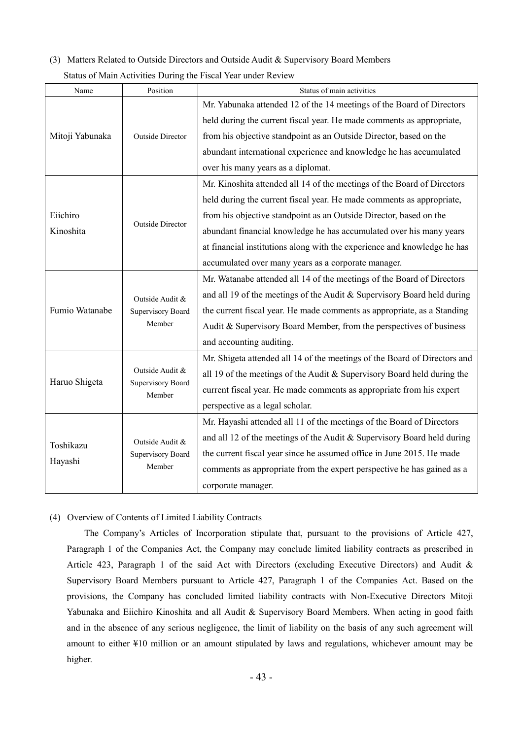## (3) Matters Related to Outside Directors and Outside Audit & Supervisory Board Members

| Name            | Position                                              | Status of main activities                                                 |
|-----------------|-------------------------------------------------------|---------------------------------------------------------------------------|
|                 |                                                       | Mr. Yabunaka attended 12 of the 14 meetings of the Board of Directors     |
|                 |                                                       | held during the current fiscal year. He made comments as appropriate,     |
| Mitoji Yabunaka | <b>Outside Director</b>                               | from his objective standpoint as an Outside Director, based on the        |
|                 |                                                       | abundant international experience and knowledge he has accumulated        |
|                 |                                                       | over his many years as a diplomat.                                        |
|                 |                                                       | Mr. Kinoshita attended all 14 of the meetings of the Board of Directors   |
|                 |                                                       | held during the current fiscal year. He made comments as appropriate,     |
| Eiichiro        |                                                       | from his objective standpoint as an Outside Director, based on the        |
| Kinoshita       | <b>Outside Director</b>                               | abundant financial knowledge he has accumulated over his many years       |
|                 |                                                       | at financial institutions along with the experience and knowledge he has  |
|                 |                                                       | accumulated over many years as a corporate manager.                       |
|                 | Outside Audit &<br><b>Supervisory Board</b><br>Member | Mr. Watanabe attended all 14 of the meetings of the Board of Directors    |
|                 |                                                       | and all 19 of the meetings of the Audit $&$ Supervisory Board held during |
| Fumio Watanabe  |                                                       | the current fiscal year. He made comments as appropriate, as a Standing   |
|                 |                                                       | Audit & Supervisory Board Member, from the perspectives of business       |
|                 |                                                       | and accounting auditing.                                                  |
|                 |                                                       | Mr. Shigeta attended all 14 of the meetings of the Board of Directors and |
|                 | Outside Audit &<br>Supervisory Board<br>Member        | all 19 of the meetings of the Audit $&$ Supervisory Board held during the |
| Haruo Shigeta   |                                                       | current fiscal year. He made comments as appropriate from his expert      |
|                 |                                                       | perspective as a legal scholar.                                           |
|                 |                                                       | Mr. Hayashi attended all 11 of the meetings of the Board of Directors     |
|                 | Outside Audit &                                       | and all 12 of the meetings of the Audit & Supervisory Board held during   |
| Toshikazu       | <b>Supervisory Board</b>                              | the current fiscal year since he assumed office in June 2015. He made     |
| Hayashi         | Member                                                | comments as appropriate from the expert perspective he has gained as a    |
|                 |                                                       | corporate manager.                                                        |

Status of Main Activities During the Fiscal Year under Review

## (4) Overview of Contents of Limited Liability Contracts

The Company's Articles of Incorporation stipulate that, pursuant to the provisions of Article 427, Paragraph 1 of the Companies Act, the Company may conclude limited liability contracts as prescribed in Article 423, Paragraph 1 of the said Act with Directors (excluding Executive Directors) and Audit & Supervisory Board Members pursuant to Article 427, Paragraph 1 of the Companies Act. Based on the provisions, the Company has concluded limited liability contracts with Non-Executive Directors Mitoji Yabunaka and Eiichiro Kinoshita and all Audit & Supervisory Board Members. When acting in good faith and in the absence of any serious negligence, the limit of liability on the basis of any such agreement will amount to either ¥10 million or an amount stipulated by laws and regulations, whichever amount may be higher.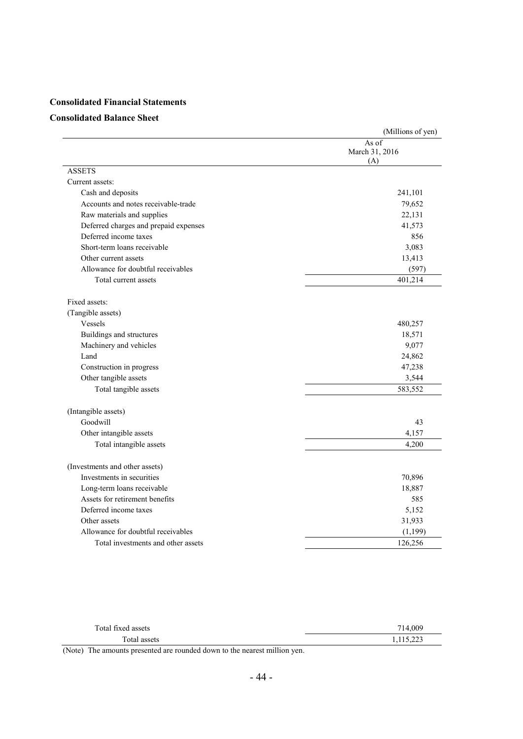## **Consolidated Financial Statements**

## **Consolidated Balance Sheet**

|                                                          | (Millions of yen) |
|----------------------------------------------------------|-------------------|
|                                                          | As of             |
|                                                          | March 31, 2016    |
| <b>ASSETS</b>                                            | (A)               |
| Current assets:                                          |                   |
|                                                          | 241,101           |
| Cash and deposits<br>Accounts and notes receivable-trade | 79,652            |
| Raw materials and supplies                               |                   |
|                                                          | 22,131            |
| Deferred charges and prepaid expenses                    | 41,573            |
| Deferred income taxes                                    | 856               |
| Short-term loans receivable                              | 3,083             |
| Other current assets                                     | 13,413            |
| Allowance for doubtful receivables                       | (597)             |
| Total current assets                                     | 401,214           |
| Fixed assets:                                            |                   |
| (Tangible assets)                                        |                   |
| Vessels                                                  | 480,257           |
| Buildings and structures                                 | 18,571            |
| Machinery and vehicles                                   | 9,077             |
| Land                                                     | 24,862            |
| Construction in progress                                 | 47,238            |
| Other tangible assets                                    | 3,544             |
| Total tangible assets                                    | 583,552           |
| (Intangible assets)                                      |                   |
| Goodwill                                                 | 43                |
| Other intangible assets                                  | 4,157             |
| Total intangible assets                                  | 4,200             |
| (Investments and other assets)                           |                   |
| Investments in securities                                | 70,896            |
| Long-term loans receivable                               | 18,887            |
| Assets for retirement benefits                           | 585               |
| Deferred income taxes                                    | 5,152             |
| Other assets                                             | 31,933            |
| Allowance for doubtful receivables                       | (1, 199)          |
| Total investments and other assets                       | 126,256           |
|                                                          |                   |

| Total fixed assets | 714,009   |
|--------------------|-----------|
| Total assets       | 1,115,223 |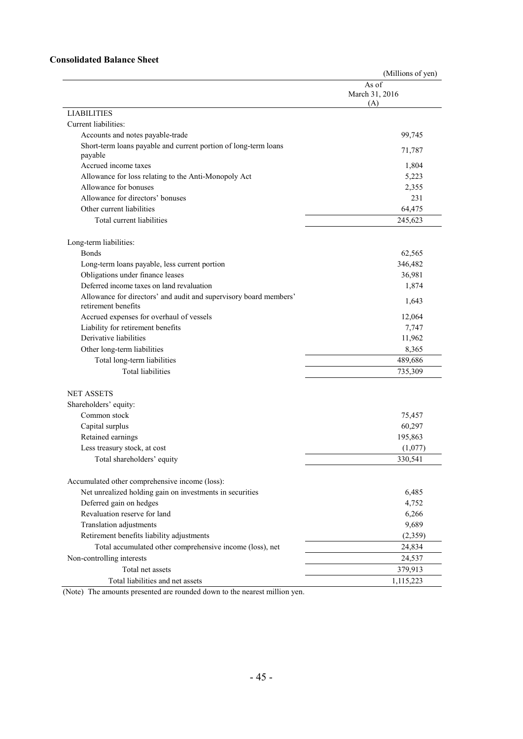## **Consolidated Balance Sheet**

|                                                                                          | (Millions of yen)              |
|------------------------------------------------------------------------------------------|--------------------------------|
|                                                                                          | As of<br>March 31, 2016<br>(A) |
| <b>LIABILITIES</b>                                                                       |                                |
| Current liabilities:                                                                     |                                |
| Accounts and notes payable-trade                                                         | 99,745                         |
| Short-term loans payable and current portion of long-term loans<br>payable               | 71,787                         |
| Accrued income taxes                                                                     | 1,804                          |
| Allowance for loss relating to the Anti-Monopoly Act                                     | 5,223                          |
| Allowance for bonuses                                                                    | 2,355                          |
| Allowance for directors' bonuses                                                         | 231                            |
| Other current liabilities                                                                | 64,475                         |
| Total current liabilities                                                                | 245,623                        |
| Long-term liabilities:                                                                   |                                |
| <b>Bonds</b>                                                                             | 62,565                         |
| Long-term loans payable, less current portion                                            | 346,482                        |
| Obligations under finance leases                                                         | 36,981                         |
| Deferred income taxes on land revaluation                                                | 1,874                          |
| Allowance for directors' and audit and supervisory board members'<br>retirement benefits | 1,643                          |
| Accrued expenses for overhaul of vessels                                                 | 12,064                         |
| Liability for retirement benefits                                                        | 7,747                          |
| Derivative liabilities                                                                   | 11,962                         |
| Other long-term liabilities                                                              | 8,365                          |
| Total long-term liabilities                                                              | 489,686                        |
| <b>Total liabilities</b>                                                                 | 735,309                        |
| <b>NET ASSETS</b>                                                                        |                                |
| Shareholders' equity:                                                                    |                                |
| Common stock                                                                             | 75,457                         |
| Capital surplus                                                                          | 60,297                         |
| Retained earnings                                                                        | 195,863                        |
| Less treasury stock, at cost                                                             | (1,077)                        |
| Total shareholders' equity                                                               | 330,541                        |
| Accumulated other comprehensive income (loss):                                           |                                |
| Net unrealized holding gain on investments in securities                                 | 6,485                          |
| Deferred gain on hedges                                                                  | 4,752                          |
| Revaluation reserve for land                                                             | 6,266                          |
| Translation adjustments                                                                  | 9,689                          |
| Retirement benefits liability adjustments                                                | (2,359)                        |
| Total accumulated other comprehensive income (loss), net                                 | 24,834                         |
| Non-controlling interests                                                                | 24,537                         |
| Total net assets                                                                         | 379,913                        |
| Total liabilities and net assets                                                         | 1,115,223                      |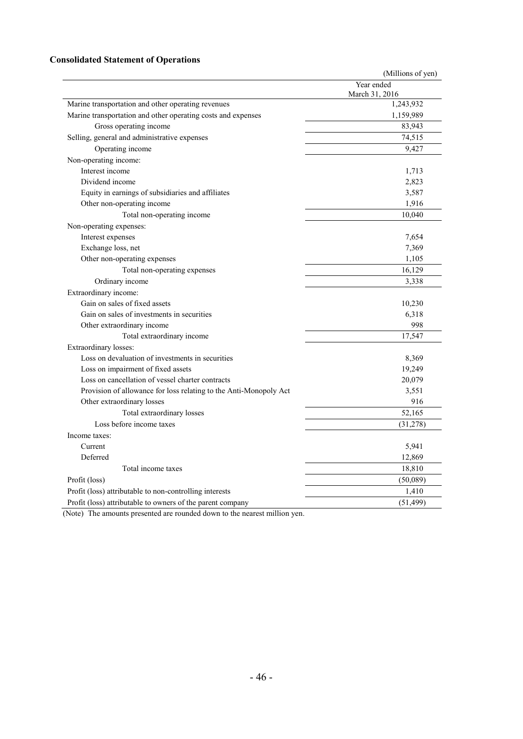# **Consolidated Statement of Operations**

|                                                                   | (Millions of yen) |
|-------------------------------------------------------------------|-------------------|
|                                                                   | Year ended        |
|                                                                   | March 31, 2016    |
| Marine transportation and other operating revenues                | 1,243,932         |
| Marine transportation and other operating costs and expenses      | 1,159,989         |
| Gross operating income                                            | 83,943            |
| Selling, general and administrative expenses                      | 74,515            |
| Operating income                                                  | 9,427             |
| Non-operating income:                                             |                   |
| Interest income                                                   | 1,713             |
| Dividend income                                                   | 2,823             |
| Equity in earnings of subsidiaries and affiliates                 | 3,587             |
| Other non-operating income                                        | 1,916             |
| Total non-operating income                                        | 10,040            |
| Non-operating expenses:                                           |                   |
| Interest expenses                                                 | 7,654             |
| Exchange loss, net                                                | 7,369             |
| Other non-operating expenses                                      | 1,105             |
| Total non-operating expenses                                      | 16,129            |
| Ordinary income                                                   | 3,338             |
| Extraordinary income:                                             |                   |
| Gain on sales of fixed assets                                     | 10,230            |
| Gain on sales of investments in securities                        | 6,318             |
| Other extraordinary income                                        | 998               |
| Total extraordinary income                                        | 17,547            |
| Extraordinary losses:                                             |                   |
| Loss on devaluation of investments in securities                  | 8,369             |
| Loss on impairment of fixed assets                                | 19,249            |
| Loss on cancellation of vessel charter contracts                  | 20,079            |
| Provision of allowance for loss relating to the Anti-Monopoly Act | 3,551             |
| Other extraordinary losses                                        | 916               |
| Total extraordinary losses                                        | 52,165            |
| Loss before income taxes                                          | (31, 278)         |
| Income taxes:                                                     |                   |
| Current                                                           | 5,941             |
| Deferred                                                          | 12,869            |
| Total income taxes                                                | 18,810            |
| Profit (loss)                                                     | (50,089)          |
| Profit (loss) attributable to non-controlling interests           | 1,410             |
| Profit (loss) attributable to owners of the parent company        | (51, 499)         |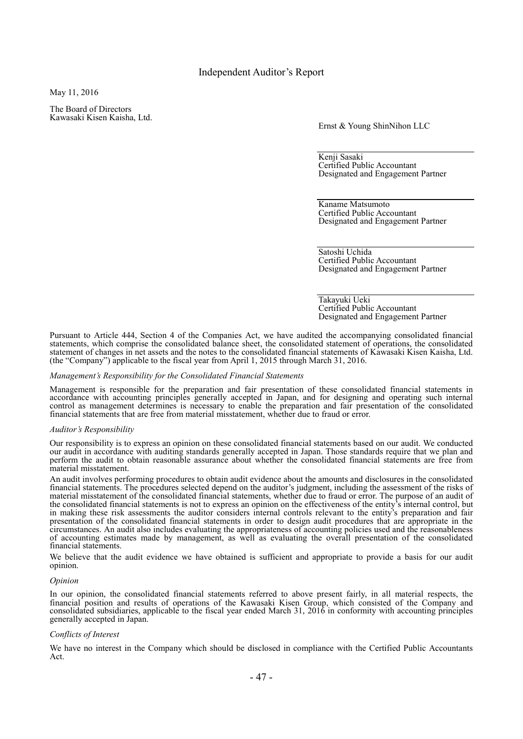## Independent Auditor's Report

May 11, 2016

The Board of Directors Kawasaki Kisen Kaisha, Ltd.

Ernst & Young ShinNihon LLC

Kenji Sasaki Certified Public Accountant Designated and Engagement Partner

Kaname Matsumoto Certified Public Accountant Designated and Engagement Partner

Satoshi Uchida Certified Public Accountant Designated and Engagement Partner

Takayuki Ueki Certified Public Accountant Designated and Engagement Partner

Pursuant to Article 444, Section 4 of the Companies Act, we have audited the accompanying consolidated financial statements, which comprise the consolidated balance sheet, the consolidated statement of operations, the consolidated statement of changes in net assets and the notes to the consolidated financial statements of Kawasaki Kisen Kaisha, Ltd. (the "Company") applicable to the fiscal year from April 1, 2015 through March 31, 2016.

#### *Management's Responsibility for the Consolidated Financial Statements*

Management is responsible for the preparation and fair presentation of these consolidated financial statements in accordance with accounting principles generally accepted in Japan, and for designing and operating such internal control as management determines is necessary to enable the preparation and fair presentation of the consolidated financial statements that are free from material misstatement, whether due to fraud or error.

#### *Auditor's Responsibility*

Our responsibility is to express an opinion on these consolidated financial statements based on our audit. We conducted our audit in accordance with auditing standards generally accepted in Japan. Those standards require that we plan and perform the audit to obtain reasonable assurance about whether the consolidated financial statements are free from material misstatement.

An audit involves performing procedures to obtain audit evidence about the amounts and disclosures in the consolidated financial statements. The procedures selected depend on the auditor's judgment, including the assessment of the risks of material misstatement of the consolidated financial statements, whether due to fraud or error. The purpose of an audit of the consolidated financial statements is not to express an opinion on the effectiveness of the entity's internal control, but in making these risk assessments the auditor considers internal controls relevant to the entity's preparation and fair presentation of the consolidated financial statements in order to design audit procedures that are appropriate in the circumstances. An audit also includes evaluating the appropriateness of accounting policies used and the reasonableness of accounting estimates made by management, as well as evaluating the overall presentation of the consolidated financial statements.

We believe that the audit evidence we have obtained is sufficient and appropriate to provide a basis for our audit opinion.

#### *Opinion*

In our opinion, the consolidated financial statements referred to above present fairly, in all material respects, the financial position and results of operations of the Kawasaki Kisen Group, which consisted of the Company and consolidated subsidiaries, applicable to the fiscal year ended March 31, 2016 in conformity with accounting principles generally accepted in Japan.

#### *Conflicts of Interest*

We have no interest in the Company which should be disclosed in compliance with the Certified Public Accountants Act.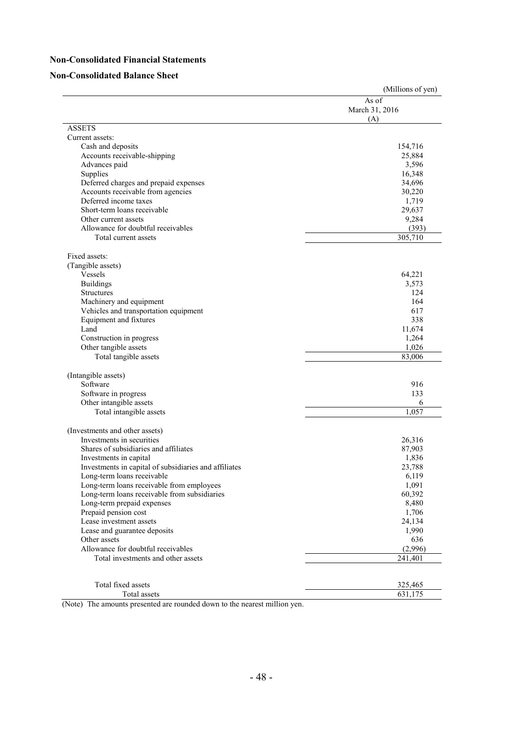## **Non-Consolidated Financial Statements**

## **Non-Consolidated Balance Sheet**

|                                                                                           | (Millions of yen)               |
|-------------------------------------------------------------------------------------------|---------------------------------|
|                                                                                           | As of                           |
|                                                                                           | March 31, 2016                  |
|                                                                                           | (A)                             |
| <b>ASSETS</b>                                                                             |                                 |
| Current assets:                                                                           |                                 |
| Cash and deposits                                                                         | 154,716                         |
| Accounts receivable-shipping                                                              | 25,884                          |
| Advances paid                                                                             | 3,596                           |
| Supplies                                                                                  | 16,348                          |
| Deferred charges and prepaid expenses                                                     | 34,696                          |
| Accounts receivable from agencies                                                         | 30,220                          |
| Deferred income taxes                                                                     | 1,719                           |
| Short-term loans receivable                                                               | 29,637                          |
| Other current assets                                                                      | 9,284                           |
| Allowance for doubtful receivables                                                        | (393)                           |
| Total current assets                                                                      | 305,710                         |
| Fixed assets:                                                                             |                                 |
| (Tangible assets)                                                                         |                                 |
| Vessels                                                                                   | 64,221                          |
| <b>Buildings</b>                                                                          | 3,573                           |
| <b>Structures</b>                                                                         | 124                             |
| Machinery and equipment                                                                   | 164                             |
| Vehicles and transportation equipment                                                     | 617                             |
| Equipment and fixtures                                                                    | 338                             |
| Land                                                                                      | 11,674                          |
| Construction in progress                                                                  | 1,264                           |
| Other tangible assets                                                                     | 1,026                           |
| Total tangible assets                                                                     | 83,006                          |
| (Intangible assets)                                                                       |                                 |
| Software                                                                                  | 916                             |
| Software in progress                                                                      | 133                             |
| Other intangible assets                                                                   | 6                               |
| Total intangible assets                                                                   | 1,057                           |
|                                                                                           |                                 |
| (Investments and other assets)<br>Investments in securities                               | 26,316                          |
| Shares of subsidiaries and affiliates                                                     | 87,903                          |
|                                                                                           | 1,836                           |
| Investments in capital                                                                    |                                 |
| Investments in capital of subsidiaries and affiliates<br>Long-term loans receivable       | 23,788                          |
|                                                                                           | 6,119                           |
| Long-term loans receivable from employees<br>Long-term loans receivable from subsidiaries | 1,091<br>60,392                 |
|                                                                                           |                                 |
| Long-term prepaid expenses                                                                | 8,480                           |
| Prepaid pension cost<br>Lease investment assets                                           | 1,706                           |
|                                                                                           | 24,134<br>1,990                 |
| Lease and guarantee deposits<br>Other assets                                              | 636                             |
|                                                                                           |                                 |
| Allowance for doubtful receivables                                                        | (2,996)                         |
| Total investments and other assets                                                        | 241,401                         |
| Total fixed assets                                                                        |                                 |
|                                                                                           | 325,465<br>$\overline{631,}175$ |
| Total assets                                                                              |                                 |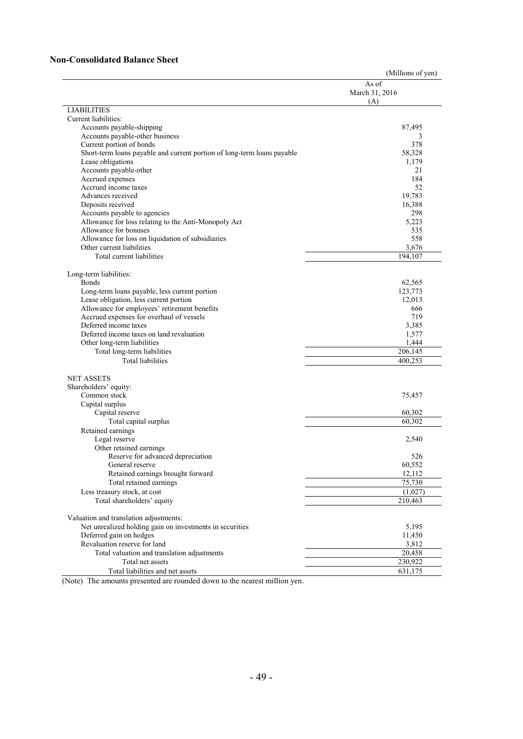## **Non-Consolidated Balance Sheet**

|                                                                         | (Millions of yen) |
|-------------------------------------------------------------------------|-------------------|
|                                                                         | As of             |
|                                                                         | March 31, 2016    |
|                                                                         | (A)               |
| <b>LIABILITIES</b>                                                      |                   |
| Current liabilities:                                                    |                   |
| Accounts payable-shipping                                               | 87,495            |
| Accounts payable-other business                                         | 3                 |
| Current portion of bonds                                                | 378               |
| Short-term loans payable and current portion of long-term loans payable | 58,328            |
| Lease obligations                                                       | 1,179             |
| Accounts payable-other                                                  | 21                |
| Accrued expenses                                                        | 184               |
| Accrued income taxes                                                    | 52                |
| Advances received                                                       | 19,783            |
| Deposits received                                                       | 16,388            |
| Accounts payable to agencies                                            | 298               |
| Allowance for loss relating to the Anti-Monopoly Act                    | 5,223             |
| Allowance for bonuses                                                   | 535               |
| Allowance for loss on liquidation of subsidiaries                       | 558               |
| Other current liabilities                                               | 3,676             |
| Total current liabilities                                               | 194,107           |
|                                                                         |                   |
| Long-term liabilities:                                                  |                   |
| <b>Bonds</b>                                                            | 62,565            |
| Long-term loans payable, less current portion                           | 123,773           |
| Lease obligation, less current portion                                  | 12,013            |
| Allowance for employees' retirement benefits                            | 666               |
| Accrued expenses for overhaul of vessels                                | 719               |
| Deferred income taxes                                                   | 3,385             |
| Deferred income taxes on land revaluation                               | 1,577             |
| Other long-term liabilities                                             | 1,444             |
| Total long-term liabilities                                             | 206,145           |
| <b>Total liabilities</b>                                                | 400,253           |
|                                                                         |                   |
| <b>NET ASSETS</b>                                                       |                   |
| Shareholders' equity:                                                   |                   |
| Common stock                                                            | 75,457            |
| Capital surplus                                                         |                   |
| Capital reserve                                                         | 60,302            |
| Total capital surplus                                                   | 60,302            |
| Retained earnings                                                       |                   |
| Legal reserve                                                           | 2,540             |
| Other retained earnings                                                 |                   |
| Reserve for advanced depreciation                                       | 526               |
| General reserve                                                         | 60,552            |
| Retained earnings brought forward                                       | 12,112            |
| Total retained earnings                                                 | 75,730            |
| Less treasury stock, at cost                                            | (1,027)           |
| Total shareholders' equity                                              | 210,463           |
|                                                                         |                   |
| Valuation and translation adjustments:                                  |                   |
| Net unrealized holding gain on investments in securities                | 5,195             |
| Deferred gain on hedges                                                 | 11,450            |
| Revaluation reserve for land                                            | 3,812             |
| Total valuation and translation adjustments                             | 20,458            |
| Total net assets                                                        | 230,922           |
| Total liabilities and net assets                                        | 631,175           |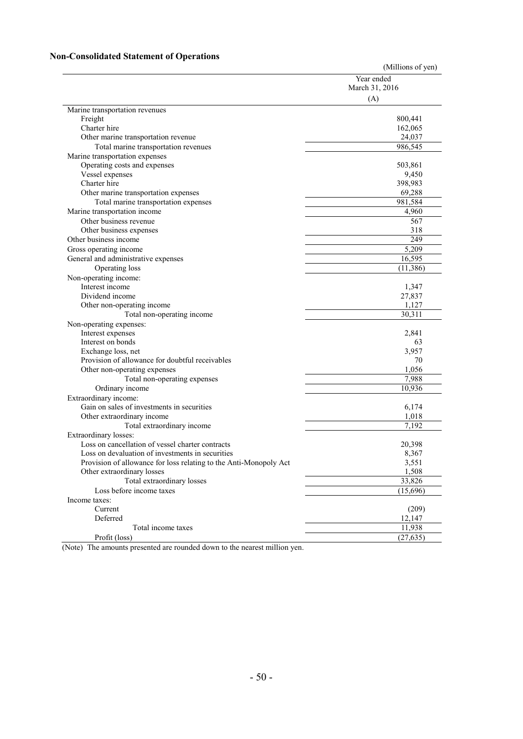# **Non-Consolidated Statement of Operations**

|                                                                   | (Millions of yen) |
|-------------------------------------------------------------------|-------------------|
|                                                                   | Year ended        |
|                                                                   | March 31, 2016    |
|                                                                   | (A)               |
| Marine transportation revenues                                    |                   |
| Freight                                                           | 800,441           |
| Charter hire                                                      | 162,065           |
| Other marine transportation revenue                               | 24,037            |
| Total marine transportation revenues                              | 986,545           |
| Marine transportation expenses                                    |                   |
| Operating costs and expenses                                      | 503,861           |
| Vessel expenses                                                   | 9,450             |
| Charter hire                                                      | 398,983           |
| Other marine transportation expenses                              | 69,288            |
| Total marine transportation expenses                              | 981,584           |
| Marine transportation income                                      | 4,960             |
| Other business revenue                                            | 567               |
| Other business expenses                                           | 318               |
| Other business income                                             | 249               |
| Gross operating income                                            | 5,209             |
| General and administrative expenses                               | 16,595            |
| Operating loss                                                    | (11, 386)         |
| Non-operating income:                                             |                   |
| Interest income                                                   | 1,347             |
| Dividend income                                                   | 27,837            |
| Other non-operating income                                        | 1,127             |
| Total non-operating income                                        | 30,311            |
| Non-operating expenses:                                           |                   |
| Interest expenses                                                 | 2,841             |
| Interest on bonds                                                 | 63                |
| Exchange loss, net                                                | 3,957             |
| Provision of allowance for doubtful receivables                   | 70                |
| Other non-operating expenses                                      | 1,056             |
| Total non-operating expenses                                      | 7,988             |
| Ordinary income                                                   | 10,936            |
| Extraordinary income:                                             |                   |
| Gain on sales of investments in securities                        | 6,174             |
| Other extraordinary income                                        | 1,018             |
| Total extraordinary income                                        | 7,192             |
| Extraordinary losses:                                             |                   |
| Loss on cancellation of vessel charter contracts                  | 20,398            |
| Loss on devaluation of investments in securities                  | 8,367             |
| Provision of allowance for loss relating to the Anti-Monopoly Act | 3,551             |
| Other extraordinary losses                                        | 1,508             |
| Total extraordinary losses                                        | 33,826            |
| Loss before income taxes                                          | (15,696)          |
| Income taxes:                                                     |                   |
| Current                                                           | (209)             |
| Deferred                                                          | 12,147            |
| Total income taxes                                                | 11,938            |
| Profit (loss)                                                     | (27, 635)         |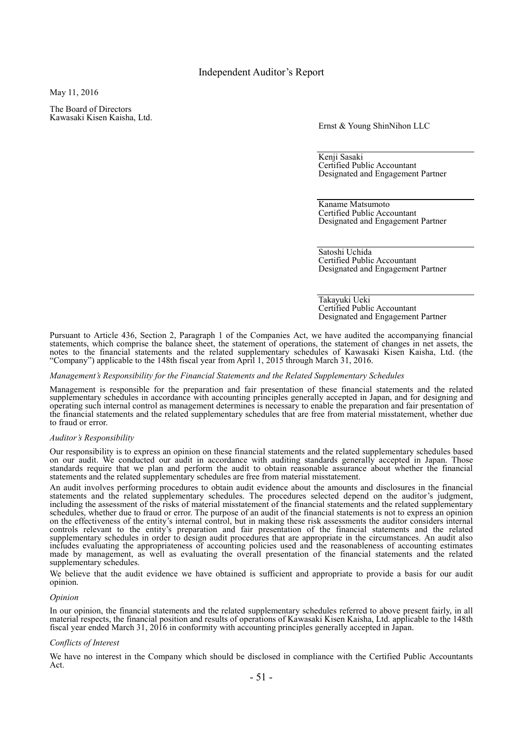## Independent Auditor's Report

May 11, 2016

The Board of Directors Kawasaki Kisen Kaisha, Ltd.

Ernst & Young ShinNihon LLC

Kenji Sasaki Certified Public Accountant Designated and Engagement Partner

Kaname Matsumoto Certified Public Accountant Designated and Engagement Partner

Satoshi Uchida Certified Public Accountant Designated and Engagement Partner

Takayuki Ueki Certified Public Accountant Designated and Engagement Partner

Pursuant to Article 436, Section 2, Paragraph 1 of the Companies Act, we have audited the accompanying financial statements, which comprise the balance sheet, the statement of operations, the statement of changes in net assets, the notes to the financial statements and the related supplementary schedules of Kawasaki Kisen Kaisha, Ltd. (the "Company") applicable to the 148th fiscal year from April 1, 2015 through March 31, 2016.

#### *Management's Responsibility for the Financial Statements and the Related Supplementary Schedules*

Management is responsible for the preparation and fair presentation of these financial statements and the related supplementary schedules in accordance with accounting principles generally accepted in Japan, and for designing and operating such internal control as management determines is necessary to enable the preparation and fair presentation of the financial statements and the related supplementary schedules that are free from material misstatement, whether due to fraud or error.

#### *Auditor's Responsibility*

Our responsibility is to express an opinion on these financial statements and the related supplementary schedules based on our audit. We conducted our audit in accordance with auditing standards generally accepted in Japan. Those standards require that we plan and perform the audit to obtain reasonable assurance about whether the financial statements and the related supplementary schedules are free from material misstatement.

An audit involves performing procedures to obtain audit evidence about the amounts and disclosures in the financial statements and the related supplementary schedules. The procedures selected depend on the auditor's judgment, including the assessment of the risks of material misstatement of the financial statements and the related supplementary schedules, whether due to fraud or error. The purpose of an audit of the financial statements is not to express an opinion on the effectiveness of the entity's internal control, but in making these risk assessments the auditor considers internal controls relevant to the entity's preparation and fair presentation of the financial statements and the related supplementary schedules in order to design audit procedures that are appropriate in the circumstances. An audit also includes evaluating the appropriateness of accounting policies used and the reasonableness of accounting estimates made by management, as well as evaluating the overall presentation of the financial statements and the related supplementary schedules.

We believe that the audit evidence we have obtained is sufficient and appropriate to provide a basis for our audit opinion.

#### *Opinion*

In our opinion, the financial statements and the related supplementary schedules referred to above present fairly, in all material respects, the financial position and results of operations of Kawasaki Kisen Kaisha, Ltd. applicable to the 148th fiscal year ended March 31, 2016 in conformity with accounting principles generally accepted in Japan.

#### *Conflicts of Interest*

We have no interest in the Company which should be disclosed in compliance with the Certified Public Accountants Act.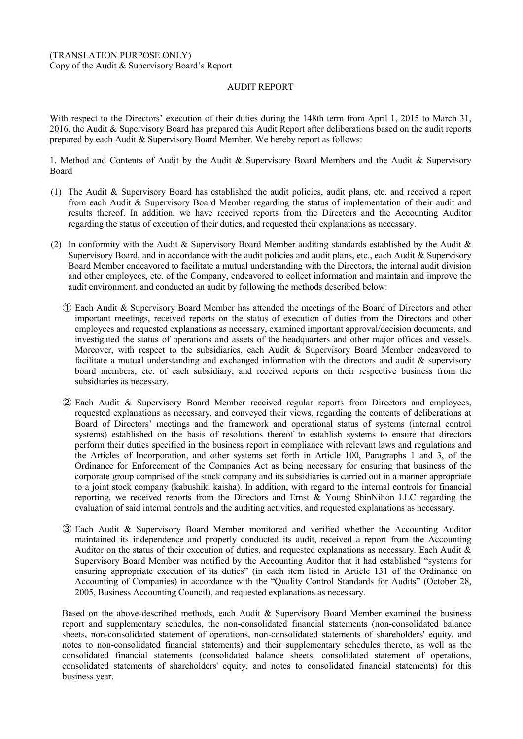## AUDIT REPORT

With respect to the Directors' execution of their duties during the 148th term from April 1, 2015 to March 31, 2016, the Audit & Supervisory Board has prepared this Audit Report after deliberations based on the audit reports prepared by each Audit & Supervisory Board Member. We hereby report as follows:

1. Method and Contents of Audit by the Audit & Supervisory Board Members and the Audit & Supervisory Board

- (1) The Audit & Supervisory Board has established the audit policies, audit plans, etc. and received a report from each Audit & Supervisory Board Member regarding the status of implementation of their audit and results thereof. In addition, we have received reports from the Directors and the Accounting Auditor regarding the status of execution of their duties, and requested their explanations as necessary.
- (2) In conformity with the Audit & Supervisory Board Member auditing standards established by the Audit & Supervisory Board, and in accordance with the audit policies and audit plans, etc., each Audit & Supervisory Board Member endeavored to facilitate a mutual understanding with the Directors, the internal audit division and other employees, etc. of the Company, endeavored to collect information and maintain and improve the audit environment, and conducted an audit by following the methods described below:
	- ① Each Audit & Supervisory Board Member has attended the meetings of the Board of Directors and other important meetings, received reports on the status of execution of duties from the Directors and other employees and requested explanations as necessary, examined important approval/decision documents, and investigated the status of operations and assets of the headquarters and other major offices and vessels. Moreover, with respect to the subsidiaries, each Audit & Supervisory Board Member endeavored to facilitate a mutual understanding and exchanged information with the directors and audit & supervisory board members, etc. of each subsidiary, and received reports on their respective business from the subsidiaries as necessary.
	- ② Each Audit & Supervisory Board Member received regular reports from Directors and employees, requested explanations as necessary, and conveyed their views, regarding the contents of deliberations at Board of Directors' meetings and the framework and operational status of systems (internal control systems) established on the basis of resolutions thereof to establish systems to ensure that directors perform their duties specified in the business report in compliance with relevant laws and regulations and the Articles of Incorporation, and other systems set forth in Article 100, Paragraphs 1 and 3, of the Ordinance for Enforcement of the Companies Act as being necessary for ensuring that business of the corporate group comprised of the stock company and its subsidiaries is carried out in a manner appropriate to a joint stock company (kabushiki kaisha). In addition, with regard to the internal controls for financial reporting, we received reports from the Directors and Ernst  $\&$  Young ShinNihon LLC regarding the evaluation of said internal controls and the auditing activities, and requested explanations as necessary.
	- ③ Each Audit & Supervisory Board Member monitored and verified whether the Accounting Auditor maintained its independence and properly conducted its audit, received a report from the Accounting Auditor on the status of their execution of duties, and requested explanations as necessary. Each Audit & Supervisory Board Member was notified by the Accounting Auditor that it had established "systems for ensuring appropriate execution of its duties" (in each item listed in Article 131 of the Ordinance on Accounting of Companies) in accordance with the "Quality Control Standards for Audits" (October 28, 2005, Business Accounting Council), and requested explanations as necessary.

Based on the above-described methods, each Audit & Supervisory Board Member examined the business report and supplementary schedules, the non-consolidated financial statements (non-consolidated balance sheets, non-consolidated statement of operations, non-consolidated statements of shareholders' equity, and notes to non-consolidated financial statements) and their supplementary schedules thereto, as well as the consolidated financial statements (consolidated balance sheets, consolidated statement of operations, consolidated statements of shareholders' equity, and notes to consolidated financial statements) for this business year.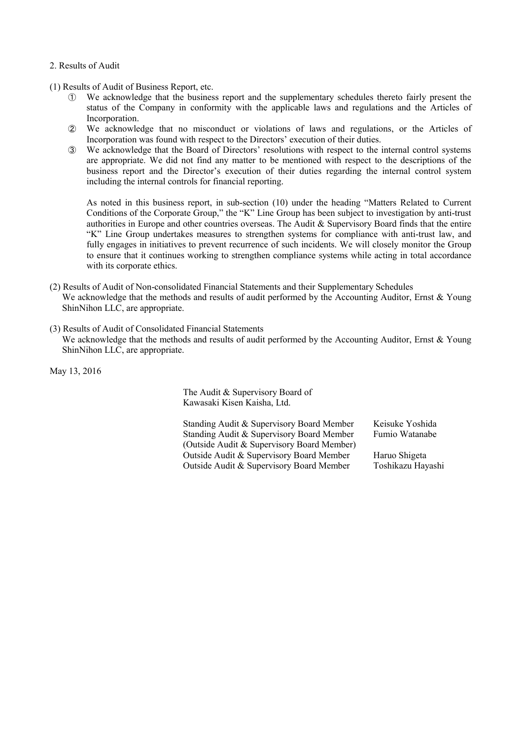### 2. Results of Audit

(1) Results of Audit of Business Report, etc.

- ① We acknowledge that the business report and the supplementary schedules thereto fairly present the status of the Company in conformity with the applicable laws and regulations and the Articles of Incorporation.
- ② We acknowledge that no misconduct or violations of laws and regulations, or the Articles of Incorporation was found with respect to the Directors' execution of their duties.
- ③ We acknowledge that the Board of Directors' resolutions with respect to the internal control systems are appropriate. We did not find any matter to be mentioned with respect to the descriptions of the business report and the Director's execution of their duties regarding the internal control system including the internal controls for financial reporting.

As noted in this business report, in sub-section (10) under the heading "Matters Related to Current Conditions of the Corporate Group," the "K" Line Group has been subject to investigation by anti-trust authorities in Europe and other countries overseas. The Audit & Supervisory Board finds that the entire "K" Line Group undertakes measures to strengthen systems for compliance with anti-trust law, and fully engages in initiatives to prevent recurrence of such incidents. We will closely monitor the Group to ensure that it continues working to strengthen compliance systems while acting in total accordance with its corporate ethics.

- (2) Results of Audit of Non-consolidated Financial Statements and their Supplementary Schedules We acknowledge that the methods and results of audit performed by the Accounting Auditor, Ernst & Young ShinNihon LLC, are appropriate.
- (3) Results of Audit of Consolidated Financial Statements We acknowledge that the methods and results of audit performed by the Accounting Auditor, Ernst & Young ShinNihon LLC, are appropriate.

May 13, 2016

The Audit & Supervisory Board of Kawasaki Kisen Kaisha, Ltd.

Standing Audit & Supervisory Board Member Keisuke Yoshida Standing Audit & Supervisory Board Member Fumio Watanabe (Outside Audit & Supervisory Board Member) Outside Audit & Supervisory Board Member Haruo Shigeta Outside Audit & Supervisory Board Member Toshikazu Hayashi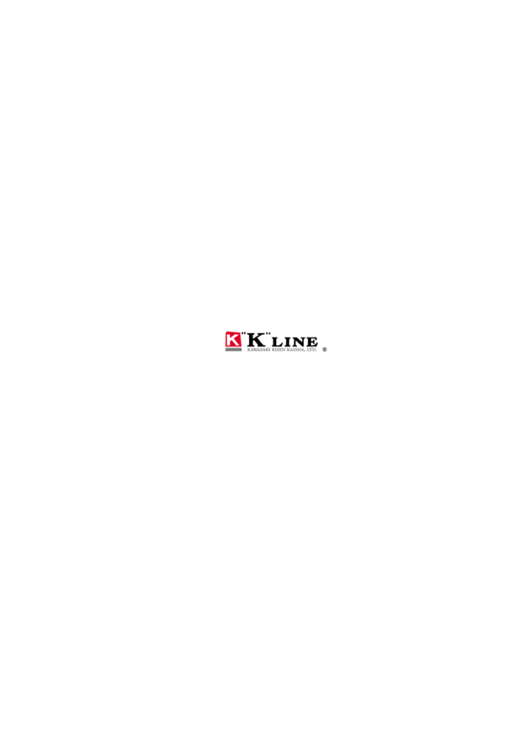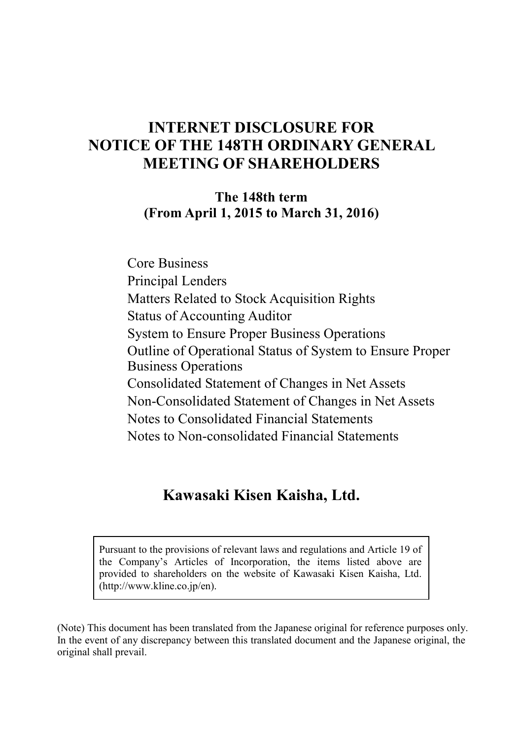# **INTERNET DISCLOSURE FOR NOTICE OF THE 148TH ORDINARY GENERAL MEETING OF SHAREHOLDERS**

**The 148th term (From April 1, 2015 to March 31, 2016)** 

Core Business Principal Lenders Matters Related to Stock Acquisition Rights Status of Accounting Auditor System to Ensure Proper Business Operations Outline of Operational Status of System to Ensure Proper Business Operations Consolidated Statement of Changes in Net Assets Non-Consolidated Statement of Changes in Net Assets Notes to Consolidated Financial Statements Notes to Non-consolidated Financial Statements

# **Kawasaki Kisen Kaisha, Ltd.**

Pursuant to the provisions of relevant laws and regulations and Article 19 of the Company's Articles of Incorporation, the items listed above are provided to shareholders on the website of Kawasaki Kisen Kaisha, Ltd. (http://www.kline.co.jp/en).

(Note) This document has been translated from the Japanese original for reference purposes only. In the event of any discrepancy between this translated document and the Japanese original, the original shall prevail.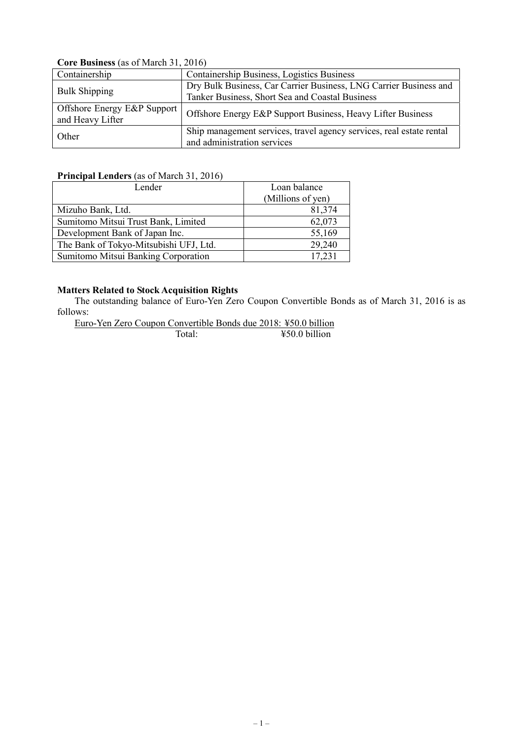## **Core Business** (as of March 31, 2016)

| Containership               | Containership Business, Logistics Business                           |  |  |  |
|-----------------------------|----------------------------------------------------------------------|--|--|--|
| <b>Bulk Shipping</b>        | Dry Bulk Business, Car Carrier Business, LNG Carrier Business and    |  |  |  |
|                             | Tanker Business, Short Sea and Coastal Business                      |  |  |  |
| Offshore Energy E&P Support | Offshore Energy E&P Support Business, Heavy Lifter Business          |  |  |  |
| and Heavy Lifter            |                                                                      |  |  |  |
| Other                       | Ship management services, travel agency services, real estate rental |  |  |  |
|                             | and administration services                                          |  |  |  |

## **Principal Lenders** (as of March 31, 2016)

| Lender                                 | Loan balance      |
|----------------------------------------|-------------------|
|                                        | (Millions of yen) |
| Mizuho Bank, Ltd.                      | 81,374            |
| Sumitomo Mitsui Trust Bank, Limited    | 62,073            |
| Development Bank of Japan Inc.         | 55,169            |
| The Bank of Tokyo-Mitsubishi UFJ, Ltd. | 29,240            |
| Sumitomo Mitsui Banking Corporation    | 17,231            |

## **Matters Related to Stock Acquisition Rights**

The outstanding balance of Euro-Yen Zero Coupon Convertible Bonds as of March 31, 2016 is as follows:

Euro-Yen Zero Coupon Convertible Bonds due 2018: ¥50.0 billion Total: ¥50.0 billion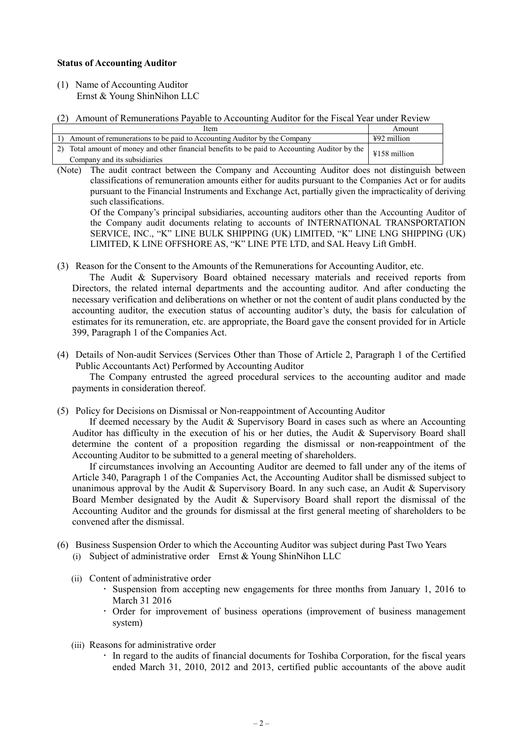## **Status of Accounting Auditor**

- (1) Name of Accounting Auditor Ernst & Young ShinNihon LLC
- (2) Amount of Remunerations Payable to Accounting Auditor for the Fiscal Year under Review

| Item                                                                                          | Amount       |  |
|-----------------------------------------------------------------------------------------------|--------------|--|
| 1) Amount of remunerations to be paid to Accounting Auditor by the Company                    | ¥92 million  |  |
| 2) Total amount of money and other financial benefits to be paid to Accounting Auditor by the | ¥158 million |  |
| Company and its subsidiaries                                                                  |              |  |

(Note) The audit contract between the Company and Accounting Auditor does not distinguish between classifications of remuneration amounts either for audits pursuant to the Companies Act or for audits pursuant to the Financial Instruments and Exchange Act, partially given the impracticality of deriving such classifications.

Of the Company's principal subsidiaries, accounting auditors other than the Accounting Auditor of the Company audit documents relating to accounts of INTERNATIONAL TRANSPORTATION SERVICE, INC., "K" LINE BULK SHIPPING (UK) LIMITED, "K" LINE LNG SHIPPING (UK) LIMITED, K LINE OFFSHORE AS, "K" LINE PTE LTD, and SAL Heavy Lift GmbH.

(3) Reason for the Consent to the Amounts of the Remunerations for Accounting Auditor, etc.

The Audit & Supervisory Board obtained necessary materials and received reports from Directors, the related internal departments and the accounting auditor. And after conducting the necessary verification and deliberations on whether or not the content of audit plans conducted by the accounting auditor, the execution status of accounting auditor's duty, the basis for calculation of estimates for its remuneration, etc. are appropriate, the Board gave the consent provided for in Article 399, Paragraph 1 of the Companies Act.

(4) Details of Non-audit Services (Services Other than Those of Article 2, Paragraph 1 of the Certified Public Accountants Act) Performed by Accounting Auditor

The Company entrusted the agreed procedural services to the accounting auditor and made payments in consideration thereof.

(5) Policy for Decisions on Dismissal or Non-reappointment of Accounting Auditor

If deemed necessary by the Audit & Supervisory Board in cases such as where an Accounting Auditor has difficulty in the execution of his or her duties, the Audit & Supervisory Board shall determine the content of a proposition regarding the dismissal or non-reappointment of the Accounting Auditor to be submitted to a general meeting of shareholders.

If circumstances involving an Accounting Auditor are deemed to fall under any of the items of Article 340, Paragraph 1 of the Companies Act, the Accounting Auditor shall be dismissed subject to unanimous approval by the Audit  $\&$  Supervisory Board. In any such case, an Audit  $\&$  Supervisory Board Member designated by the Audit & Supervisory Board shall report the dismissal of the Accounting Auditor and the grounds for dismissal at the first general meeting of shareholders to be convened after the dismissal.

- (6) Business Suspension Order to which the Accounting Auditor was subject during Past Two Years
	- (i) Subject of administrative order Ernst & Young ShinNihon LLC
	- (ii) Content of administrative order
		- Suspension from accepting new engagements for three months from January 1, 2016 to March 31 2016
		- Order for improvement of business operations (improvement of business management system)
	- (iii) Reasons for administrative order
		- In regard to the audits of financial documents for Toshiba Corporation, for the fiscal years ended March 31, 2010, 2012 and 2013, certified public accountants of the above audit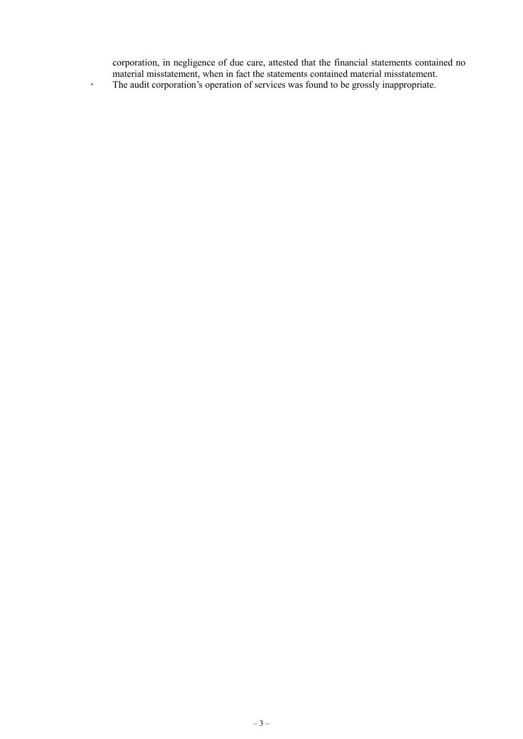corporation, in negligence of due care, attested that the financial statements contained no material misstatement, when in fact the statements contained material misstatement.

The audit corporation's operation of services was found to be grossly inappropriate.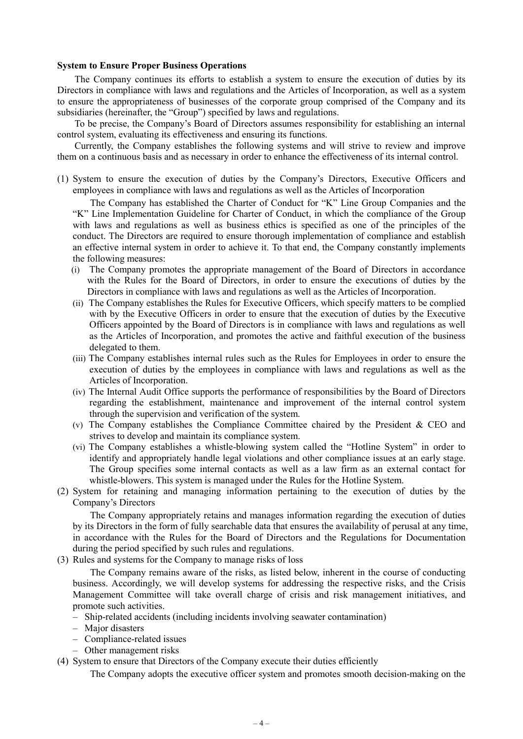### **System to Ensure Proper Business Operations**

The Company continues its efforts to establish a system to ensure the execution of duties by its Directors in compliance with laws and regulations and the Articles of Incorporation, as well as a system to ensure the appropriateness of businesses of the corporate group comprised of the Company and its subsidiaries (hereinafter, the "Group") specified by laws and regulations.

To be precise, the Company's Board of Directors assumes responsibility for establishing an internal control system, evaluating its effectiveness and ensuring its functions.

Currently, the Company establishes the following systems and will strive to review and improve them on a continuous basis and as necessary in order to enhance the effectiveness of its internal control.

(1) System to ensure the execution of duties by the Company's Directors, Executive Officers and employees in compliance with laws and regulations as well as the Articles of Incorporation

The Company has established the Charter of Conduct for "K" Line Group Companies and the "K" Line Implementation Guideline for Charter of Conduct, in which the compliance of the Group with laws and regulations as well as business ethics is specified as one of the principles of the conduct. The Directors are required to ensure thorough implementation of compliance and establish an effective internal system in order to achieve it. To that end, the Company constantly implements the following measures:

- (i) The Company promotes the appropriate management of the Board of Directors in accordance with the Rules for the Board of Directors, in order to ensure the executions of duties by the Directors in compliance with laws and regulations as well as the Articles of Incorporation.
- (ii) The Company establishes the Rules for Executive Officers, which specify matters to be complied with by the Executive Officers in order to ensure that the execution of duties by the Executive Officers appointed by the Board of Directors is in compliance with laws and regulations as well as the Articles of Incorporation, and promotes the active and faithful execution of the business delegated to them.
- (iii) The Company establishes internal rules such as the Rules for Employees in order to ensure the execution of duties by the employees in compliance with laws and regulations as well as the Articles of Incorporation.
- (iv) The Internal Audit Office supports the performance of responsibilities by the Board of Directors regarding the establishment, maintenance and improvement of the internal control system through the supervision and verification of the system.
- (v) The Company establishes the Compliance Committee chaired by the President  $\&$  CEO and strives to develop and maintain its compliance system.
- (vi) The Company establishes a whistle-blowing system called the "Hotline System" in order to identify and appropriately handle legal violations and other compliance issues at an early stage. The Group specifies some internal contacts as well as a law firm as an external contact for whistle-blowers. This system is managed under the Rules for the Hotline System.
- (2) System for retaining and managing information pertaining to the execution of duties by the Company's Directors

The Company appropriately retains and manages information regarding the execution of duties by its Directors in the form of fully searchable data that ensures the availability of perusal at any time, in accordance with the Rules for the Board of Directors and the Regulations for Documentation during the period specified by such rules and regulations.

(3) Rules and systems for the Company to manage risks of loss

The Company remains aware of the risks, as listed below, inherent in the course of conducting business. Accordingly, we will develop systems for addressing the respective risks, and the Crisis Management Committee will take overall charge of crisis and risk management initiatives, and promote such activities.

- Ship-related accidents (including incidents involving seawater contamination)
- Major disasters
- Compliance-related issues
- Other management risks
- (4) System to ensure that Directors of the Company execute their duties efficiently

The Company adopts the executive officer system and promotes smooth decision-making on the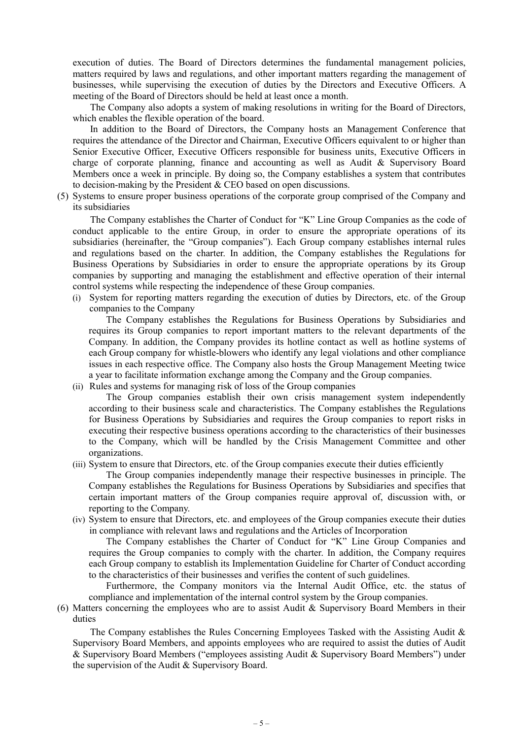execution of duties. The Board of Directors determines the fundamental management policies, matters required by laws and regulations, and other important matters regarding the management of businesses, while supervising the execution of duties by the Directors and Executive Officers. A meeting of the Board of Directors should be held at least once a month.

The Company also adopts a system of making resolutions in writing for the Board of Directors, which enables the flexible operation of the board.

In addition to the Board of Directors, the Company hosts an Management Conference that requires the attendance of the Director and Chairman, Executive Officers equivalent to or higher than Senior Executive Officer, Executive Officers responsible for business units, Executive Officers in charge of corporate planning, finance and accounting as well as Audit & Supervisory Board Members once a week in principle. By doing so, the Company establishes a system that contributes to decision-making by the President & CEO based on open discussions.

(5) Systems to ensure proper business operations of the corporate group comprised of the Company and its subsidiaries

The Company establishes the Charter of Conduct for "K" Line Group Companies as the code of conduct applicable to the entire Group, in order to ensure the appropriate operations of its subsidiaries (hereinafter, the "Group companies"). Each Group company establishes internal rules and regulations based on the charter. In addition, the Company establishes the Regulations for Business Operations by Subsidiaries in order to ensure the appropriate operations by its Group companies by supporting and managing the establishment and effective operation of their internal control systems while respecting the independence of these Group companies.

(i) System for reporting matters regarding the execution of duties by Directors, etc. of the Group companies to the Company

The Company establishes the Regulations for Business Operations by Subsidiaries and requires its Group companies to report important matters to the relevant departments of the Company. In addition, the Company provides its hotline contact as well as hotline systems of each Group company for whistle-blowers who identify any legal violations and other compliance issues in each respective office. The Company also hosts the Group Management Meeting twice a year to facilitate information exchange among the Company and the Group companies.

(ii) Rules and systems for managing risk of loss of the Group companies

The Group companies establish their own crisis management system independently according to their business scale and characteristics. The Company establishes the Regulations for Business Operations by Subsidiaries and requires the Group companies to report risks in executing their respective business operations according to the characteristics of their businesses to the Company, which will be handled by the Crisis Management Committee and other organizations.

(iii) System to ensure that Directors, etc. of the Group companies execute their duties efficiently

The Group companies independently manage their respective businesses in principle. The Company establishes the Regulations for Business Operations by Subsidiaries and specifies that certain important matters of the Group companies require approval of, discussion with, or reporting to the Company.

(iv) System to ensure that Directors, etc. and employees of the Group companies execute their duties in compliance with relevant laws and regulations and the Articles of Incorporation

The Company establishes the Charter of Conduct for "K" Line Group Companies and requires the Group companies to comply with the charter. In addition, the Company requires each Group company to establish its Implementation Guideline for Charter of Conduct according to the characteristics of their businesses and verifies the content of such guidelines.

Furthermore, the Company monitors via the Internal Audit Office, etc. the status of compliance and implementation of the internal control system by the Group companies.

(6) Matters concerning the employees who are to assist Audit & Supervisory Board Members in their duties

The Company establishes the Rules Concerning Employees Tasked with the Assisting Audit & Supervisory Board Members, and appoints employees who are required to assist the duties of Audit & Supervisory Board Members ("employees assisting Audit & Supervisory Board Members") under the supervision of the Audit & Supervisory Board.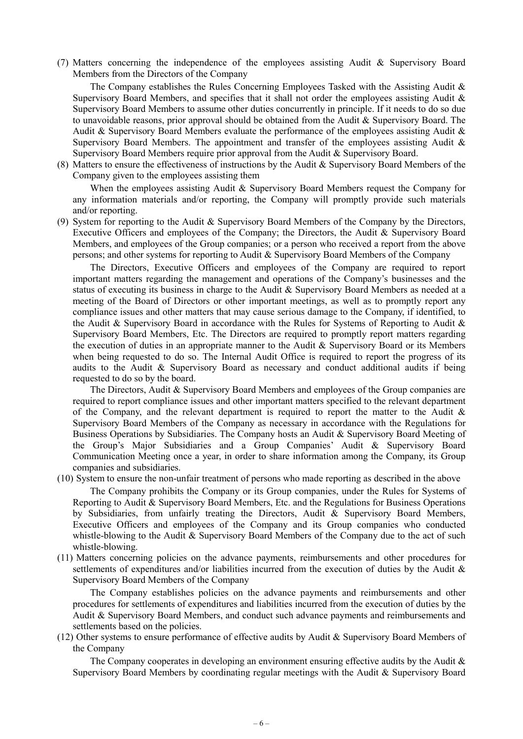(7) Matters concerning the independence of the employees assisting Audit & Supervisory Board Members from the Directors of the Company

The Company establishes the Rules Concerning Employees Tasked with the Assisting Audit  $\&$ Supervisory Board Members, and specifies that it shall not order the employees assisting Audit & Supervisory Board Members to assume other duties concurrently in principle. If it needs to do so due to unavoidable reasons, prior approval should be obtained from the Audit & Supervisory Board. The Audit & Supervisory Board Members evaluate the performance of the employees assisting Audit & Supervisory Board Members. The appointment and transfer of the employees assisting Audit  $\&$ Supervisory Board Members require prior approval from the Audit & Supervisory Board.

(8) Matters to ensure the effectiveness of instructions by the Audit & Supervisory Board Members of the Company given to the employees assisting them

When the employees assisting Audit & Supervisory Board Members request the Company for any information materials and/or reporting, the Company will promptly provide such materials and/or reporting.

(9) System for reporting to the Audit & Supervisory Board Members of the Company by the Directors, Executive Officers and employees of the Company; the Directors, the Audit & Supervisory Board Members, and employees of the Group companies; or a person who received a report from the above persons; and other systems for reporting to Audit & Supervisory Board Members of the Company

The Directors, Executive Officers and employees of the Company are required to report important matters regarding the management and operations of the Company's businesses and the status of executing its business in charge to the Audit & Supervisory Board Members as needed at a meeting of the Board of Directors or other important meetings, as well as to promptly report any compliance issues and other matters that may cause serious damage to the Company, if identified, to the Audit & Supervisory Board in accordance with the Rules for Systems of Reporting to Audit & Supervisory Board Members, Etc. The Directors are required to promptly report matters regarding the execution of duties in an appropriate manner to the Audit & Supervisory Board or its Members when being requested to do so. The Internal Audit Office is required to report the progress of its audits to the Audit & Supervisory Board as necessary and conduct additional audits if being requested to do so by the board.

The Directors, Audit & Supervisory Board Members and employees of the Group companies are required to report compliance issues and other important matters specified to the relevant department of the Company, and the relevant department is required to report the matter to the Audit  $\&$ Supervisory Board Members of the Company as necessary in accordance with the Regulations for Business Operations by Subsidiaries. The Company hosts an Audit & Supervisory Board Meeting of the Group's Major Subsidiaries and a Group Companies' Audit & Supervisory Board Communication Meeting once a year, in order to share information among the Company, its Group companies and subsidiaries.

(10) System to ensure the non-unfair treatment of persons who made reporting as described in the above

The Company prohibits the Company or its Group companies, under the Rules for Systems of Reporting to Audit & Supervisory Board Members, Etc. and the Regulations for Business Operations by Subsidiaries, from unfairly treating the Directors, Audit & Supervisory Board Members, Executive Officers and employees of the Company and its Group companies who conducted whistle-blowing to the Audit  $&$  Supervisory Board Members of the Company due to the act of such whistle-blowing.

(11) Matters concerning policies on the advance payments, reimbursements and other procedures for settlements of expenditures and/or liabilities incurred from the execution of duties by the Audit & Supervisory Board Members of the Company

The Company establishes policies on the advance payments and reimbursements and other procedures for settlements of expenditures and liabilities incurred from the execution of duties by the Audit & Supervisory Board Members, and conduct such advance payments and reimbursements and settlements based on the policies.

(12) Other systems to ensure performance of effective audits by Audit & Supervisory Board Members of the Company

The Company cooperates in developing an environment ensuring effective audits by the Audit & Supervisory Board Members by coordinating regular meetings with the Audit & Supervisory Board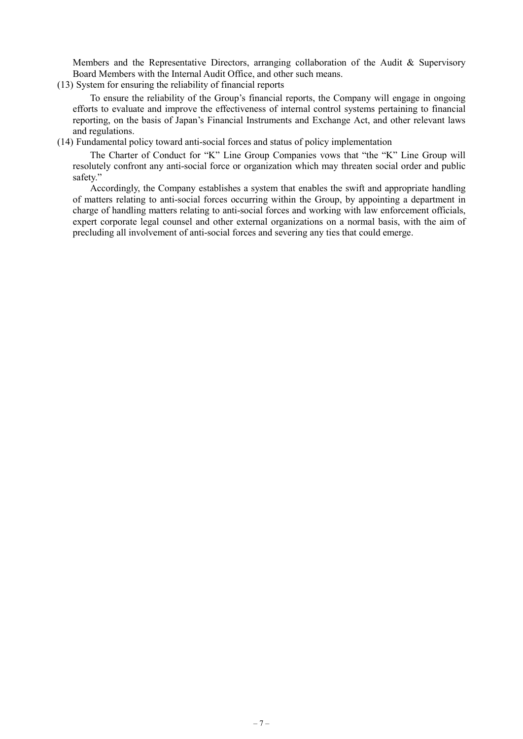Members and the Representative Directors, arranging collaboration of the Audit & Supervisory Board Members with the Internal Audit Office, and other such means.

(13) System for ensuring the reliability of financial reports

To ensure the reliability of the Group's financial reports, the Company will engage in ongoing efforts to evaluate and improve the effectiveness of internal control systems pertaining to financial reporting, on the basis of Japan's Financial Instruments and Exchange Act, and other relevant laws and regulations.

(14) Fundamental policy toward anti-social forces and status of policy implementation

The Charter of Conduct for "K" Line Group Companies vows that "the "K" Line Group will resolutely confront any anti-social force or organization which may threaten social order and public safety."

Accordingly, the Company establishes a system that enables the swift and appropriate handling of matters relating to anti-social forces occurring within the Group, by appointing a department in charge of handling matters relating to anti-social forces and working with law enforcement officials, expert corporate legal counsel and other external organizations on a normal basis, with the aim of precluding all involvement of anti-social forces and severing any ties that could emerge.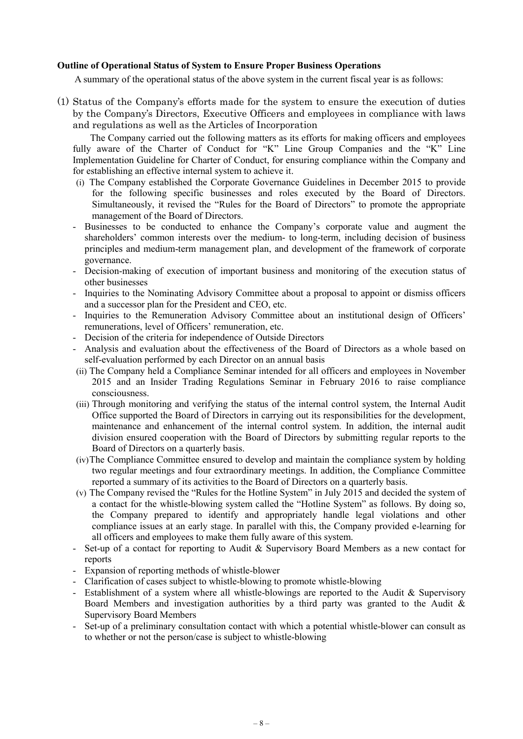## **Outline of Operational Status of System to Ensure Proper Business Operations**

A summary of the operational status of the above system in the current fiscal year is as follows:

(1) Status of the Company's efforts made for the system to ensure the execution of duties by the Company's Directors, Executive Officers and employees in compliance with laws and regulations as well as the Articles of Incorporation

The Company carried out the following matters as its efforts for making officers and employees fully aware of the Charter of Conduct for "K" Line Group Companies and the "K" Line Implementation Guideline for Charter of Conduct, for ensuring compliance within the Company and for establishing an effective internal system to achieve it.

- (i) The Company established the Corporate Governance Guidelines in December 2015 to provide for the following specific businesses and roles executed by the Board of Directors. Simultaneously, it revised the "Rules for the Board of Directors" to promote the appropriate management of the Board of Directors.
- Businesses to be conducted to enhance the Company's corporate value and augment the shareholders' common interests over the medium- to long-term, including decision of business principles and medium-term management plan, and development of the framework of corporate governance.
- Decision-making of execution of important business and monitoring of the execution status of other businesses
- Inquiries to the Nominating Advisory Committee about a proposal to appoint or dismiss officers and a successor plan for the President and CEO, etc.
- Inquiries to the Remuneration Advisory Committee about an institutional design of Officers' remunerations, level of Officers' remuneration, etc.
- Decision of the criteria for independence of Outside Directors
- Analysis and evaluation about the effectiveness of the Board of Directors as a whole based on self-evaluation performed by each Director on an annual basis
- (ii) The Company held a Compliance Seminar intended for all officers and employees in November 2015 and an Insider Trading Regulations Seminar in February 2016 to raise compliance consciousness.
- (iii) Through monitoring and verifying the status of the internal control system, the Internal Audit Office supported the Board of Directors in carrying out its responsibilities for the development, maintenance and enhancement of the internal control system. In addition, the internal audit division ensured cooperation with the Board of Directors by submitting regular reports to the Board of Directors on a quarterly basis.
- (iv)The Compliance Committee ensured to develop and maintain the compliance system by holding two regular meetings and four extraordinary meetings. In addition, the Compliance Committee reported a summary of its activities to the Board of Directors on a quarterly basis.
- (v) The Company revised the "Rules for the Hotline System" in July 2015 and decided the system of a contact for the whistle-blowing system called the "Hotline System" as follows. By doing so, the Company prepared to identify and appropriately handle legal violations and other compliance issues at an early stage. In parallel with this, the Company provided e-learning for all officers and employees to make them fully aware of this system.
- Set-up of a contact for reporting to Audit & Supervisory Board Members as a new contact for reports
- Expansion of reporting methods of whistle-blower
- Clarification of cases subject to whistle-blowing to promote whistle-blowing
- Establishment of a system where all whistle-blowings are reported to the Audit & Supervisory Board Members and investigation authorities by a third party was granted to the Audit  $\&$ Supervisory Board Members
- Set-up of a preliminary consultation contact with which a potential whistle-blower can consult as to whether or not the person/case is subject to whistle-blowing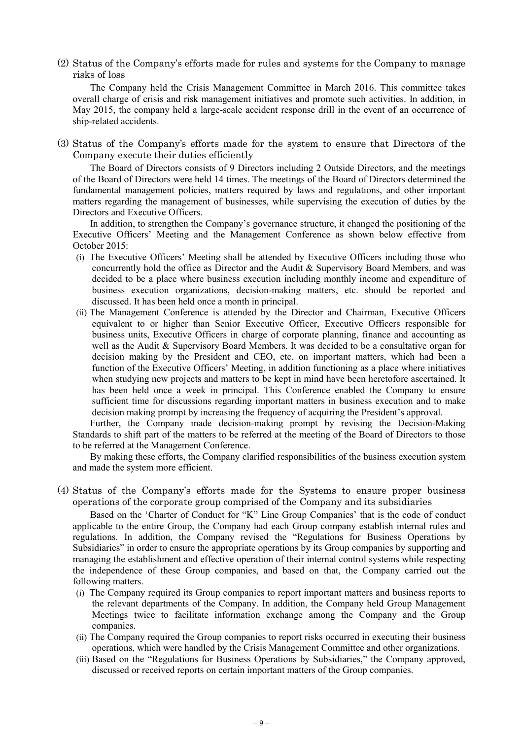(2) Status of the Company's efforts made for rules and systems for the Company to manage risks of loss

The Company held the Crisis Management Committee in March 2016. This committee takes overall charge of crisis and risk management initiatives and promote such activities. In addition, in May 2015, the company held a large-scale accident response drill in the event of an occurrence of ship-related accidents.

(3) Status of the Company's efforts made for the system to ensure that Directors of the Company execute their duties efficiently

The Board of Directors consists of 9 Directors including 2 Outside Directors, and the meetings of the Board of Directors were held 14 times. The meetings of the Board of Directors determined the fundamental management policies, matters required by laws and regulations, and other important matters regarding the management of businesses, while supervising the execution of duties by the Directors and Executive Officers.

In addition, to strengthen the Company's governance structure, it changed the positioning of the Executive Officers' Meeting and the Management Conference as shown below effective from October 2015:

- (i) The Executive Officers' Meeting shall be attended by Executive Officers including those who concurrently hold the office as Director and the Audit & Supervisory Board Members, and was decided to be a place where business execution including monthly income and expenditure of business execution organizations, decision-making matters, etc. should be reported and discussed. It has been held once a month in principal.
- (ii) The Management Conference is attended by the Director and Chairman, Executive Officers equivalent to or higher than Senior Executive Officer, Executive Officers responsible for business units, Executive Officers in charge of corporate planning, finance and accounting as well as the Audit & Supervisory Board Members. It was decided to be a consultative organ for decision making by the President and CEO, etc. on important matters, which had been a function of the Executive Officers' Meeting, in addition functioning as a place where initiatives when studying new projects and matters to be kept in mind have been heretofore ascertained. It has been held once a week in principal. This Conference enabled the Company to ensure sufficient time for discussions regarding important matters in business execution and to make decision making prompt by increasing the frequency of acquiring the President's approval.

Further, the Company made decision-making prompt by revising the Decision-Making Standards to shift part of the matters to be referred at the meeting of the Board of Directors to those to be referred at the Management Conference.

By making these efforts, the Company clarified responsibilities of the business execution system and made the system more efficient.

(4) Status of the Company's efforts made for the Systems to ensure proper business operations of the corporate group comprised of the Company and its subsidiaries

Based on the 'Charter of Conduct for "K" Line Group Companies' that is the code of conduct applicable to the entire Group, the Company had each Group company establish internal rules and regulations. In addition, the Company revised the "Regulations for Business Operations by Subsidiaries" in order to ensure the appropriate operations by its Group companies by supporting and managing the establishment and effective operation of their internal control systems while respecting the independence of these Group companies, and based on that, the Company carried out the following matters.

- (i) The Company required its Group companies to report important matters and business reports to the relevant departments of the Company. In addition, the Company held Group Management Meetings twice to facilitate information exchange among the Company and the Group companies.
- (ii) The Company required the Group companies to report risks occurred in executing their business operations, which were handled by the Crisis Management Committee and other organizations.
- (iii) Based on the "Regulations for Business Operations by Subsidiaries," the Company approved, discussed or received reports on certain important matters of the Group companies.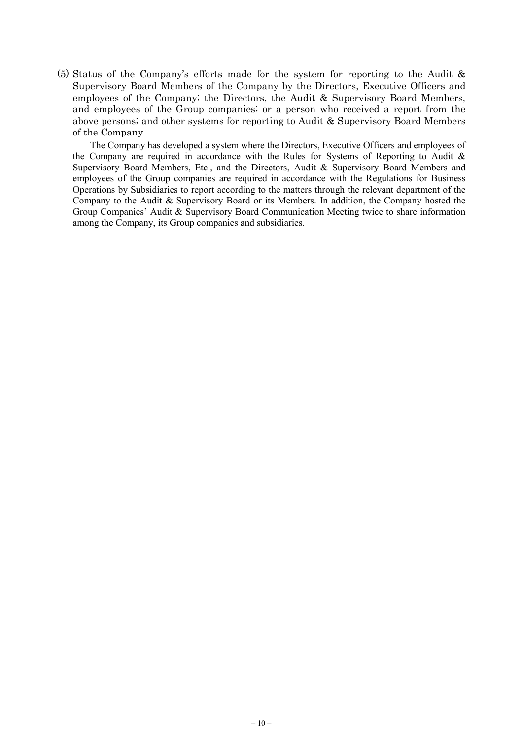(5) Status of the Company's efforts made for the system for reporting to the Audit & Supervisory Board Members of the Company by the Directors, Executive Officers and employees of the Company; the Directors, the Audit & Supervisory Board Members, and employees of the Group companies; or a person who received a report from the above persons; and other systems for reporting to Audit & Supervisory Board Members of the Company

The Company has developed a system where the Directors, Executive Officers and employees of the Company are required in accordance with the Rules for Systems of Reporting to Audit & Supervisory Board Members, Etc., and the Directors, Audit & Supervisory Board Members and employees of the Group companies are required in accordance with the Regulations for Business Operations by Subsidiaries to report according to the matters through the relevant department of the Company to the Audit & Supervisory Board or its Members. In addition, the Company hosted the Group Companies' Audit & Supervisory Board Communication Meeting twice to share information among the Company, its Group companies and subsidiaries.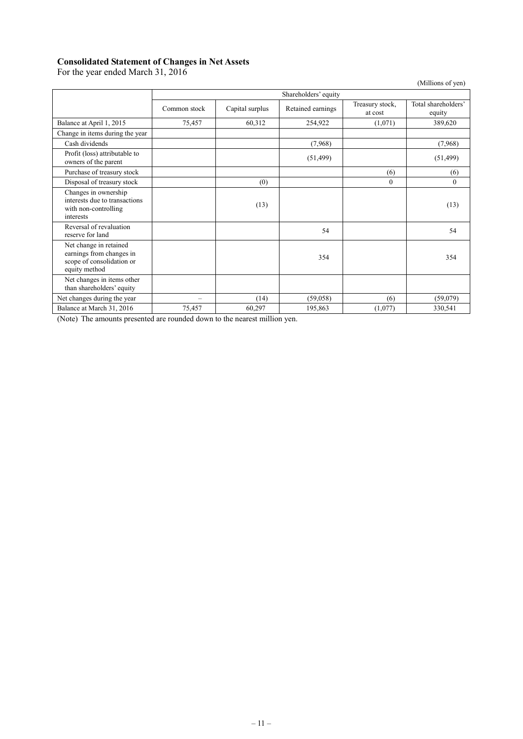# **Consolidated Statement of Changes in Net Assets**

For the year ended March 31, 2016

(Millions of yen) Shareholders' equity Common stock Capital surplus Retained earnings Treasury stock, at cost Total shareholders' equity Balance at April 1, 2015 75,457 60,312 254,922 (1,071) 389,620 Change in items during the year Cash dividends (7,968) (7,968) Profit (loss) attributable to Profit (loss) attributable to <br>owners of the parent (51,499) (51,499) (51,499) Purchase of treasury stock (6) (6) (6) (6) (6) Disposal of treasury stock (0) 0 0 Changes in ownership interests due to transactions with non-controlling interests (13) (13) (13) Reversal of revaluation reserve for land 54 54 Net change in retained earnings from changes in scope of consolidation or equity method  $354$   $354$   $354$ Net changes in items other than shareholders' equity Net changes during the year – (14) (59,058) (6) (59,079) Balance at March 31, 2016 75,457 60,297 195,863 (1,077) 330,541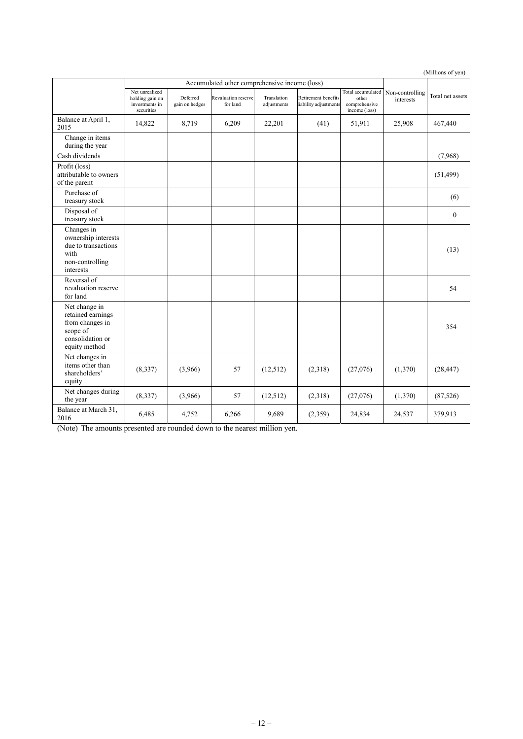|                                                                                                        |                                                                   |                            |                                 |                            |                                              |                                                              |                              | (Millions of yen) |
|--------------------------------------------------------------------------------------------------------|-------------------------------------------------------------------|----------------------------|---------------------------------|----------------------------|----------------------------------------------|--------------------------------------------------------------|------------------------------|-------------------|
|                                                                                                        | Accumulated other comprehensive income (loss)                     |                            |                                 |                            |                                              |                                                              |                              |                   |
|                                                                                                        | Net unrealized<br>holding gain on<br>investments in<br>securities | Deferred<br>gain on hedges | Revaluation reserve<br>for land | Translation<br>adjustments | Retirement benefits<br>liability adjustments | Total accumulated<br>other<br>comprehensive<br>income (loss) | Non-controlling<br>interests | Total net assets  |
| Balance at April 1,<br>2015                                                                            | 14,822                                                            | 8,719                      | 6,209                           | 22,201                     | (41)                                         | 51,911                                                       | 25,908                       | 467,440           |
| Change in items<br>during the year                                                                     |                                                                   |                            |                                 |                            |                                              |                                                              |                              |                   |
| Cash dividends                                                                                         |                                                                   |                            |                                 |                            |                                              |                                                              |                              | (7,968)           |
| Profit (loss)<br>attributable to owners<br>of the parent                                               |                                                                   |                            |                                 |                            |                                              |                                                              |                              | (51, 499)         |
| Purchase of<br>treasury stock                                                                          |                                                                   |                            |                                 |                            |                                              |                                                              |                              | (6)               |
| Disposal of<br>treasury stock                                                                          |                                                                   |                            |                                 |                            |                                              |                                                              |                              | $\mathbf{0}$      |
| Changes in<br>ownership interests<br>due to transactions<br>with<br>non-controlling<br>interests       |                                                                   |                            |                                 |                            |                                              |                                                              |                              | (13)              |
| Reversal of<br>revaluation reserve<br>for land                                                         |                                                                   |                            |                                 |                            |                                              |                                                              |                              | 54                |
| Net change in<br>retained earnings<br>from changes in<br>scope of<br>consolidation or<br>equity method |                                                                   |                            |                                 |                            |                                              |                                                              |                              | 354               |
| Net changes in<br>items other than<br>shareholders'<br>equity                                          | (8,337)                                                           | (3,966)                    | 57                              | (12,512)                   | (2,318)                                      | (27,076)                                                     | (1,370)                      | (28, 447)         |
| Net changes during<br>the year                                                                         | (8,337)                                                           | (3,966)                    | 57                              | (12,512)                   | (2,318)                                      | (27,076)                                                     | (1,370)                      | (87, 526)         |
| Balance at March 31,<br>2016                                                                           | 6,485                                                             | 4,752                      | 6,266                           | 9,689                      | (2,359)                                      | 24,834                                                       | 24,537                       | 379,913           |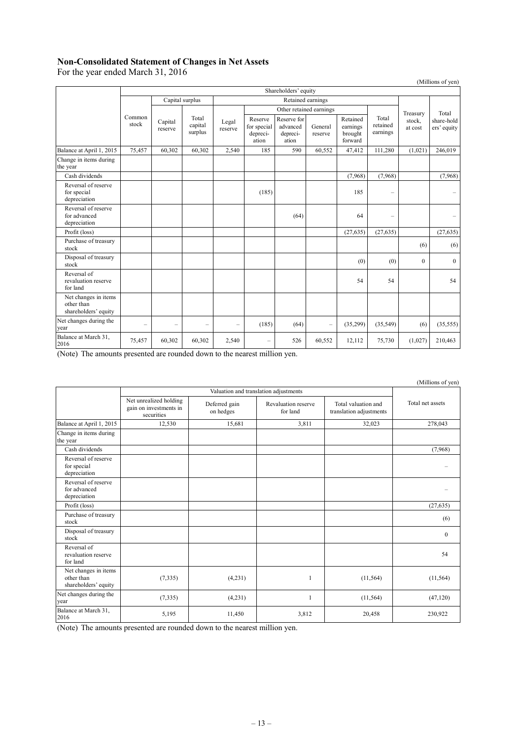# **Non-Consolidated Statement of Changes in Net Assets**

For the year ended March 31, 2016

|                                                            |                          |                          |                             |                          |                                             |                                              |                         |                                            |                               |                   | (Millions of yen)         |       |
|------------------------------------------------------------|--------------------------|--------------------------|-----------------------------|--------------------------|---------------------------------------------|----------------------------------------------|-------------------------|--------------------------------------------|-------------------------------|-------------------|---------------------------|-------|
|                                                            |                          |                          |                             |                          | Shareholders' equity                        |                                              |                         |                                            |                               |                   |                           |       |
|                                                            |                          | Capital surplus          |                             |                          |                                             | Retained earnings                            |                         |                                            |                               |                   |                           |       |
|                                                            | Common<br>stock          |                          |                             |                          |                                             |                                              | Other retained earnings |                                            |                               |                   | Treasury                  | Total |
|                                                            |                          | Capital<br>reserve       | Total<br>capital<br>surplus | Legal<br>reserve         | Reserve<br>for special<br>depreci-<br>ation | Reserve for<br>advanced<br>depreci-<br>ation | General<br>reserve      | Retained<br>earnings<br>brought<br>forward | Total<br>retained<br>earnings | stock,<br>at cost | share-hold<br>ers' equity |       |
| Balance at April 1, 2015                                   | 75,457                   | 60,302                   | 60.302                      | 2,540                    | 185                                         | 590                                          | 60,552                  | 47,412                                     | 111,280                       | (1,021)           | 246.019                   |       |
| Change in items during<br>the year                         |                          |                          |                             |                          |                                             |                                              |                         |                                            |                               |                   |                           |       |
| Cash dividends                                             |                          |                          |                             |                          |                                             |                                              |                         | (7,968)                                    | (7,968)                       |                   | (7,968)                   |       |
| Reversal of reserve<br>for special<br>depreciation         |                          |                          |                             |                          | (185)                                       |                                              |                         | 185                                        | -                             |                   |                           |       |
| Reversal of reserve<br>for advanced<br>depreciation        |                          |                          |                             |                          |                                             | (64)                                         |                         | 64                                         | -                             |                   |                           |       |
| Profit (loss)                                              |                          |                          |                             |                          |                                             |                                              |                         | (27, 635)                                  | (27, 635)                     |                   | (27, 635)                 |       |
| Purchase of treasury<br>stock                              |                          |                          |                             |                          |                                             |                                              |                         |                                            |                               | (6)               | (6)                       |       |
| Disposal of treasury<br>stock                              |                          |                          |                             |                          |                                             |                                              |                         | (0)                                        | (0)                           | $\Omega$          | $\Omega$                  |       |
| Reversal of<br>revaluation reserve<br>for land             |                          |                          |                             |                          |                                             |                                              |                         | 54                                         | 54                            |                   | 54                        |       |
| Net changes in items<br>other than<br>shareholders' equity |                          |                          |                             |                          |                                             |                                              |                         |                                            |                               |                   |                           |       |
| Net changes during the<br>year                             | $\overline{\phantom{0}}$ | $\overline{\phantom{0}}$ | $\overline{\phantom{m}}$    | $\overline{\phantom{0}}$ | (185)                                       | (64)                                         | $\equiv$                | (35,299)                                   | (35,549)                      | (6)               | (35, 555)                 |       |
| Balance at March 31,<br>2016                               | 75,457                   | 60,302                   | 60,302                      | 2,540                    | $\equiv$                                    | 526                                          | 60,552                  | 12,112                                     | 75,730                        | (1,027)           | 210,463                   |       |

(Note) The amounts presented are rounded down to the nearest million yen.

|                                                            |                                                                |                            |                                 |                                                | (Millions of yen) |
|------------------------------------------------------------|----------------------------------------------------------------|----------------------------|---------------------------------|------------------------------------------------|-------------------|
|                                                            |                                                                |                            |                                 |                                                |                   |
|                                                            | Net unrealized holding<br>gain on investments in<br>securities | Deferred gain<br>on hedges | Revaluation reserve<br>for land | Total valuation and<br>translation adjustments | Total net assets  |
| Balance at April 1, 2015                                   | 12,530                                                         | 15,681                     | 3,811                           | 32,023                                         | 278,043           |
| Change in items during<br>the year                         |                                                                |                            |                                 |                                                |                   |
| Cash dividends                                             |                                                                |                            |                                 |                                                | (7,968)           |
| Reversal of reserve<br>for special<br>depreciation         |                                                                |                            |                                 |                                                |                   |
| Reversal of reserve<br>for advanced<br>depreciation        |                                                                |                            |                                 |                                                |                   |
| Profit (loss)                                              |                                                                |                            |                                 |                                                | (27, 635)         |
| Purchase of treasury<br>stock                              |                                                                |                            |                                 |                                                | (6)               |
| Disposal of treasury<br>stock                              |                                                                |                            |                                 |                                                | $\theta$          |
| Reversal of<br>revaluation reserve<br>for land             |                                                                |                            |                                 |                                                | 54                |
| Net changes in items<br>other than<br>shareholders' equity | (7, 335)                                                       | (4,231)                    |                                 | (11, 564)                                      | (11, 564)         |
| Net changes during the<br>year                             | (7, 335)                                                       | (4,231)                    |                                 | (11, 564)                                      | (47, 120)         |
| Balance at March 31,<br>2016                               | 5,195                                                          | 11,450                     | 3,812                           | 20,458                                         | 230,922           |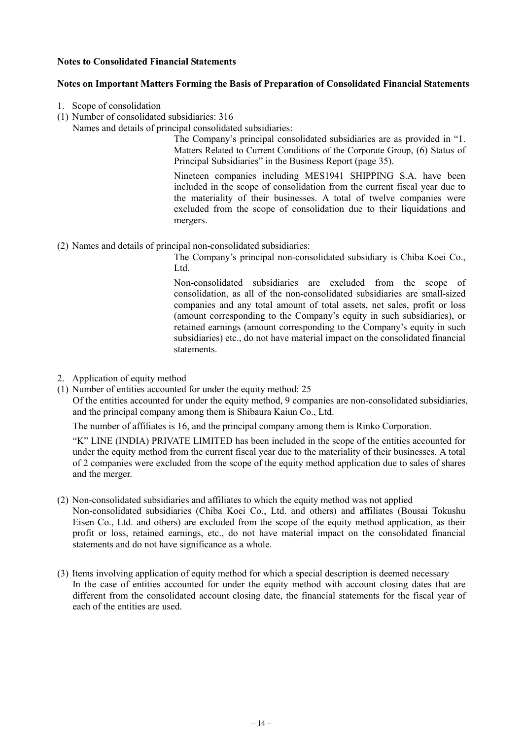## **Notes to Consolidated Financial Statements**

## **Notes on Important Matters Forming the Basis of Preparation of Consolidated Financial Statements**

- 1. Scope of consolidation
- (1) Number of consolidated subsidiaries: 316
	- Names and details of principal consolidated subsidiaries:

The Company's principal consolidated subsidiaries are as provided in "1. Matters Related to Current Conditions of the Corporate Group, (6) Status of Principal Subsidiaries" in the Business Report (page 35).

Nineteen companies including MES1941 SHIPPING S.A. have been included in the scope of consolidation from the current fiscal year due to the materiality of their businesses. A total of twelve companies were excluded from the scope of consolidation due to their liquidations and mergers.

(2) Names and details of principal non-consolidated subsidiaries:

The Company's principal non-consolidated subsidiary is Chiba Koei Co., L<sub>td</sub>

Non-consolidated subsidiaries are excluded from the scope of consolidation, as all of the non-consolidated subsidiaries are small-sized companies and any total amount of total assets, net sales, profit or loss (amount corresponding to the Company's equity in such subsidiaries), or retained earnings (amount corresponding to the Company's equity in such subsidiaries) etc., do not have material impact on the consolidated financial statements.

- 2. Application of equity method
- (1) Number of entities accounted for under the equity method: 25

Of the entities accounted for under the equity method, 9 companies are non-consolidated subsidiaries, and the principal company among them is Shibaura Kaiun Co., Ltd.

The number of affiliates is 16, and the principal company among them is Rinko Corporation.

"K" LINE (INDIA) PRIVATE LIMITED has been included in the scope of the entities accounted for under the equity method from the current fiscal year due to the materiality of their businesses. A total of 2 companies were excluded from the scope of the equity method application due to sales of shares and the merger.

- (2) Non-consolidated subsidiaries and affiliates to which the equity method was not applied Non-consolidated subsidiaries (Chiba Koei Co., Ltd. and others) and affiliates (Bousai Tokushu Eisen Co., Ltd. and others) are excluded from the scope of the equity method application, as their profit or loss, retained earnings, etc., do not have material impact on the consolidated financial statements and do not have significance as a whole.
- (3) Items involving application of equity method for which a special description is deemed necessary In the case of entities accounted for under the equity method with account closing dates that are different from the consolidated account closing date, the financial statements for the fiscal year of each of the entities are used.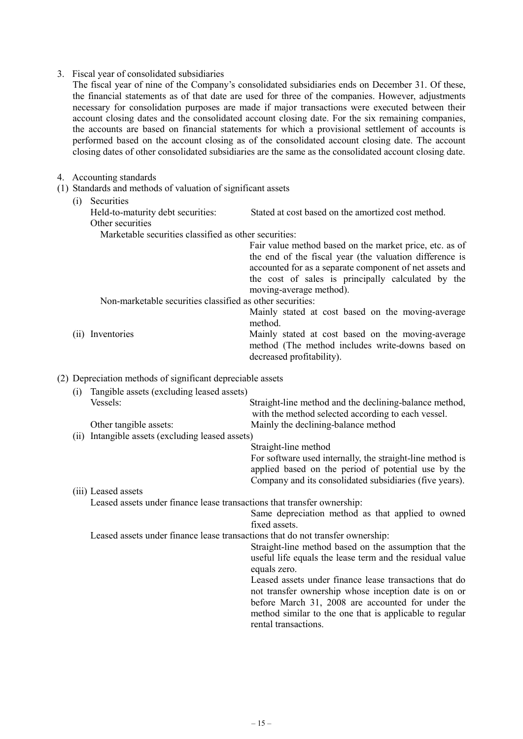3. Fiscal year of consolidated subsidiaries

The fiscal year of nine of the Company's consolidated subsidiaries ends on December 31. Of these, the financial statements as of that date are used for three of the companies. However, adjustments necessary for consolidation purposes are made if major transactions were executed between their account closing dates and the consolidated account closing date. For the six remaining companies, the accounts are based on financial statements for which a provisional settlement of accounts is performed based on the account closing as of the consolidated account closing date. The account closing dates of other consolidated subsidiaries are the same as the consolidated account closing date.

- 4. Accounting standards
- (1) Standards and methods of valuation of significant assets

| (1)  | <b>Securities</b>                                         |                                                                                                                    |
|------|-----------------------------------------------------------|--------------------------------------------------------------------------------------------------------------------|
|      | Held-to-maturity debt securities:                         | Stated at cost based on the amortized cost method.                                                                 |
|      | Other securities                                          |                                                                                                                    |
|      | Marketable securities classified as other securities:     |                                                                                                                    |
|      |                                                           | Fair value method based on the market price, etc. as of                                                            |
|      |                                                           | the end of the fiscal year (the valuation difference is<br>accounted for as a separate component of net assets and |
|      |                                                           | the cost of sales is principally calculated by the                                                                 |
|      |                                                           | moving-average method).                                                                                            |
|      | Non-marketable securities classified as other securities: |                                                                                                                    |
|      |                                                           | Mainly stated at cost based on the moving-average                                                                  |
|      |                                                           | method.                                                                                                            |
| (11) | Inventories                                               | Mainly stated at cost based on the moving-average                                                                  |
|      |                                                           | method (The method includes write-downs based on                                                                   |
|      |                                                           | decreased profitability).                                                                                          |

## (2) Depreciation methods of significant depreciable assets

| Tangible assets (excluding leased assets)                                      |                                                                                                                                                                                                                                                        |
|--------------------------------------------------------------------------------|--------------------------------------------------------------------------------------------------------------------------------------------------------------------------------------------------------------------------------------------------------|
| Vessels:                                                                       | Straight-line method and the declining-balance method,<br>with the method selected according to each vessel.                                                                                                                                           |
| Other tangible assets:                                                         | Mainly the declining-balance method                                                                                                                                                                                                                    |
| (ii) Intangible assets (excluding leased assets)                               |                                                                                                                                                                                                                                                        |
|                                                                                | Straight-line method                                                                                                                                                                                                                                   |
|                                                                                | For software used internally, the straight-line method is<br>applied based on the period of potential use by the<br>Company and its consolidated subsidiaries (five years).                                                                            |
|                                                                                |                                                                                                                                                                                                                                                        |
| Leased assets under finance lease transactions that transfer ownership:        |                                                                                                                                                                                                                                                        |
|                                                                                | Same depreciation method as that applied to owned<br>fixed assets.                                                                                                                                                                                     |
| Leased assets under finance lease transactions that do not transfer ownership: |                                                                                                                                                                                                                                                        |
|                                                                                | Straight-line method based on the assumption that the<br>useful life equals the lease term and the residual value<br>equals zero.                                                                                                                      |
|                                                                                | Leased assets under finance lease transactions that do<br>not transfer ownership whose inception date is on or<br>before March 31, 2008 are accounted for under the<br>method similar to the one that is applicable to regular<br>rental transactions. |
|                                                                                | (iii) Leased assets                                                                                                                                                                                                                                    |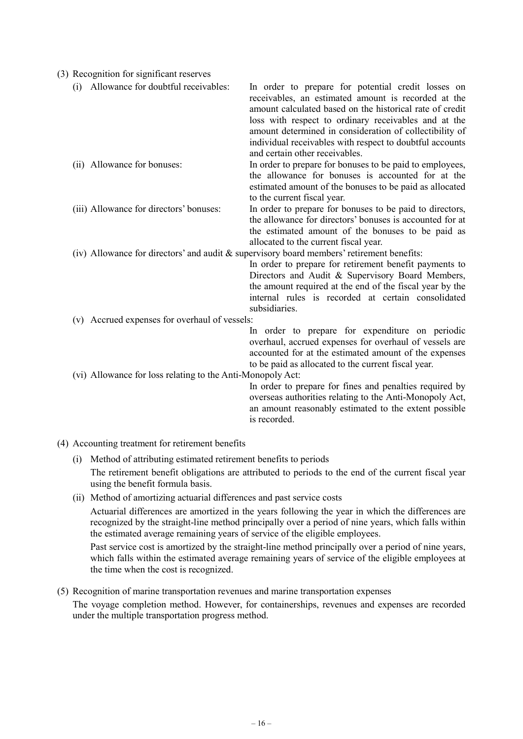(3) Recognition for significant reserves

| (i) | Allowance for doubtful receivables:                        | In order to prepare for potential credit losses on<br>receivables, an estimated amount is recorded at the<br>amount calculated based on the historical rate of credit<br>loss with respect to ordinary receivables and at the<br>amount determined in consideration of collectibility of<br>individual receivables with respect to doubtful accounts<br>and certain other receivables. |
|-----|------------------------------------------------------------|----------------------------------------------------------------------------------------------------------------------------------------------------------------------------------------------------------------------------------------------------------------------------------------------------------------------------------------------------------------------------------------|
|     | (ii) Allowance for bonuses:                                | In order to prepare for bonuses to be paid to employees,<br>the allowance for bonuses is accounted for at the<br>estimated amount of the bonuses to be paid as allocated<br>to the current fiscal year.                                                                                                                                                                                |
|     | (iii) Allowance for directors' bonuses:                    | In order to prepare for bonuses to be paid to directors,<br>the allowance for directors' bonuses is accounted for at<br>the estimated amount of the bonuses to be paid as<br>allocated to the current fiscal year.                                                                                                                                                                     |
|     |                                                            | (iv) Allowance for directors' and audit $\&$ supervisory board members' retirement benefits:<br>In order to prepare for retirement benefit payments to<br>Directors and Audit & Supervisory Board Members,<br>the amount required at the end of the fiscal year by the<br>internal rules is recorded at certain consolidated<br>subsidiaries.                                          |
|     | (v) Accrued expenses for overhaul of vessels:              |                                                                                                                                                                                                                                                                                                                                                                                        |
|     |                                                            | In order to prepare for expenditure on periodic<br>overhaul, accrued expenses for overhaul of vessels are<br>accounted for at the estimated amount of the expenses<br>to be paid as allocated to the current fiscal year.                                                                                                                                                              |
|     | (vi) Allowance for loss relating to the Anti-Monopoly Act: |                                                                                                                                                                                                                                                                                                                                                                                        |
|     |                                                            | In order to prepare for fines and penalties required by<br>overseas authorities relating to the Anti-Monopoly Act,<br>an amount reasonably estimated to the extent possible<br>is recorded.                                                                                                                                                                                            |

## (4) Accounting treatment for retirement benefits

- (i) Method of attributing estimated retirement benefits to periods The retirement benefit obligations are attributed to periods to the end of the current fiscal year using the benefit formula basis.
- (ii) Method of amortizing actuarial differences and past service costs

Actuarial differences are amortized in the years following the year in which the differences are recognized by the straight-line method principally over a period of nine years, which falls within the estimated average remaining years of service of the eligible employees.

Past service cost is amortized by the straight-line method principally over a period of nine years, which falls within the estimated average remaining years of service of the eligible employees at the time when the cost is recognized.

(5) Recognition of marine transportation revenues and marine transportation expenses

The voyage completion method. However, for containerships, revenues and expenses are recorded under the multiple transportation progress method.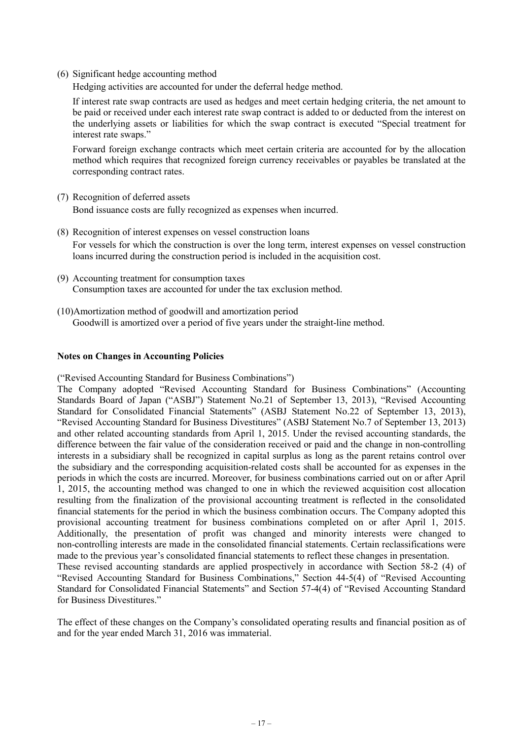(6) Significant hedge accounting method

Hedging activities are accounted for under the deferral hedge method.

If interest rate swap contracts are used as hedges and meet certain hedging criteria, the net amount to be paid or received under each interest rate swap contract is added to or deducted from the interest on the underlying assets or liabilities for which the swap contract is executed "Special treatment for interest rate swaps."

Forward foreign exchange contracts which meet certain criteria are accounted for by the allocation method which requires that recognized foreign currency receivables or payables be translated at the corresponding contract rates.

(7) Recognition of deferred assets

Bond issuance costs are fully recognized as expenses when incurred.

- (8) Recognition of interest expenses on vessel construction loans For vessels for which the construction is over the long term, interest expenses on vessel construction loans incurred during the construction period is included in the acquisition cost.
- (9) Accounting treatment for consumption taxes Consumption taxes are accounted for under the tax exclusion method.
- (10)Amortization method of goodwill and amortization period Goodwill is amortized over a period of five years under the straight-line method.

## **Notes on Changes in Accounting Policies**

("Revised Accounting Standard for Business Combinations")

The Company adopted "Revised Accounting Standard for Business Combinations" (Accounting Standards Board of Japan ("ASBJ") Statement No.21 of September 13, 2013), "Revised Accounting Standard for Consolidated Financial Statements" (ASBJ Statement No.22 of September 13, 2013), "Revised Accounting Standard for Business Divestitures" (ASBJ Statement No.7 of September 13, 2013) and other related accounting standards from April 1, 2015. Under the revised accounting standards, the difference between the fair value of the consideration received or paid and the change in non-controlling interests in a subsidiary shall be recognized in capital surplus as long as the parent retains control over the subsidiary and the corresponding acquisition-related costs shall be accounted for as expenses in the periods in which the costs are incurred. Moreover, for business combinations carried out on or after April 1, 2015, the accounting method was changed to one in which the reviewed acquisition cost allocation resulting from the finalization of the provisional accounting treatment is reflected in the consolidated financial statements for the period in which the business combination occurs. The Company adopted this provisional accounting treatment for business combinations completed on or after April 1, 2015. Additionally, the presentation of profit was changed and minority interests were changed to non-controlling interests are made in the consolidated financial statements. Certain reclassifications were made to the previous year's consolidated financial statements to reflect these changes in presentation.

These revised accounting standards are applied prospectively in accordance with Section 58-2 (4) of "Revised Accounting Standard for Business Combinations," Section 44-5(4) of "Revised Accounting Standard for Consolidated Financial Statements" and Section 57-4(4) of "Revised Accounting Standard for Business Divestitures."

The effect of these changes on the Company's consolidated operating results and financial position as of and for the year ended March 31, 2016 was immaterial.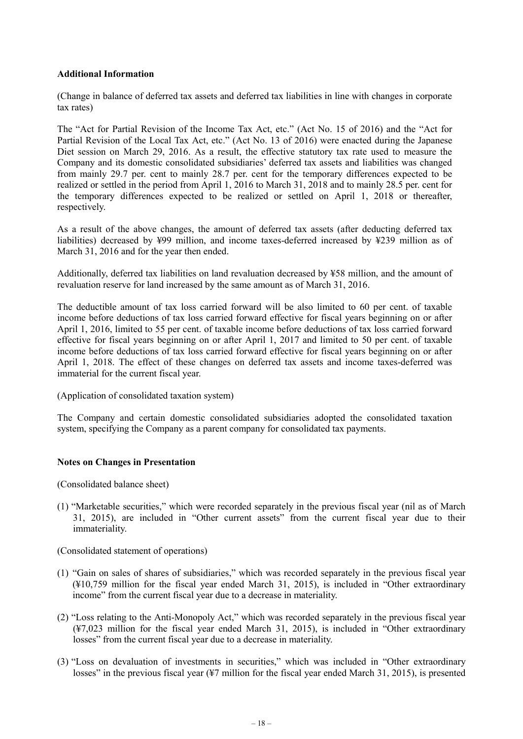# **Additional Information**

(Change in balance of deferred tax assets and deferred tax liabilities in line with changes in corporate tax rates)

The "Act for Partial Revision of the Income Tax Act, etc." (Act No. 15 of 2016) and the "Act for Partial Revision of the Local Tax Act, etc." (Act No. 13 of 2016) were enacted during the Japanese Diet session on March 29, 2016. As a result, the effective statutory tax rate used to measure the Company and its domestic consolidated subsidiaries' deferred tax assets and liabilities was changed from mainly 29.7 per. cent to mainly 28.7 per. cent for the temporary differences expected to be realized or settled in the period from April 1, 2016 to March 31, 2018 and to mainly 28.5 per. cent for the temporary differences expected to be realized or settled on April 1, 2018 or thereafter, respectively.

As a result of the above changes, the amount of deferred tax assets (after deducting deferred tax liabilities) decreased by ¥99 million, and income taxes-deferred increased by ¥239 million as of March 31, 2016 and for the year then ended.

Additionally, deferred tax liabilities on land revaluation decreased by ¥58 million, and the amount of revaluation reserve for land increased by the same amount as of March 31, 2016.

The deductible amount of tax loss carried forward will be also limited to 60 per cent. of taxable income before deductions of tax loss carried forward effective for fiscal years beginning on or after April 1, 2016, limited to 55 per cent. of taxable income before deductions of tax loss carried forward effective for fiscal years beginning on or after April 1, 2017 and limited to 50 per cent. of taxable income before deductions of tax loss carried forward effective for fiscal years beginning on or after April 1, 2018. The effect of these changes on deferred tax assets and income taxes-deferred was immaterial for the current fiscal year.

(Application of consolidated taxation system)

The Company and certain domestic consolidated subsidiaries adopted the consolidated taxation system, specifying the Company as a parent company for consolidated tax payments.

# **Notes on Changes in Presentation**

(Consolidated balance sheet)

(1) "Marketable securities," which were recorded separately in the previous fiscal year (nil as of March 31, 2015), are included in "Other current assets" from the current fiscal year due to their immateriality.

(Consolidated statement of operations)

- (1) "Gain on sales of shares of subsidiaries," which was recorded separately in the previous fiscal year (¥10,759 million for the fiscal year ended March 31, 2015), is included in "Other extraordinary income" from the current fiscal year due to a decrease in materiality.
- (2) "Loss relating to the Anti-Monopoly Act," which was recorded separately in the previous fiscal year (¥7,023 million for the fiscal year ended March 31, 2015), is included in "Other extraordinary losses" from the current fiscal year due to a decrease in materiality.
- (3) "Loss on devaluation of investments in securities," which was included in "Other extraordinary losses" in the previous fiscal year (¥7 million for the fiscal year ended March 31, 2015), is presented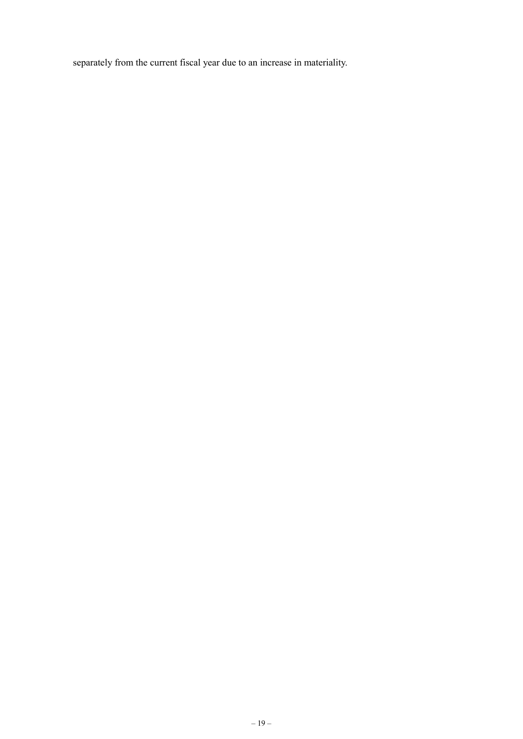separately from the current fiscal year due to an increase in materiality.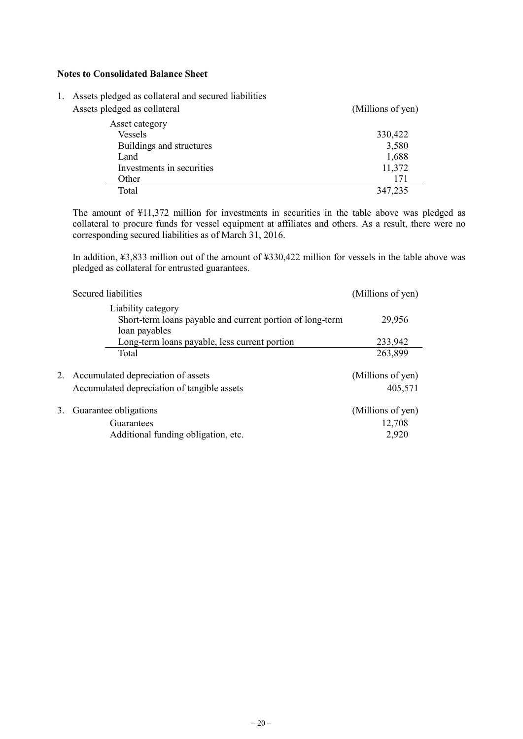## **Notes to Consolidated Balance Sheet**

1. Assets pledged as collateral and secured liabilities

| Assets pledged as collateral | (Millions of yen) |
|------------------------------|-------------------|
| Asset category               |                   |
| Vessels                      | 330,422           |
| Buildings and structures     | 3,580             |
| Land                         | 1,688             |
| Investments in securities    | 11,372            |
| Other                        | 171               |
| Total                        | 347,235           |

The amount of ¥11,372 million for investments in securities in the table above was pledged as collateral to procure funds for vessel equipment at affiliates and others. As a result, there were no corresponding secured liabilities as of March 31, 2016.

In addition, ¥3,833 million out of the amount of ¥330,422 million for vessels in the table above was pledged as collateral for entrusted guarantees.

| Secured liabilities                                                                              | (Millions of yen)                    |
|--------------------------------------------------------------------------------------------------|--------------------------------------|
| Liability category<br>Short-term loans payable and current portion of long-term<br>loan payables | 29,956                               |
| Long-term loans payable, less current portion                                                    | 233,942                              |
| Total                                                                                            | 263,899                              |
| Accumulated depreciation of assets<br>Accumulated depreciation of tangible assets                | (Millions of yen)<br>405,571         |
| 3. Guarantee obligations<br>Guarantees<br>Additional funding obligation, etc.                    | (Millions of yen)<br>12,708<br>2,920 |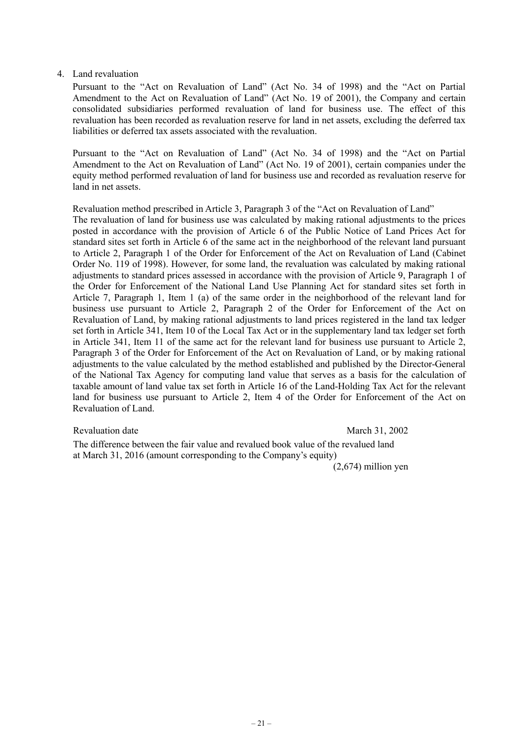# 4. Land revaluation

Pursuant to the "Act on Revaluation of Land" (Act No. 34 of 1998) and the "Act on Partial Amendment to the Act on Revaluation of Land" (Act No. 19 of 2001), the Company and certain consolidated subsidiaries performed revaluation of land for business use. The effect of this revaluation has been recorded as revaluation reserve for land in net assets, excluding the deferred tax liabilities or deferred tax assets associated with the revaluation.

Pursuant to the "Act on Revaluation of Land" (Act No. 34 of 1998) and the "Act on Partial Amendment to the Act on Revaluation of Land" (Act No. 19 of 2001), certain companies under the equity method performed revaluation of land for business use and recorded as revaluation reserve for land in net assets.

Revaluation method prescribed in Article 3, Paragraph 3 of the "Act on Revaluation of Land" The revaluation of land for business use was calculated by making rational adjustments to the prices posted in accordance with the provision of Article 6 of the Public Notice of Land Prices Act for standard sites set forth in Article 6 of the same act in the neighborhood of the relevant land pursuant to Article 2, Paragraph 1 of the Order for Enforcement of the Act on Revaluation of Land (Cabinet Order No. 119 of 1998). However, for some land, the revaluation was calculated by making rational adjustments to standard prices assessed in accordance with the provision of Article 9, Paragraph 1 of the Order for Enforcement of the National Land Use Planning Act for standard sites set forth in Article 7, Paragraph 1, Item 1 (a) of the same order in the neighborhood of the relevant land for business use pursuant to Article 2, Paragraph 2 of the Order for Enforcement of the Act on Revaluation of Land, by making rational adjustments to land prices registered in the land tax ledger set forth in Article 341, Item 10 of the Local Tax Act or in the supplementary land tax ledger set forth in Article 341, Item 11 of the same act for the relevant land for business use pursuant to Article 2, Paragraph 3 of the Order for Enforcement of the Act on Revaluation of Land, or by making rational adjustments to the value calculated by the method established and published by the Director-General of the National Tax Agency for computing land value that serves as a basis for the calculation of taxable amount of land value tax set forth in Article 16 of the Land-Holding Tax Act for the relevant land for business use pursuant to Article 2, Item 4 of the Order for Enforcement of the Act on Revaluation of Land.

# Revaluation date March 31, 2002

The difference between the fair value and revalued book value of the revalued land at March 31, 2016 (amount corresponding to the Company's equity)

(2,674) million yen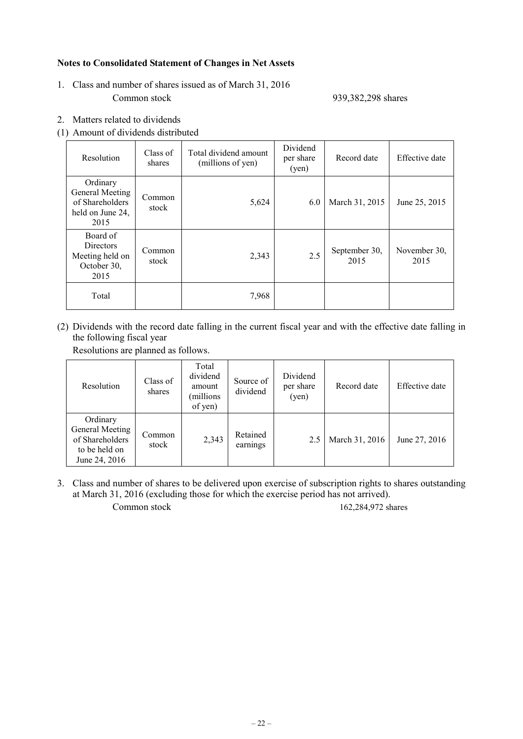# **Notes to Consolidated Statement of Changes in Net Assets**

1. Class and number of shares issued as of March 31, 2016 Common stock 939,382,298 shares

- 2. Matters related to dividends
- (1) Amount of dividends distributed

| Resolution                                                                 | Class of<br>shares | Total dividend amount<br>(millions of yen) | Dividend<br>per share<br>(yen) | Record date           | Effective date       |
|----------------------------------------------------------------------------|--------------------|--------------------------------------------|--------------------------------|-----------------------|----------------------|
| Ordinary<br>General Meeting<br>of Shareholders<br>held on June 24,<br>2015 | Common<br>stock    | 5,624                                      | 6.0                            | March 31, 2015        | June 25, 2015        |
| Board of<br><b>Directors</b><br>Meeting held on<br>October 30,<br>2015     | Common<br>stock    | 2,343                                      | 2.5                            | September 30,<br>2015 | November 30.<br>2015 |
| Total                                                                      |                    | 7,968                                      |                                |                       |                      |

(2) Dividends with the record date falling in the current fiscal year and with the effective date falling in the following fiscal year

Resolutions are planned as follows.

| Resolution                                                                       | Class of<br>shares | Total<br>dividend<br>amount<br>(millions<br>of yen) | Source of<br>dividend | Dividend<br>per share<br>(yen) | Record date    | Effective date |
|----------------------------------------------------------------------------------|--------------------|-----------------------------------------------------|-----------------------|--------------------------------|----------------|----------------|
| Ordinary<br>General Meeting<br>of Shareholders<br>to be held on<br>June 24, 2016 | Common<br>stock    | 2,343                                               | Retained<br>earnings  | 2.5                            | March 31, 2016 | June 27, 2016  |

3. Class and number of shares to be delivered upon exercise of subscription rights to shares outstanding at March 31, 2016 (excluding those for which the exercise period has not arrived). Common stock 162,284,972 shares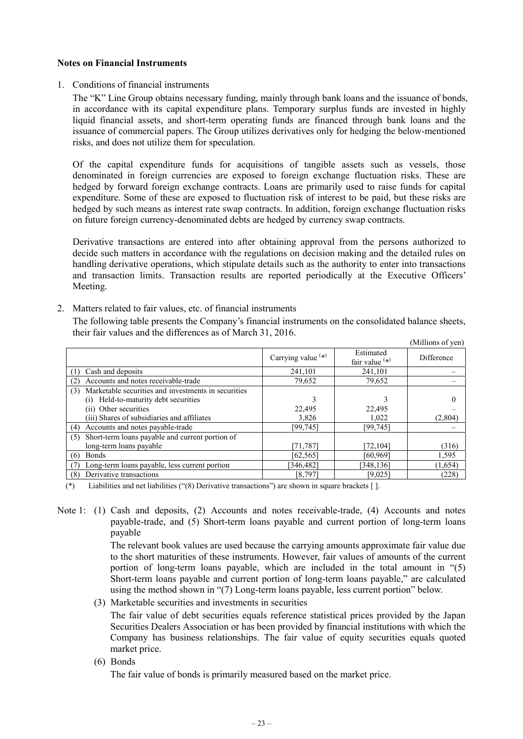## **Notes on Financial Instruments**

1. Conditions of financial instruments

The "K" Line Group obtains necessary funding, mainly through bank loans and the issuance of bonds, in accordance with its capital expenditure plans. Temporary surplus funds are invested in highly liquid financial assets, and short-term operating funds are financed through bank loans and the issuance of commercial papers. The Group utilizes derivatives only for hedging the below-mentioned risks, and does not utilize them for speculation.

Of the capital expenditure funds for acquisitions of tangible assets such as vessels, those denominated in foreign currencies are exposed to foreign exchange fluctuation risks. These are hedged by forward foreign exchange contracts. Loans are primarily used to raise funds for capital expenditure. Some of these are exposed to fluctuation risk of interest to be paid, but these risks are hedged by such means as interest rate swap contracts. In addition, foreign exchange fluctuation risks on future foreign currency-denominated debts are hedged by currency swap contracts.

Derivative transactions are entered into after obtaining approval from the persons authorized to decide such matters in accordance with the regulations on decision making and the detailed rules on handling derivative operations, which stipulate details such as the authority to enter into transactions and transaction limits. Transaction results are reported periodically at the Executive Officers' Meeting.

2. Matters related to fair values, etc. of financial instruments

The following table presents the Company's financial instruments on the consolidated balance sheets, their fair values and the differences as of March 31, 2016.  $(M)$ lions of you

|                                                            |                      |                               | дишнонѕ от уенд |
|------------------------------------------------------------|----------------------|-------------------------------|-----------------|
|                                                            | Carrying value $(*)$ | Estimated<br>fair value $(*)$ | Difference      |
| Cash and deposits                                          | 241,101              | 241,101                       |                 |
| Accounts and notes receivable-trade<br>(2)                 | 79,652               | 79,652                        |                 |
| Marketable securities and investments in securities<br>(3) |                      |                               |                 |
| Held-to-maturity debt securities<br>(1)                    |                      |                               |                 |
| (ii) Other securities                                      | 22,495               | 22,495                        |                 |
| (iii) Shares of subsidiaries and affiliates                | 3,826                | 1,022                         | (2,804)         |
| Accounts and notes payable-trade<br>(4)                    | [99.745]             | [99,745]                      |                 |
| Short-term loans payable and current portion of<br>(5)     |                      |                               |                 |
| long-term loans payable                                    | [71, 787]            | [72, 104]                     | (316)           |
| <b>Bonds</b><br>(6)                                        | [62,565]             | [60,969]                      | 1,595           |
| Long-term loans payable, less current portion              | [346,482]            | [348, 136]                    | (1,654)         |
| Derivative transactions<br>(8)                             | [8,797]              | [9,025]                       | (228)           |

(\*) Liabilities and net liabilities ("(8) Derivative transactions") are shown in square brackets [ ].

Note 1: (1) Cash and deposits, (2) Accounts and notes receivable-trade, (4) Accounts and notes payable-trade, and (5) Short-term loans payable and current portion of long-term loans payable

> The relevant book values are used because the carrying amounts approximate fair value due to the short maturities of these instruments. However, fair values of amounts of the current portion of long-term loans payable, which are included in the total amount in "(5) Short-term loans payable and current portion of long-term loans payable," are calculated using the method shown in "(7) Long-term loans payable, less current portion" below.

(3) Marketable securities and investments in securities

The fair value of debt securities equals reference statistical prices provided by the Japan Securities Dealers Association or has been provided by financial institutions with which the Company has business relationships. The fair value of equity securities equals quoted market price.

(6) Bonds

The fair value of bonds is primarily measured based on the market price.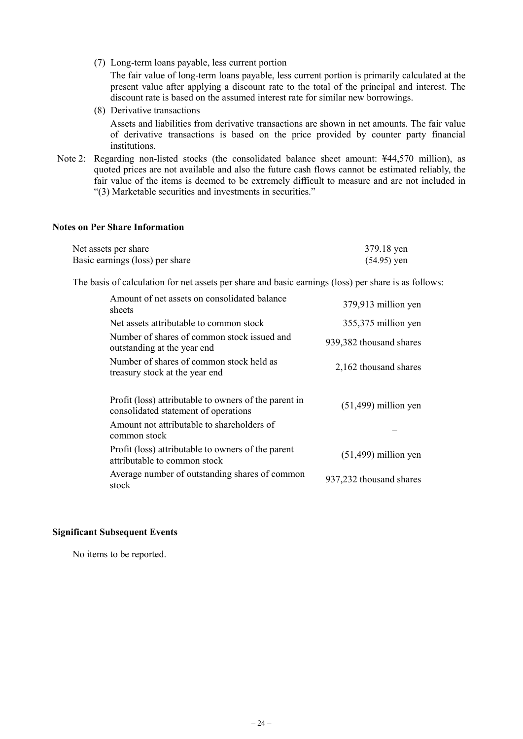(7) Long-term loans payable, less current portion

The fair value of long-term loans payable, less current portion is primarily calculated at the present value after applying a discount rate to the total of the principal and interest. The discount rate is based on the assumed interest rate for similar new borrowings.

- (8) Derivative transactions Assets and liabilities from derivative transactions are shown in net amounts. The fair value of derivative transactions is based on the price provided by counter party financial institutions.
- Note 2: Regarding non-listed stocks (the consolidated balance sheet amount: ¥44,570 million), as quoted prices are not available and also the future cash flows cannot be estimated reliably, the fair value of the items is deemed to be extremely difficult to measure and are not included in "(3) Marketable securities and investments in securities."

#### **Notes on Per Share Information**

| Net assets per share            | 379.18 yen    |
|---------------------------------|---------------|
| Basic earnings (loss) per share | $(54.95)$ yen |

The basis of calculation for net assets per share and basic earnings (loss) per share is as follows:

| 379,913 million yen     |
|-------------------------|
| 355,375 million yen     |
| 939,382 thousand shares |
| 2,162 thousand shares   |
| $(51,499)$ million yen  |
|                         |
| $(51,499)$ million yen  |
| 937,232 thousand shares |
|                         |

# **Significant Subsequent Events**

No items to be reported.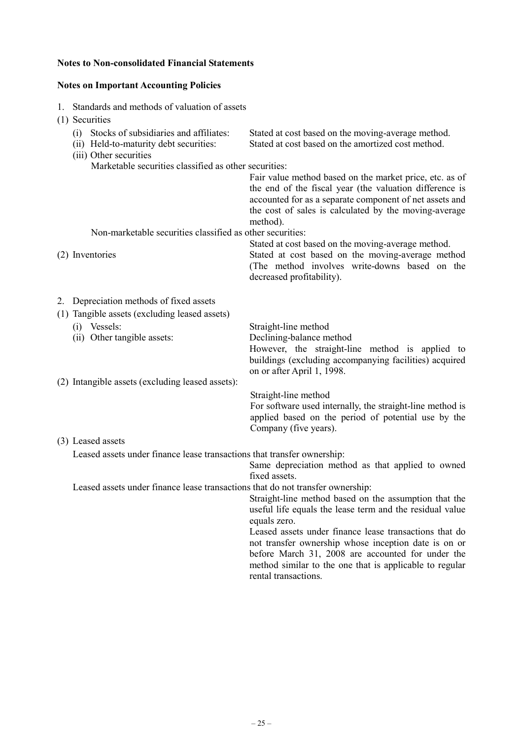# **Notes to Non-consolidated Financial Statements**

# **Notes on Important Accounting Policies**

- 1. Standards and methods of valuation of assets
- (1) Securities

| (i) Stocks of subsidiaries and affiliates:<br>(ii) Held-to-maturity debt securities:<br>(iii) Other securities | Stated at cost based on the moving-average method.<br>Stated at cost based on the amortized cost method.                                                                                                                                           |
|----------------------------------------------------------------------------------------------------------------|----------------------------------------------------------------------------------------------------------------------------------------------------------------------------------------------------------------------------------------------------|
| Marketable securities classified as other securities:                                                          |                                                                                                                                                                                                                                                    |
|                                                                                                                | Fair value method based on the market price, etc. as of<br>the end of the fiscal year (the valuation difference is<br>accounted for as a separate component of net assets and<br>the cost of sales is calculated by the moving-average<br>method). |
| Non-marketable securities classified as other securities:                                                      |                                                                                                                                                                                                                                                    |
|                                                                                                                | Stated at cost based on the moving-average method.                                                                                                                                                                                                 |
| (2) Inventories                                                                                                | Stated at cost based on the moving-average method<br>(The method involves write-downs based on the<br>decreased profitability).                                                                                                                    |
| 2. Depreciation methods of fixed assets                                                                        |                                                                                                                                                                                                                                                    |
| (1) Tangible assets (excluding leased assets)                                                                  |                                                                                                                                                                                                                                                    |
| (i) Vessels:                                                                                                   | Straight-line method                                                                                                                                                                                                                               |
| (ii) Other tangible assets:                                                                                    | Declining-balance method                                                                                                                                                                                                                           |
|                                                                                                                | However, the straight-line method is applied to<br>buildings (excluding accompanying facilities) acquired<br>on or after April 1, 1998.                                                                                                            |
| (2) Intangible assets (excluding leased assets):                                                               |                                                                                                                                                                                                                                                    |
|                                                                                                                | Straight-line method                                                                                                                                                                                                                               |
|                                                                                                                | For software used internally, the straight-line method is<br>applied based on the period of potential use by the<br>Company (five years).                                                                                                          |
| (3) Leased assets                                                                                              |                                                                                                                                                                                                                                                    |
| Leased assets under finance lease transactions that transfer ownership:                                        |                                                                                                                                                                                                                                                    |
|                                                                                                                | Same depreciation method as that applied to owned<br>fixed assets.                                                                                                                                                                                 |
| Leased assets under finance lease transactions that do not transfer ownership:                                 |                                                                                                                                                                                                                                                    |
|                                                                                                                | Straight-line method based on the assumption that the                                                                                                                                                                                              |
|                                                                                                                | useful life equals the lease term and the residual value<br>equals zero.                                                                                                                                                                           |
|                                                                                                                | Leased assets under finance lease transactions that do                                                                                                                                                                                             |
|                                                                                                                | not transfer ownership whose inception date is on or<br>before March 31, 2008 are accounted for under the<br>method similar to the one that is applicable to regular<br>rental transactions.                                                       |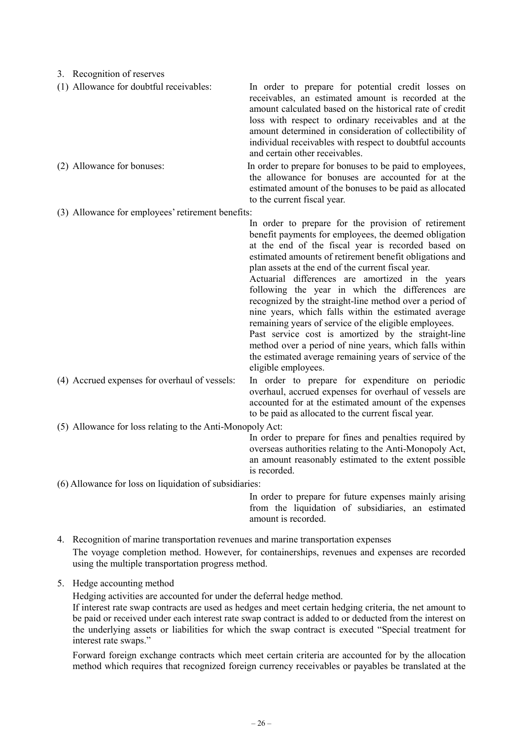3. Recognition of reserves

| (2) Allowance for bonuses:                        | (1) Allowance for doubtful receivables: | In order to prepare for potential credit losses on<br>receivables, an estimated amount is recorded at the<br>amount calculated based on the historical rate of credit<br>loss with respect to ordinary receivables and at the<br>amount determined in consideration of collectibility of<br>individual receivables with respect to doubtful accounts<br>and certain other receivables. |
|---------------------------------------------------|-----------------------------------------|----------------------------------------------------------------------------------------------------------------------------------------------------------------------------------------------------------------------------------------------------------------------------------------------------------------------------------------------------------------------------------------|
| to the current fiscal year.                       |                                         | In order to prepare for bonuses to be paid to employees,<br>the allowance for bonuses are accounted for at the<br>estimated amount of the bonuses to be paid as allocated                                                                                                                                                                                                              |
| (3) Allowance for employees' retirement benefits: |                                         | In order to prepare for the provision of retirement                                                                                                                                                                                                                                                                                                                                    |

benefit payments for employees, the deemed obligation at the end of the fiscal year is recorded based on estimated amounts of retirement benefit obligations and plan assets at the end of the current fiscal year.

Actuarial differences are amortized in the years following the year in which the differences are recognized by the straight-line method over a period of nine years, which falls within the estimated average remaining years of service of the eligible employees.

Past service cost is amortized by the straight-line method over a period of nine years, which falls within the estimated average remaining years of service of the eligible employees.

- (4) Accrued expenses for overhaul of vessels: In order to prepare for expenditure on periodic overhaul, accrued expenses for overhaul of vessels are accounted for at the estimated amount of the expenses to be paid as allocated to the current fiscal year.
- (5) Allowance for loss relating to the Anti-Monopoly Act:

In order to prepare for fines and penalties required by overseas authorities relating to the Anti-Monopoly Act, an amount reasonably estimated to the extent possible is recorded.

(6) Allowance for loss on liquidation of subsidiaries:

In order to prepare for future expenses mainly arising from the liquidation of subsidiaries, an estimated amount is recorded.

- 4. Recognition of marine transportation revenues and marine transportation expenses The voyage completion method. However, for containerships, revenues and expenses are recorded using the multiple transportation progress method.
- 5. Hedge accounting method

Hedging activities are accounted for under the deferral hedge method. If interest rate swap contracts are used as hedges and meet certain hedging criteria, the net amount to be paid or received under each interest rate swap contract is added to or deducted from the interest on the underlying assets or liabilities for which the swap contract is executed "Special treatment for interest rate swaps."

Forward foreign exchange contracts which meet certain criteria are accounted for by the allocation method which requires that recognized foreign currency receivables or payables be translated at the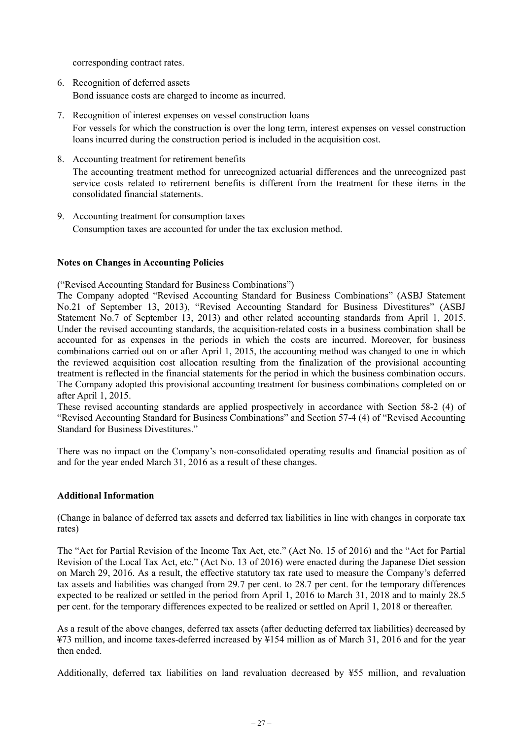corresponding contract rates.

- 6. Recognition of deferred assets Bond issuance costs are charged to income as incurred.
- 7. Recognition of interest expenses on vessel construction loans For vessels for which the construction is over the long term, interest expenses on vessel construction loans incurred during the construction period is included in the acquisition cost.
- 8. Accounting treatment for retirement benefits The accounting treatment method for unrecognized actuarial differences and the unrecognized past service costs related to retirement benefits is different from the treatment for these items in the consolidated financial statements.
- 9. Accounting treatment for consumption taxes Consumption taxes are accounted for under the tax exclusion method.

# **Notes on Changes in Accounting Policies**

("Revised Accounting Standard for Business Combinations")

The Company adopted "Revised Accounting Standard for Business Combinations" (ASBJ Statement No.21 of September 13, 2013), "Revised Accounting Standard for Business Divestitures" (ASBJ Statement No.7 of September 13, 2013) and other related accounting standards from April 1, 2015. Under the revised accounting standards, the acquisition-related costs in a business combination shall be accounted for as expenses in the periods in which the costs are incurred. Moreover, for business combinations carried out on or after April 1, 2015, the accounting method was changed to one in which the reviewed acquisition cost allocation resulting from the finalization of the provisional accounting treatment is reflected in the financial statements for the period in which the business combination occurs. The Company adopted this provisional accounting treatment for business combinations completed on or after April 1, 2015.

These revised accounting standards are applied prospectively in accordance with Section 58-2 (4) of "Revised Accounting Standard for Business Combinations" and Section 57-4 (4) of "Revised Accounting Standard for Business Divestitures."

There was no impact on the Company's non-consolidated operating results and financial position as of and for the year ended March 31, 2016 as a result of these changes.

# **Additional Information**

(Change in balance of deferred tax assets and deferred tax liabilities in line with changes in corporate tax rates)

The "Act for Partial Revision of the Income Tax Act, etc." (Act No. 15 of 2016) and the "Act for Partial Revision of the Local Tax Act, etc." (Act No. 13 of 2016) were enacted during the Japanese Diet session on March 29, 2016. As a result, the effective statutory tax rate used to measure the Company's deferred tax assets and liabilities was changed from 29.7 per cent. to 28.7 per cent. for the temporary differences expected to be realized or settled in the period from April 1, 2016 to March 31, 2018 and to mainly 28.5 per cent. for the temporary differences expected to be realized or settled on April 1, 2018 or thereafter.

As a result of the above changes, deferred tax assets (after deducting deferred tax liabilities) decreased by ¥73 million, and income taxes-deferred increased by ¥154 million as of March 31, 2016 and for the year then ended.

Additionally, deferred tax liabilities on land revaluation decreased by ¥55 million, and revaluation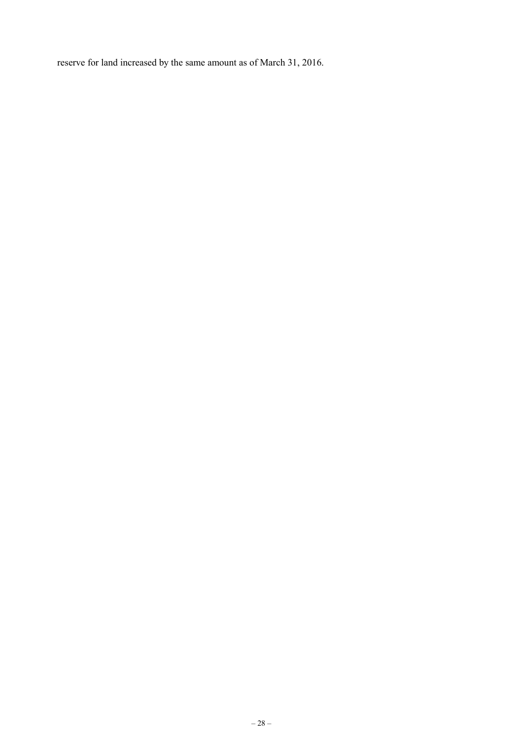reserve for land increased by the same amount as of March 31, 2016.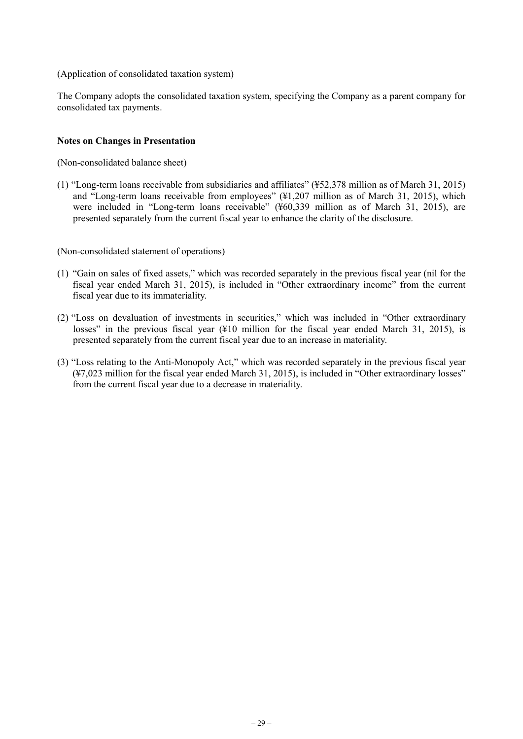(Application of consolidated taxation system)

The Company adopts the consolidated taxation system, specifying the Company as a parent company for consolidated tax payments.

# **Notes on Changes in Presentation**

(Non-consolidated balance sheet)

(1) "Long-term loans receivable from subsidiaries and affiliates" (¥52,378 million as of March 31, 2015) and "Long-term loans receivable from employees" (¥1,207 million as of March 31, 2015), which were included in "Long-term loans receivable" (¥60,339 million as of March 31, 2015), are presented separately from the current fiscal year to enhance the clarity of the disclosure.

(Non-consolidated statement of operations)

- (1) "Gain on sales of fixed assets," which was recorded separately in the previous fiscal year (nil for the fiscal year ended March 31, 2015), is included in "Other extraordinary income" from the current fiscal year due to its immateriality.
- (2) "Loss on devaluation of investments in securities," which was included in "Other extraordinary losses" in the previous fiscal year (¥10 million for the fiscal year ended March 31, 2015), is presented separately from the current fiscal year due to an increase in materiality.
- (3) "Loss relating to the Anti-Monopoly Act," which was recorded separately in the previous fiscal year (¥7,023 million for the fiscal year ended March 31, 2015), is included in "Other extraordinary losses" from the current fiscal year due to a decrease in materiality.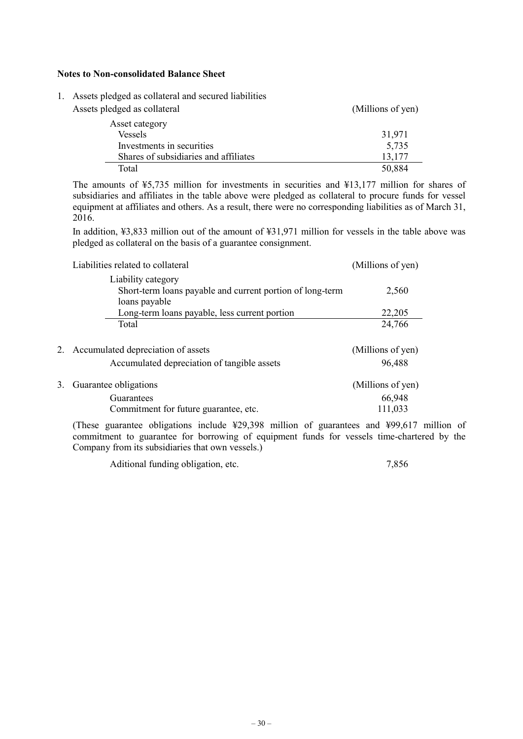### **Notes to Non-consolidated Balance Sheet**

1. Assets pledged as collateral and secured liabilities

| Assets pledged as collateral          | (Millions of yen) |
|---------------------------------------|-------------------|
| Asset category                        |                   |
| Vessels                               | 31,971            |
| Investments in securities             | 5,735             |
| Shares of subsidiaries and affiliates | 13,177            |
| Total                                 | 50,884            |

The amounts of ¥5,735 million for investments in securities and ¥13,177 million for shares of subsidiaries and affiliates in the table above were pledged as collateral to procure funds for vessel equipment at affiliates and others. As a result, there were no corresponding liabilities as of March 31, 2016.

In addition, ¥3,833 million out of the amount of ¥31,971 million for vessels in the table above was pledged as collateral on the basis of a guarantee consignment.

| Liabilities related to collateral                                                                | (Millions of yen)                      |
|--------------------------------------------------------------------------------------------------|----------------------------------------|
| Liability category<br>Short-term loans payable and current portion of long-term<br>loans payable | 2,560                                  |
| Long-term loans payable, less current portion                                                    | 22,205                                 |
| Total                                                                                            | 24,766                                 |
| 2. Accumulated depreciation of assets<br>Accumulated depreciation of tangible assets             | (Millions of yen)<br>96,488            |
| 3. Guarantee obligations<br>Guarantees<br>Commitment for future guarantee, etc.                  | (Millions of yen)<br>66,948<br>111,033 |

(These guarantee obligations include ¥29,398 million of guarantees and ¥99,617 million of commitment to guarantee for borrowing of equipment funds for vessels time-chartered by the Company from its subsidiaries that own vessels.)

Aditional funding obligation, etc. 7,856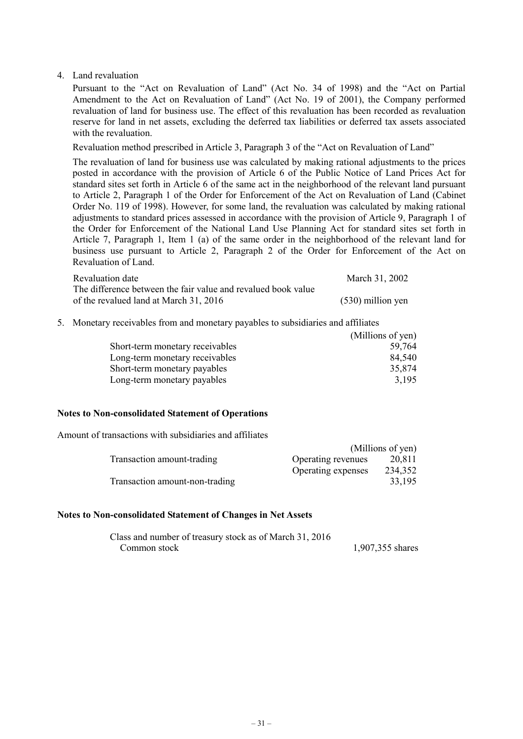# 4. Land revaluation

Pursuant to the "Act on Revaluation of Land" (Act No. 34 of 1998) and the "Act on Partial Amendment to the Act on Revaluation of Land" (Act No. 19 of 2001), the Company performed revaluation of land for business use. The effect of this revaluation has been recorded as revaluation reserve for land in net assets, excluding the deferred tax liabilities or deferred tax assets associated with the revaluation.

Revaluation method prescribed in Article 3, Paragraph 3 of the "Act on Revaluation of Land"

The revaluation of land for business use was calculated by making rational adjustments to the prices posted in accordance with the provision of Article 6 of the Public Notice of Land Prices Act for standard sites set forth in Article 6 of the same act in the neighborhood of the relevant land pursuant to Article 2, Paragraph 1 of the Order for Enforcement of the Act on Revaluation of Land (Cabinet Order No. 119 of 1998). However, for some land, the revaluation was calculated by making rational adjustments to standard prices assessed in accordance with the provision of Article 9, Paragraph 1 of the Order for Enforcement of the National Land Use Planning Act for standard sites set forth in Article 7, Paragraph 1, Item 1 (a) of the same order in the neighborhood of the relevant land for business use pursuant to Article 2, Paragraph 2 of the Order for Enforcement of the Act on Revaluation of Land.

| Revaluation date                                              | March 31, 2002      |
|---------------------------------------------------------------|---------------------|
| The difference between the fair value and revalued book value |                     |
| of the revalued land at March 31, 2016                        | $(530)$ million yen |

5. Monetary receivables from and monetary payables to subsidiaries and affiliates

|                                 | (Millions of yen) |
|---------------------------------|-------------------|
| Short-term monetary receivables | 59,764            |
| Long-term monetary receivables  | 84,540            |
| Short-term monetary payables    | 35,874            |
| Long-term monetary payables     | 3.195             |

# **Notes to Non-consolidated Statement of Operations**

Amount of transactions with subsidiaries and affiliates

|                                |                    | (Millions of yen) |
|--------------------------------|--------------------|-------------------|
| Transaction amount-trading     | Operating revenues | 20,811            |
|                                | Operating expenses | 234,352           |
| Transaction amount-non-trading |                    | 33,195            |

#### **Notes to Non-consolidated Statement of Changes in Net Assets**

| Class and number of treasury stock as of March 31, 2016 |                  |
|---------------------------------------------------------|------------------|
| Common stock                                            | 1,907,355 shares |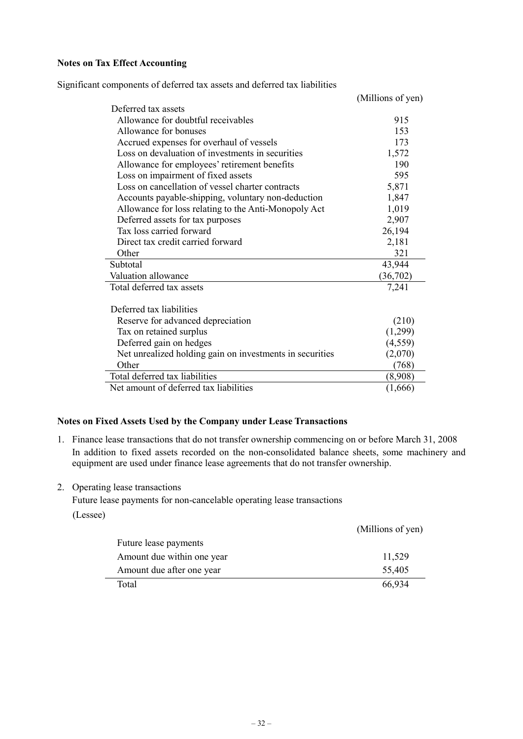# **Notes on Tax Effect Accounting**

Significant components of deferred tax assets and deferred tax liabilities

|                                                          | (Millions of yen) |
|----------------------------------------------------------|-------------------|
| Deferred tax assets                                      |                   |
| Allowance for doubtful receivables                       | 915               |
| Allowance for bonuses                                    | 153               |
| Accrued expenses for overhaul of vessels                 | 173               |
| Loss on devaluation of investments in securities         | 1,572             |
| Allowance for employees' retirement benefits             | 190               |
| Loss on impairment of fixed assets                       | 595               |
| Loss on cancellation of vessel charter contracts         | 5,871             |
| Accounts payable-shipping, voluntary non-deduction       | 1,847             |
| Allowance for loss relating to the Anti-Monopoly Act     | 1,019             |
| Deferred assets for tax purposes                         | 2,907             |
| Tax loss carried forward                                 | 26,194            |
| Direct tax credit carried forward                        | 2,181             |
| Other                                                    | 321               |
| Subtotal                                                 | 43,944            |
| Valuation allowance                                      | (36, 702)         |
| Total deferred tax assets                                | 7,241             |
| Deferred tax liabilities                                 |                   |
| Reserve for advanced depreciation                        | (210)             |
| Tax on retained surplus                                  | (1,299)           |
| Deferred gain on hedges                                  | (4, 559)          |
| Net unrealized holding gain on investments in securities | (2,070)           |
| Other                                                    | (768)             |
| Total deferred tax liabilities                           | (8,908)           |
| Net amount of deferred tax liabilities                   | (1,666)           |

# **Notes on Fixed Assets Used by the Company under Lease Transactions**

- 1. Finance lease transactions that do not transfer ownership commencing on or before March 31, 2008 In addition to fixed assets recorded on the non-consolidated balance sheets, some machinery and equipment are used under finance lease agreements that do not transfer ownership.
- 2. Operating lease transactions

Future lease payments for non-cancelable operating lease transactions

(Lessee)

|                            | (Millions of yen) |
|----------------------------|-------------------|
| Future lease payments      |                   |
| Amount due within one year | 11,529            |
| Amount due after one year  | 55,405            |
| Total                      | 66934             |